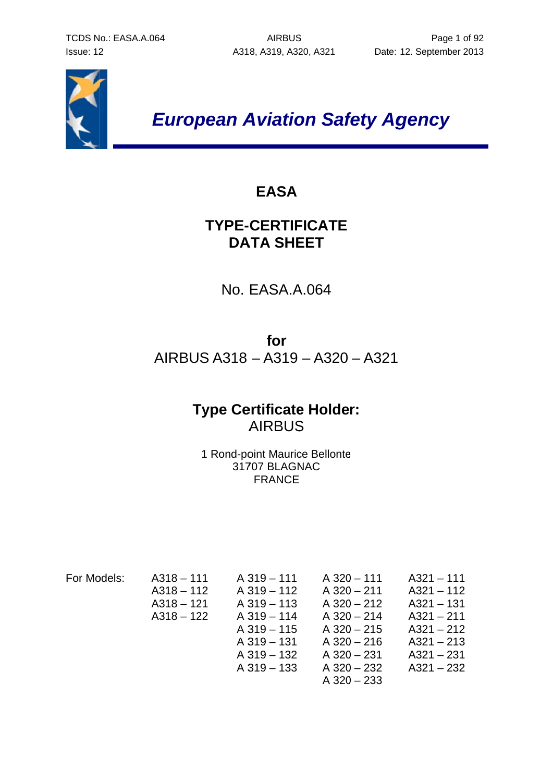TCDS N o.: EASA.A. 064 Issue: 12 2

AIRBUS<br>A318, A319, A320, A321 AIRBUS

Date: 12. September 2013 Page 1 of 92



# *European Aviation Safety Agency*

# **EASA**

# **TYPE-CERTIF FICATE DATA SHEET**

No. EASA.A A.064

AIRBU S A318 – A319 – A320 – A321 **for** 

# **Type Certificate Holder:** A AIRBUS AIRBUS<br>1 Rond-point Maurice Bellonte

|             |                                                              | 1 Rond-point Maurice Bellonte<br>31707 BLAGNAC<br><b>FRANCE</b>                                                                  |                                                                                                                                                             |                                                                                                                              |
|-------------|--------------------------------------------------------------|----------------------------------------------------------------------------------------------------------------------------------|-------------------------------------------------------------------------------------------------------------------------------------------------------------|------------------------------------------------------------------------------------------------------------------------------|
| For Models: | $A318 - 111$<br>$A318 - 112$<br>$A318 - 121$<br>$A318 - 122$ | $A$ 319 – 111<br>$A$ 319 – 112<br>$A$ 319 – 113<br>$A$ 319 - 114<br>$A$ 319 - 115<br>$A$ 319 - 131<br>A 319 – 132<br>A 319 – 133 | $A$ 320 $-$ 111<br>$A$ 320 $-$ 211<br>$A$ 320 - 212<br>$A$ 320 - 214<br>$A$ 320 - 215<br>$A$ 320 - 216<br>$A$ 320 - 231<br>$A$ 320 $-$ 232<br>$A$ 320 - 233 | $A321 - 111$<br>$A321 - 112$<br>$A321 - 131$<br>$A321 - 211$<br>$A321 - 212$<br>$A321 - 213$<br>$A321 - 231$<br>$A321 - 232$ |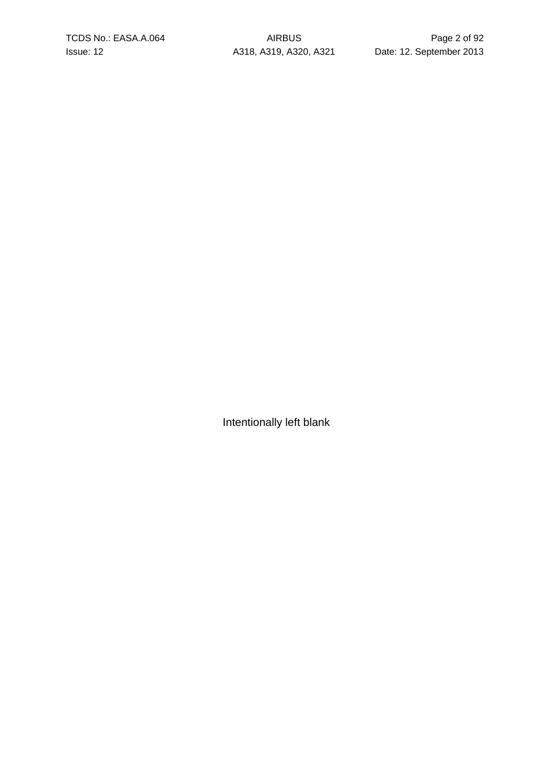Intentionally left blank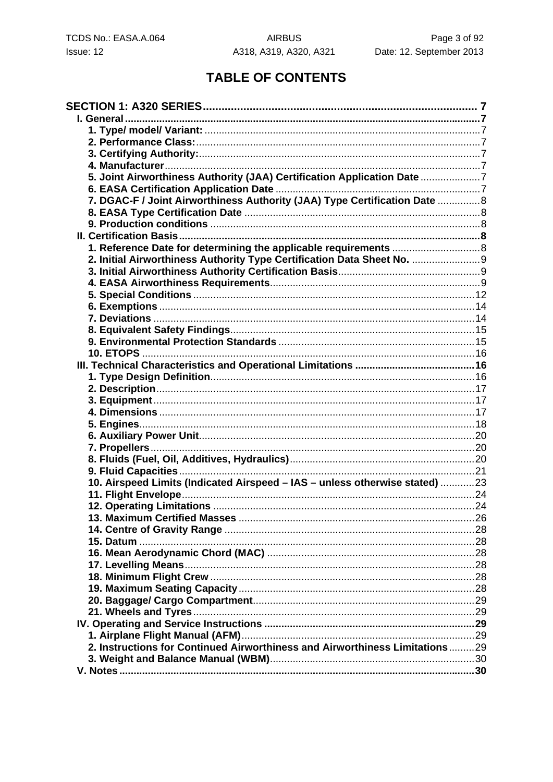# TABLE OF CONTENTS

| 5. Joint Airworthiness Authority (JAA) Certification Application Date 7     |  |
|-----------------------------------------------------------------------------|--|
|                                                                             |  |
| 7. DGAC-F / Joint Airworthiness Authority (JAA) Type Certification Date  8  |  |
|                                                                             |  |
|                                                                             |  |
|                                                                             |  |
|                                                                             |  |
|                                                                             |  |
| 2. Initial Airworthiness Authority Type Certification Data Sheet No.        |  |
|                                                                             |  |
|                                                                             |  |
|                                                                             |  |
|                                                                             |  |
|                                                                             |  |
|                                                                             |  |
|                                                                             |  |
|                                                                             |  |
|                                                                             |  |
|                                                                             |  |
|                                                                             |  |
|                                                                             |  |
|                                                                             |  |
|                                                                             |  |
|                                                                             |  |
|                                                                             |  |
|                                                                             |  |
|                                                                             |  |
| 10. Airspeed Limits (Indicated Airspeed - IAS - unless otherwise stated) 23 |  |
|                                                                             |  |
|                                                                             |  |
|                                                                             |  |
|                                                                             |  |
|                                                                             |  |
|                                                                             |  |
|                                                                             |  |
|                                                                             |  |
|                                                                             |  |
|                                                                             |  |
|                                                                             |  |
|                                                                             |  |
|                                                                             |  |
|                                                                             |  |
| 2. Instructions for Continued Airworthiness and Airworthiness Limitations29 |  |
|                                                                             |  |
|                                                                             |  |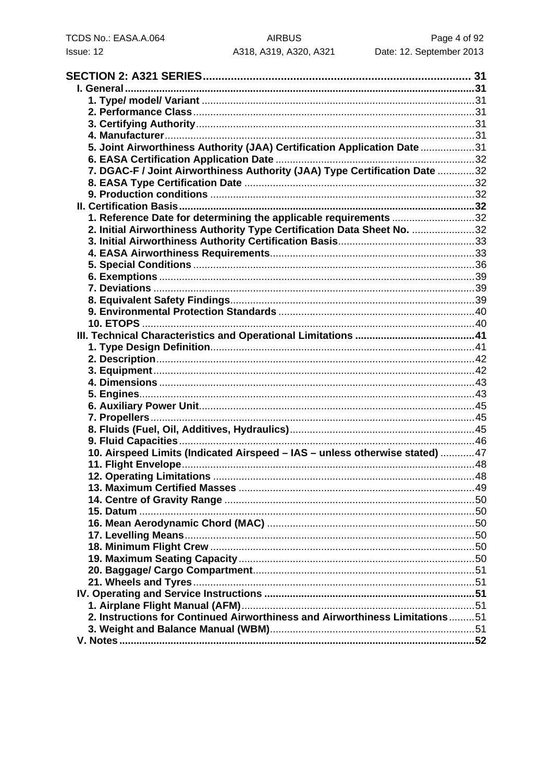5. Joint Airworthiness Authority (JAA) Certification Application Date ..................31 7. DGAC-F / Joint Airworthiness Authority (JAA) Type Certification Date .............32 1. Reference Date for determining the applicable requirements .............................32 2. Initial Airworthiness Authority Type Certification Data Sheet No. .....................32 10. Airspeed Limits (Indicated Airspeed – IAS – unless otherwise stated) ............47 2. Instructions for Continued Airworthiness and Airworthiness Limitations.........51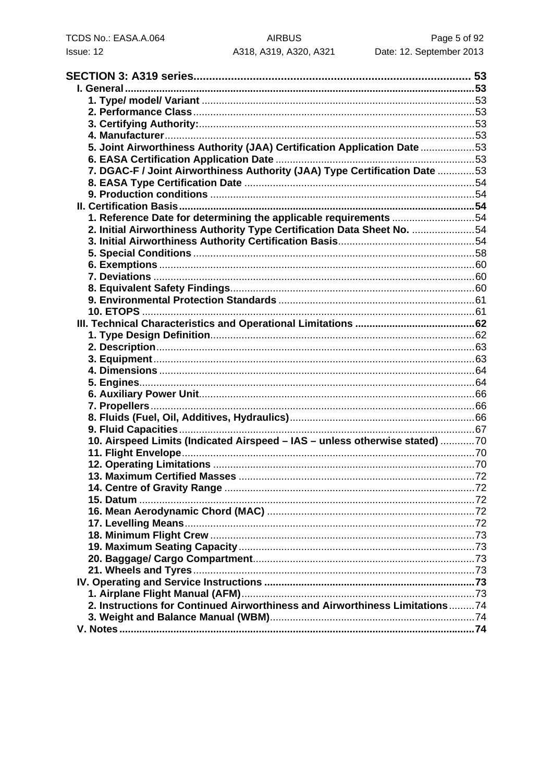| 53. Joint Airworthiness Authority (JAA) Certification Application Date 53   |  |
|-----------------------------------------------------------------------------|--|
|                                                                             |  |
| 7. DGAC-F / Joint Airworthiness Authority (JAA) Type Certification Date 53  |  |
|                                                                             |  |
|                                                                             |  |
|                                                                             |  |
| 1. Reference Date for determining the applicable requirements 54            |  |
| 2. Initial Airworthiness Authority Type Certification Data Sheet No. 54     |  |
|                                                                             |  |
|                                                                             |  |
|                                                                             |  |
|                                                                             |  |
|                                                                             |  |
|                                                                             |  |
|                                                                             |  |
|                                                                             |  |
|                                                                             |  |
|                                                                             |  |
|                                                                             |  |
|                                                                             |  |
|                                                                             |  |
|                                                                             |  |
|                                                                             |  |
|                                                                             |  |
|                                                                             |  |
| 10. Airspeed Limits (Indicated Airspeed - IAS - unless otherwise stated) 70 |  |
|                                                                             |  |
|                                                                             |  |
|                                                                             |  |
|                                                                             |  |
|                                                                             |  |
|                                                                             |  |
|                                                                             |  |
|                                                                             |  |
|                                                                             |  |
|                                                                             |  |
|                                                                             |  |
|                                                                             |  |
|                                                                             |  |
| 2. Instructions for Continued Airworthiness and Airworthiness Limitations74 |  |
|                                                                             |  |
|                                                                             |  |
|                                                                             |  |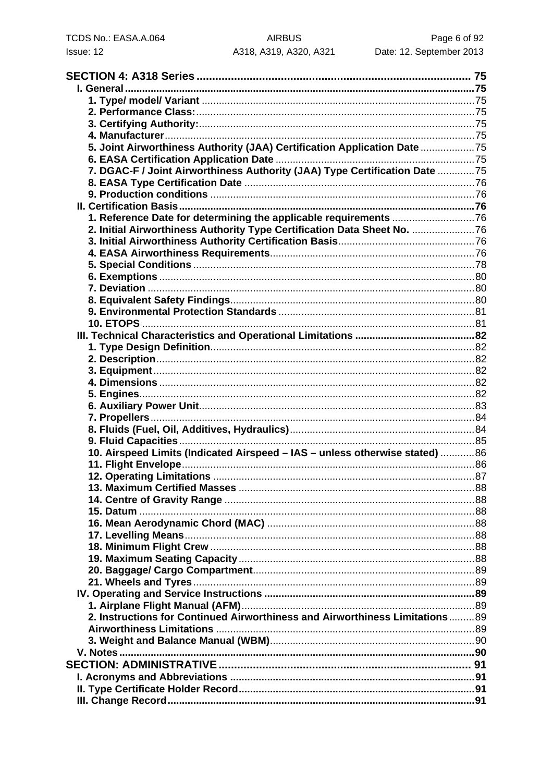| 5. Joint Airworthiness Authority (JAA) Certification Application Date 75    |  |
|-----------------------------------------------------------------------------|--|
|                                                                             |  |
| 7. DGAC-F / Joint Airworthiness Authority (JAA) Type Certification Date 75  |  |
|                                                                             |  |
|                                                                             |  |
|                                                                             |  |
|                                                                             |  |
| 2. Initial Airworthiness Authority Type Certification Data Sheet No. 76     |  |
|                                                                             |  |
|                                                                             |  |
|                                                                             |  |
|                                                                             |  |
|                                                                             |  |
|                                                                             |  |
|                                                                             |  |
|                                                                             |  |
|                                                                             |  |
|                                                                             |  |
|                                                                             |  |
|                                                                             |  |
|                                                                             |  |
|                                                                             |  |
|                                                                             |  |
|                                                                             |  |
|                                                                             |  |
|                                                                             |  |
| 10. Airspeed Limits (Indicated Airspeed - IAS - unless otherwise stated) 86 |  |
|                                                                             |  |
|                                                                             |  |
|                                                                             |  |
|                                                                             |  |
|                                                                             |  |
|                                                                             |  |
|                                                                             |  |
|                                                                             |  |
|                                                                             |  |
|                                                                             |  |
|                                                                             |  |
|                                                                             |  |
|                                                                             |  |
| 2. Instructions for Continued Airworthiness and Airworthiness Limitations89 |  |
|                                                                             |  |
|                                                                             |  |
|                                                                             |  |
|                                                                             |  |
|                                                                             |  |
|                                                                             |  |
|                                                                             |  |
|                                                                             |  |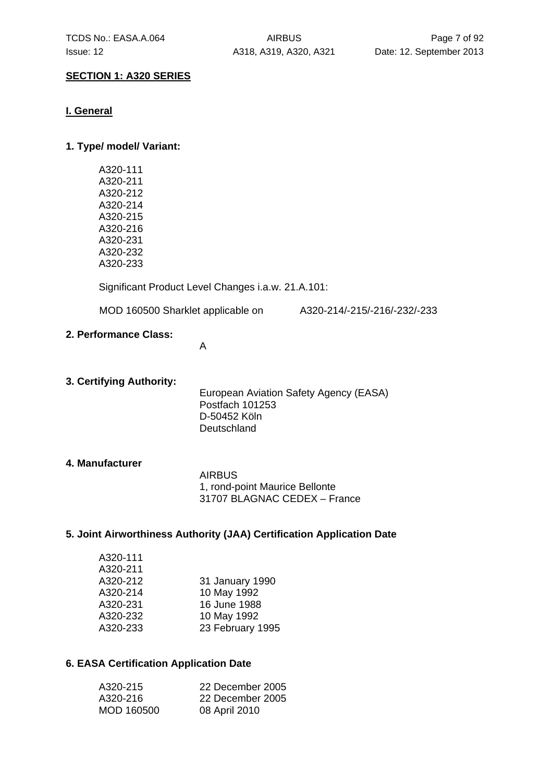# **SECTION 1: A320 SERIES**

# **I. General**

# **1. Type/ model/ Variant:**

A320-111 A320-211 A320-212 A320-214 A320-215 A320-216 A320-231 A320-232 A320-233

Significant Product Level Changes i.a.w. 21.A.101:

MOD 160500 Sharklet applicable on A320-214/-215/-216/-232/-233

### **2. Performance Class:**

A

**3. Certifying Authority:** 

 European Aviation Safety Agency (EASA) Postfach 101253 D-50452 Köln **Deutschland** 

# **4. Manufacturer**

 AIRBUS 1, rond-point Maurice Bellonte 31707 BLAGNAC CEDEX – France

# **5. Joint Airworthiness Authority (JAA) Certification Application Date**

| A320-111 |                  |
|----------|------------------|
| A320-211 |                  |
| A320-212 | 31 January 1990  |
| A320-214 | 10 May 1992      |
| A320-231 | 16 June 1988     |
| A320-232 | 10 May 1992      |
| A320-233 | 23 February 1995 |
|          |                  |

# **6. EASA Certification Application Date**

| A320-215   | 22 December 2005 |
|------------|------------------|
| A320-216   | 22 December 2005 |
| MOD 160500 | 08 April 2010    |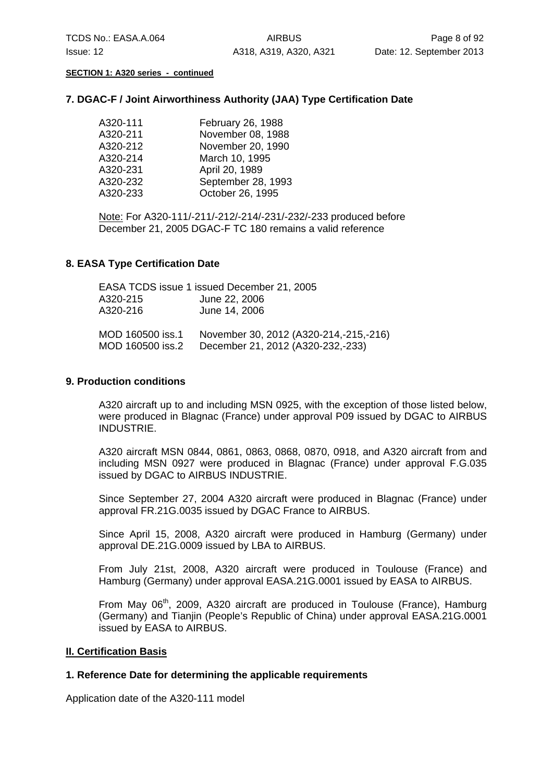### **7. DGAC-F / Joint Airworthiness Authority (JAA) Type Certification Date**

| A320-111 | February 26, 1988  |
|----------|--------------------|
| A320-211 | November 08, 1988  |
| A320-212 | November 20, 1990  |
| A320-214 | March 10, 1995     |
| A320-231 | April 20, 1989     |
| A320-232 | September 28, 1993 |
| A320-233 | October 26, 1995   |

Note: For A320-111/-211/-212/-214/-231/-232/-233 produced before December 21, 2005 DGAC-F TC 180 remains a valid reference

### **8. EASA Type Certification Date**

|                  | EASA TCDS issue 1 issued December 21, 2005 |
|------------------|--------------------------------------------|
| A320-215         | June 22, 2006                              |
| A320-216         | June 14, 2006                              |
|                  |                                            |
| MOD 160500 iss.1 | November 30, 2012 (A320-214,-215,-216)     |
| MOD 160500 iss.2 | December 21, 2012 (A320-232,-233)          |

### **9. Production conditions**

A320 aircraft up to and including MSN 0925, with the exception of those listed below, were produced in Blagnac (France) under approval P09 issued by DGAC to AIRBUS INDUSTRIE.

A320 aircraft MSN 0844, 0861, 0863, 0868, 0870, 0918, and A320 aircraft from and including MSN 0927 were produced in Blagnac (France) under approval F.G.035 issued by DGAC to AIRBUS INDUSTRIE.

Since September 27, 2004 A320 aircraft were produced in Blagnac (France) under approval FR.21G.0035 issued by DGAC France to AIRBUS.

Since April 15, 2008, A320 aircraft were produced in Hamburg (Germany) under approval DE.21G.0009 issued by LBA to AIRBUS.

From July 21st, 2008, A320 aircraft were produced in Toulouse (France) and Hamburg (Germany) under approval EASA.21G.0001 issued by EASA to AIRBUS.

From May 06<sup>th</sup>, 2009, A320 aircraft are produced in Toulouse (France), Hamburg (Germany) and Tianjin (People's Republic of China) under approval EASA.21G.0001 issued by EASA to AIRBUS.

### **II. Certification Basis**

### **1. Reference Date for determining the applicable requirements**

Application date of the A320-111 model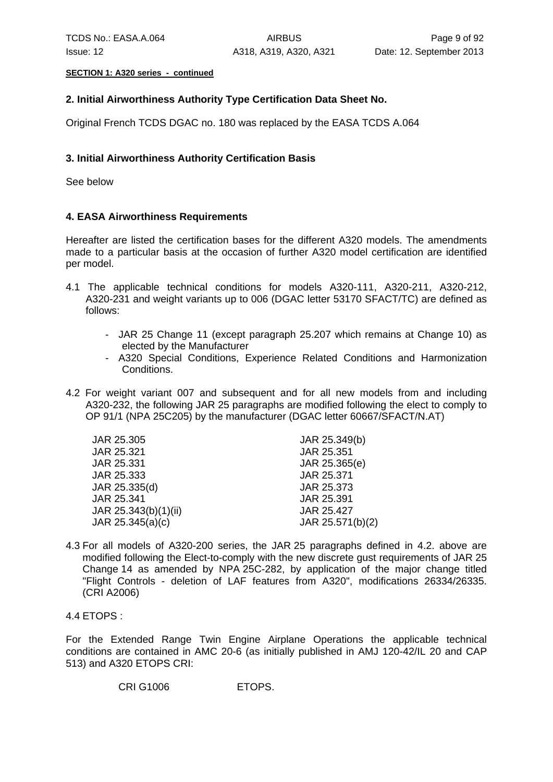# **2. Initial Airworthiness Authority Type Certification Data Sheet No.**

Original French TCDS DGAC no. 180 was replaced by the EASA TCDS A.064

# **3. Initial Airworthiness Authority Certification Basis**

See below

# **4. EASA Airworthiness Requirements**

Hereafter are listed the certification bases for the different A320 models. The amendments made to a particular basis at the occasion of further A320 model certification are identified per model.

- 4.1 The applicable technical conditions for models A320-111, A320-211, A320-212, A320-231 and weight variants up to 006 (DGAC letter 53170 SFACT/TC) are defined as follows:
	- JAR 25 Change 11 (except paragraph 25.207 which remains at Change 10) as elected by the Manufacturer
	- A320 Special Conditions, Experience Related Conditions and Harmonization Conditions.
- 4.2 For weight variant 007 and subsequent and for all new models from and including A320-232, the following JAR 25 paragraphs are modified following the elect to comply to OP 91/1 (NPA 25C205) by the manufacturer (DGAC letter 60667/SFACT/N.AT)

| JAR 25.305           | JAR 25.349(b)    |
|----------------------|------------------|
| JAR 25.321           | JAR 25.351       |
| JAR 25.331           | JAR 25.365(e)    |
| JAR 25.333           | JAR 25.371       |
| JAR 25.335(d)        | JAR 25.373       |
| JAR 25.341           | JAR 25.391       |
| JAR 25.343(b)(1)(ii) | JAR 25.427       |
| JAR 25.345(a)(c)     | JAR 25.571(b)(2) |
|                      |                  |

4.3 For all models of A320-200 series, the JAR 25 paragraphs defined in 4.2. above are modified following the Elect-to-comply with the new discrete gust requirements of JAR 25 Change 14 as amended by NPA 25C-282, by application of the major change titled "Flight Controls - deletion of LAF features from A320", modifications 26334/26335. (CRI A2006)

4.4 ETOPS :

For the Extended Range Twin Engine Airplane Operations the applicable technical conditions are contained in AMC 20-6 (as initially published in AMJ 120-42/IL 20 and CAP 513) and A320 ETOPS CRI:

CRI G1006 ETOPS.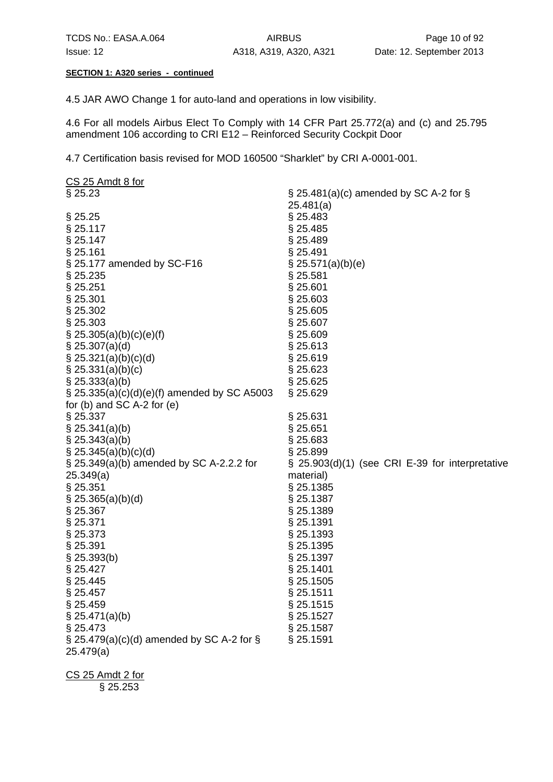4.5 JAR AWO Change 1 for auto-land and operations in low visibility.

4.6 For all models Airbus Elect To Comply with 14 CFR Part 25.772(a) and (c) and 25.795 amendment 106 according to CRI E12 – Reinforced Security Cockpit Door

4.7 Certification basis revised for MOD 160500 "Sharklet" by CRI A-0001-001.

| CS 25 Amdt 8 for                                |                                                    |
|-------------------------------------------------|----------------------------------------------------|
| $§$ 25.23                                       | $\S$ 25.481(a)(c) amended by SC A-2 for $\S$       |
|                                                 | 25.481(a)                                          |
| \$25.25                                         | § 25.483                                           |
| § 25.117                                        | § 25.485                                           |
| $§$ 25.147                                      | $§$ 25.489                                         |
| $§$ 25.161                                      | $§$ 25.491                                         |
| § 25.177 amended by SC-F16                      | $\S$ 25.571(a)(b)(e)                               |
| $§$ 25.235                                      | $\S$ 25.581                                        |
| \$25.251                                        | $\S$ 25.601                                        |
| $§$ 25.301                                      | $§$ 25.603                                         |
| $§$ 25.302                                      | $§$ 25.605                                         |
| § 25.303                                        | $§$ 25.607                                         |
| $\S$ 25.305(a)(b)(c)(e)(f)                      | $§$ 25.609                                         |
| $\S$ 25.307(a)(d)                               | $§$ 25.613                                         |
| $\S$ 25.321(a)(b)(c)(d)                         | $§$ 25.619                                         |
| $\S$ 25.331(a)(b)(c)                            | $§$ 25.623                                         |
| $\S$ 25.333(a)(b)                               | $\S$ 25.625                                        |
| $\S$ 25.335(a)(c)(d)(e)(f) amended by SC A5003  | \$25.629                                           |
| for $(b)$ and SC A-2 for $(e)$                  |                                                    |
| § 25.337                                        | § 25.631                                           |
| \$25.341(a)(b)                                  | $§$ 25.651                                         |
| $\S$ 25.343(a)(b)                               | $§$ 25.683                                         |
| $\S$ 25.345(a)(b)(c)(d)                         | \$25.899                                           |
| $\S$ 25.349(a)(b) amended by SC A-2.2.2 for     | $\S$ 25.903(d)(1) (see CRI E-39 for interpretative |
| 25.349(a)                                       | material)                                          |
| $§$ 25.351                                      | $\S$ 25.1385                                       |
| $\S$ 25.365(a)(b)(d)                            | $§$ 25.1387                                        |
| § 25.367                                        | $\S$ 25.1389                                       |
| $§$ 25.371                                      | § 25.1391                                          |
| § 25.373                                        | § 25.1393                                          |
| § 25.391                                        | § 25.1395                                          |
| $\S$ 25.393(b)                                  | § 25.1397                                          |
| $\S 25.427$                                     | $§$ 25.1401                                        |
| § 25.445                                        | $§$ 25.1505                                        |
| $\S$ 25.457                                     | § 25.1511                                          |
| $§$ 25.459                                      | $§$ 25.1515                                        |
| $\S 25.471(a)(b)$                               | $§$ 25.1527                                        |
| $§$ 25.473                                      | $§$ 25.1587                                        |
| $\S$ 25.479(a)(c)(d) amended by SC A-2 for $\S$ | § 25.1591                                          |
| 25.479(a)                                       |                                                    |
|                                                 |                                                    |
| <u>CS 25 Amdt 2 for</u>                         |                                                    |
| $§$ 25.253                                      |                                                    |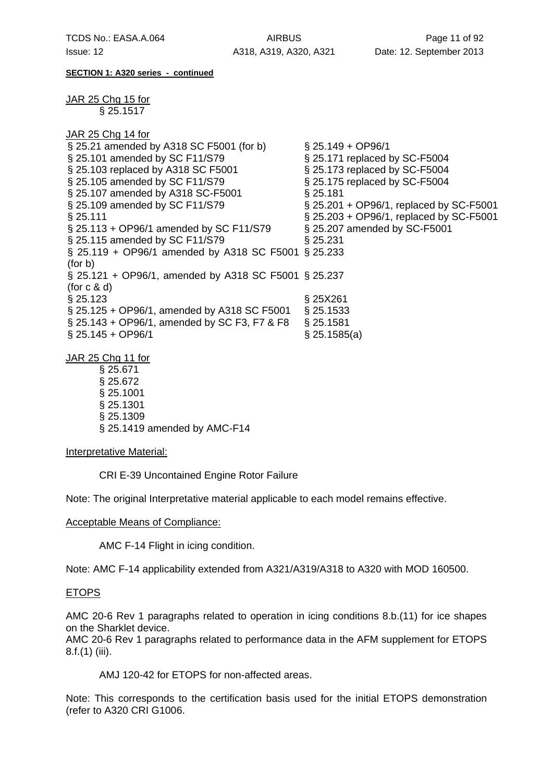TCDS No.: EASA.A.064 AIRBUS AIRBUS Page 11 of 92 Issue: 12 A318, A319, A320, A321 Date: 12. September 2013 **SECTION 1: A320 series - continued**  JAR 25 Chg 15 for § 25.1517 JAR 25 Chg 14 for § 25.21 amended by A318 SC F5001 (for b) § 25.149 + OP96/1 § 25.101 amended by SC F11/S79 § 25.171 replaced by SC-F5004 § 25.103 replaced by A318 SC F5001 § 25.173 replaced by SC-F5004 § 25.105 amended by SC F11/S79 § 25.175 replaced by SC-F5004 § 25.107 amended by A318 SC-F5001 § 25.181 § 25.109 amended by SC F11/S79 § 25.201 + OP96/1, replaced by SC-F5001 § 25.111 § 25.203 + OP96/1, replaced by SC-F5001 § 25.113 + OP96/1 amended by SC F11/S79 § 25.207 amended by SC-F5001 § 25.115 amended by SC F11/S79 § 25.231 § 25.119 + OP96/1 amended by A318 SC F5001 § 25.233 (for b) § 25.121 + OP96/1, amended by A318 SC F5001 § 25.237 (for c & d) § 25.123 § 25X261 § 25.125 + OP96/1, amended by A318 SC F5001 § 25.1533 § 25.143 + OP96/1, amended by SC F3, F7 & F8 § 25.1581  $\S 25.145 + OP96/1$   $\S 25.1585(a)$ 

JAR 25 Chg 11 for

§ 25.671 § 25.672 § 25.1001 § 25.1301 § 25.1309 § 25.1419 amended by AMC-F14

Interpretative Material:

CRI E-39 Uncontained Engine Rotor Failure

Note: The original Interpretative material applicable to each model remains effective.

### Acceptable Means of Compliance:

AMC F-14 Flight in icing condition.

Note: AMC F-14 applicability extended from A321/A319/A318 to A320 with MOD 160500.

### ETOPS

AMC 20-6 Rev 1 paragraphs related to operation in icing conditions 8.b.(11) for ice shapes on the Sharklet device.

AMC 20-6 Rev 1 paragraphs related to performance data in the AFM supplement for ETOPS 8.f.(1) (iii).

AMJ 120-42 for ETOPS for non-affected areas.

Note: This corresponds to the certification basis used for the initial ETOPS demonstration (refer to A320 CRI G1006.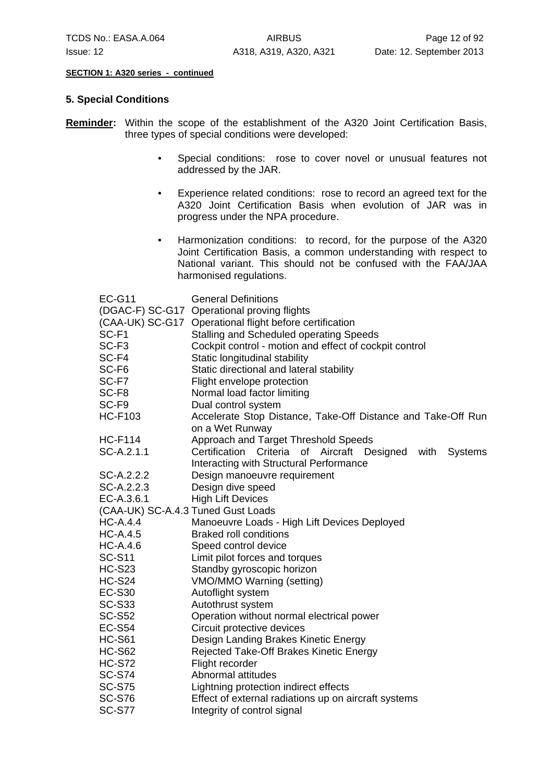### **5. Special Conditions**

- **Reminder:** Within the scope of the establishment of the A320 Joint Certification Basis, three types of special conditions were developed:
	- Special conditions: rose to cover novel or unusual features not addressed by the JAR.
	- Experience related conditions: rose to record an agreed text for the A320 Joint Certification Basis when evolution of JAR was in progress under the NPA procedure.
	- Harmonization conditions: to record, for the purpose of the A320 Joint Certification Basis, a common understanding with respect to National variant. This should not be confused with the FAA/JAA harmonised regulations.

| <b>EC-G11</b>                      | <b>General Definitions</b>                                            |
|------------------------------------|-----------------------------------------------------------------------|
|                                    | (DGAC-F) SC-G17 Operational proving flights                           |
|                                    | (CAA-UK) SC-G17 Operational flight before certification               |
| SC-F1                              | <b>Stalling and Scheduled operating Speeds</b>                        |
| SC-F <sub>3</sub>                  | Cockpit control - motion and effect of cockpit control                |
| SC-F4                              | Static longitudinal stability                                         |
| SC-F <sub>6</sub>                  | Static directional and lateral stability                              |
| SC-F7                              | Flight envelope protection                                            |
| SC-F <sub>8</sub>                  | Normal load factor limiting                                           |
| SC-F9                              | Dual control system                                                   |
| <b>HC-F103</b>                     | Accelerate Stop Distance, Take-Off Distance and Take-Off Run          |
|                                    | on a Wet Runway                                                       |
| <b>HC-F114</b>                     | Approach and Target Threshold Speeds                                  |
| SC-A.2.1.1                         | Certification<br>Criteria of Aircraft Designed with<br><b>Systems</b> |
|                                    | Interacting with Structural Performance                               |
| SC-A.2.2.2                         | Design manoeuvre requirement                                          |
| SC-A.2.2.3                         | Design dive speed                                                     |
| EC-A.3.6.1                         | <b>High Lift Devices</b>                                              |
| (CAA-UK) SC-A.4.3 Tuned Gust Loads |                                                                       |
| $HC-A.4.4$                         | Manoeuvre Loads - High Lift Devices Deployed                          |
| <b>HC-A.4.5</b>                    | <b>Braked roll conditions</b>                                         |
| $HC-A.4.6$                         | Speed control device                                                  |
| <b>SC-S11</b>                      | Limit pilot forces and torques                                        |
| <b>HC-S23</b>                      | Standby gyroscopic horizon                                            |
| <b>HC-S24</b>                      | VMO/MMO Warning (setting)                                             |
| <b>EC-S30</b>                      | Autoflight system                                                     |
| <b>SC-S33</b>                      | Autothrust system                                                     |
| <b>SC-S52</b>                      | Operation without normal electrical power                             |
| <b>EC-S54</b>                      | Circuit protective devices                                            |
| <b>HC-S61</b>                      | Design Landing Brakes Kinetic Energy                                  |
| <b>HC-S62</b>                      | Rejected Take-Off Brakes Kinetic Energy                               |
| <b>HC-S72</b>                      | Flight recorder                                                       |
| <b>SC-S74</b>                      | Abnormal attitudes                                                    |
| <b>SC-S75</b>                      | Lightning protection indirect effects                                 |
| <b>SC-S76</b>                      | Effect of external radiations up on aircraft systems                  |
| <b>SC-S77</b>                      | Integrity of control signal                                           |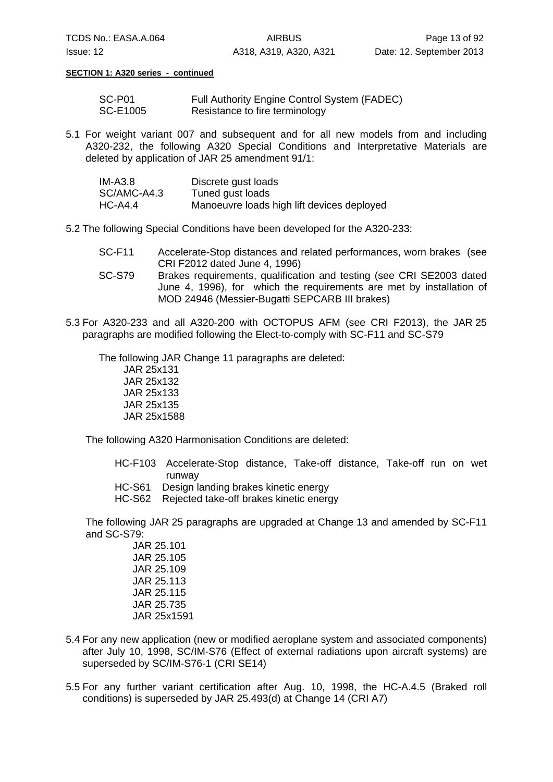| SC-P01   | Full Authority Engine Control System (FADEC) |
|----------|----------------------------------------------|
| SC-E1005 | Resistance to fire terminology               |

5.1 For weight variant 007 and subsequent and for all new models from and including A320-232, the following A320 Special Conditions and Interpretative Materials are deleted by application of JAR 25 amendment 91/1:

| IM-A3.8     | Discrete gust loads                        |
|-------------|--------------------------------------------|
| SC/AMC-A4.3 | Tuned gust loads                           |
| HC-A4.4     | Manoeuvre loads high lift devices deployed |

5.2 The following Special Conditions have been developed for the A320-233:

| $SC-F11$ | Accelerate-Stop distances and related performances, worn brakes (see |
|----------|----------------------------------------------------------------------|
|          | CRI F2012 dated June 4, 1996)                                        |

- SC-S79 Brakes requirements, qualification and testing (see CRI SE2003 dated June 4, 1996), for which the requirements are met by installation of MOD 24946 (Messier-Bugatti SEPCARB III brakes)
- 5.3 For A320-233 and all A320-200 with OCTOPUS AFM (see CRI F2013), the JAR 25 paragraphs are modified following the Elect-to-comply with SC-F11 and SC-S79

The following JAR Change 11 paragraphs are deleted:

JAR 25x131 JAR 25x132 JAR 25x133 JAR 25x135 JAR 25x1588

The following A320 Harmonisation Conditions are deleted:

- HC-F103 Accelerate-Stop distance, Take-off distance, Take-off run on wet runway
- HC-S61 Design landing brakes kinetic energy
- HC-S62 Rejected take-off brakes kinetic energy

The following JAR 25 paragraphs are upgraded at Change 13 and amended by SC-F11 and SC-S79:

> JAR 25.101 JAR 25.105 JAR 25.109 JAR 25.113 JAR 25.115 JAR 25.735 JAR 25x1591

- 5.4 For any new application (new or modified aeroplane system and associated components) after July 10, 1998, SC/IM-S76 (Effect of external radiations upon aircraft systems) are superseded by SC/IM-S76-1 (CRI SE14)
- 5.5 For any further variant certification after Aug. 10, 1998, the HC-A.4.5 (Braked roll conditions) is superseded by JAR 25.493(d) at Change 14 (CRI A7)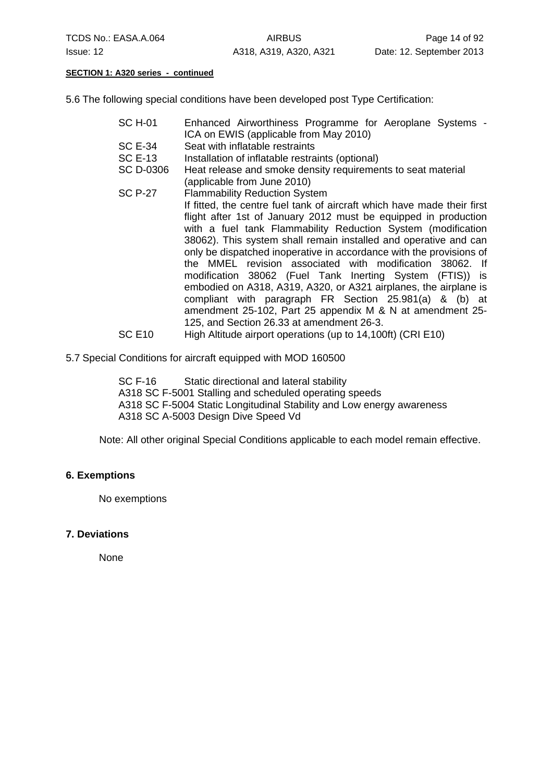5.6 The following special conditions have been developed post Type Certification:

| <b>SC H-01</b>   | Enhanced Airworthiness Programme for Aeroplane Systems -                |
|------------------|-------------------------------------------------------------------------|
|                  | ICA on EWIS (applicable from May 2010)                                  |
| <b>SC E-34</b>   | Seat with inflatable restraints                                         |
| <b>SC E-13</b>   | Installation of inflatable restraints (optional)                        |
| <b>SC D-0306</b> | Heat release and smoke density requirements to seat material            |
|                  | (applicable from June 2010)                                             |
| <b>SC P-27</b>   | <b>Flammability Reduction System</b>                                    |
|                  | If fitted, the centre fuel tank of aircraft which have made their first |
|                  | flight after 1st of January 2012 must be equipped in production         |
|                  | with a fuel tank Flammability Reduction System (modification            |
|                  | 38062). This system shall remain installed and operative and can        |
|                  | only be dispatched inoperative in accordance with the provisions of     |
|                  | the MMEL revision associated with modification 38062. If                |
|                  | modification 38062 (Fuel Tank Inerting System (FTIS)) is                |
|                  | embodied on A318, A319, A320, or A321 airplanes, the airplane is        |
|                  | compliant with paragraph FR Section 25.981(a) & (b) at                  |
|                  | amendment 25-102, Part 25 appendix M & N at amendment 25-               |
|                  | 125, and Section 26.33 at amendment 26-3.                               |
| <b>SC E10</b>    | High Altitude airport operations (up to 14,100ft) (CRI E10)             |

5.7 Special Conditions for aircraft equipped with MOD 160500

SC F-16 Static directional and lateral stability A318 SC F-5001 Stalling and scheduled operating speeds A318 SC F-5004 Static Longitudinal Stability and Low energy awareness A318 SC A-5003 Design Dive Speed Vd

Note: All other original Special Conditions applicable to each model remain effective.

# **6. Exemptions**

No exemptions

# **7. Deviations**

None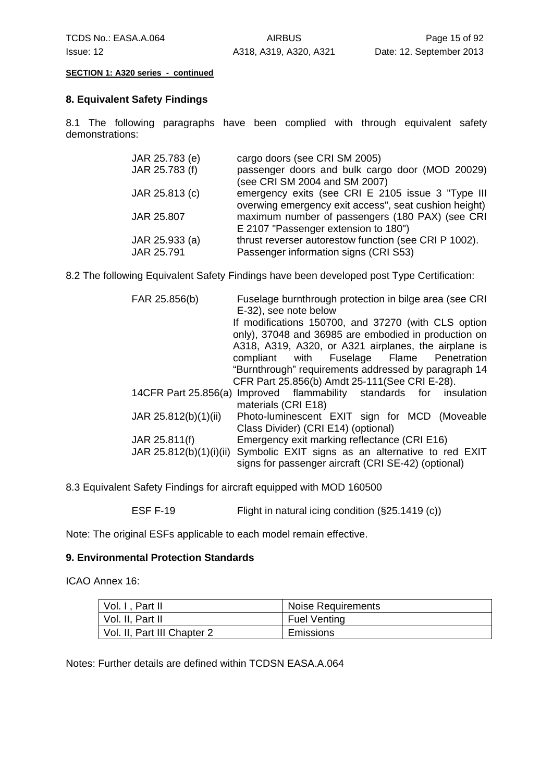### **8. Equivalent Safety Findings**

8.1 The following paragraphs have been complied with through equivalent safety demonstrations:

| JAR 25.783 (e) | cargo doors (see CRI SM 2005)                         |
|----------------|-------------------------------------------------------|
| JAR 25.783 (f) | passenger doors and bulk cargo door (MOD 20029)       |
|                | (see CRI SM 2004 and SM 2007)                         |
| JAR 25.813 (c) | emergency exits (see CRI E 2105 issue 3 "Type III     |
|                | overwing emergency exit access", seat cushion height) |
| JAR 25.807     | maximum number of passengers (180 PAX) (see CRI       |
|                | E 2107 "Passenger extension to 180")                  |
| JAR 25.933 (a) | thrust reverser autorestow function (see CRI P 1002). |
| JAR 25.791     | Passenger information signs (CRI S53)                 |

8.2 The following Equivalent Safety Findings have been developed post Type Certification:

| FAR 25.856(b)           | Fuselage burnthrough protection in bilge area (see CRI<br>E-32), see note below |
|-------------------------|---------------------------------------------------------------------------------|
|                         | If modifications 150700, and 37270 (with CLS option                             |
|                         | only), 37048 and 36985 are embodied in production on                            |
|                         | A318, A319, A320, or A321 airplanes, the airplane is                            |
|                         | compliant with Fuselage Flame Penetration                                       |
|                         | "Burnthrough" requirements addressed by paragraph 14                            |
|                         | CFR Part 25.856(b) Amdt 25-111 (See CRI E-28).                                  |
|                         | 14CFR Part 25.856(a) Improved flammability standards for insulation             |
|                         | materials (CRI E18)                                                             |
| JAR 25.812(b)(1)(ii)    | Photo-luminescent EXIT sign for MCD (Moveable                                   |
|                         | Class Divider) (CRI E14) (optional)                                             |
| JAR 25.811(f)           | Emergency exit marking reflectance (CRI E16)                                    |
| JAR 25.812(b)(1)(i)(ii) | Symbolic EXIT signs as an alternative to red EXIT                               |
|                         | signs for passenger aircraft (CRI SE-42) (optional)                             |

8.3 Equivalent Safety Findings for aircraft equipped with MOD 160500

ESF F-19 Flight in natural icing condition (§25.1419 (c))

Note: The original ESFs applicable to each model remain effective.

# **9. Environmental Protection Standards**

ICAO Annex 16:

| Vol. I, Part II             | Noise Requirements  |
|-----------------------------|---------------------|
| Vol. II, Part II            | <b>Fuel Venting</b> |
| Vol. II, Part III Chapter 2 | Emissions           |

Notes: Further details are defined within TCDSN EASA.A.064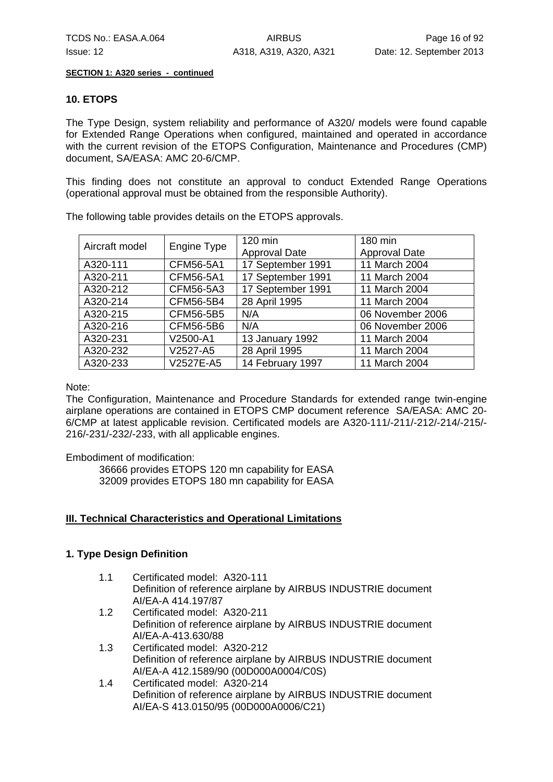### **10. ETOPS**

The Type Design, system reliability and performance of A320/ models were found capable for Extended Range Operations when configured, maintained and operated in accordance with the current revision of the ETOPS Configuration, Maintenance and Procedures (CMP) document, SA/EASA: AMC 20-6/CMP.

This finding does not constitute an approval to conduct Extended Range Operations (operational approval must be obtained from the responsible Authority).

| Aircraft model | Engine Type | 120 min           | 180 min              |
|----------------|-------------|-------------------|----------------------|
|                |             | Approval Date     | <b>Approval Date</b> |
| A320-111       | CFM56-5A1   | 17 September 1991 | 11 March 2004        |
| A320-211       | CFM56-5A1   | 17 September 1991 | 11 March 2004        |
| A320-212       | CFM56-5A3   | 17 September 1991 | 11 March 2004        |
| A320-214       | CFM56-5B4   | 28 April 1995     | 11 March 2004        |
| A320-215       | CFM56-5B5   | N/A               | 06 November 2006     |
| A320-216       | CFM56-5B6   | N/A               | 06 November 2006     |
| A320-231       | V2500-A1    | 13 January 1992   | 11 March 2004        |
| A320-232       | V2527-A5    | 28 April 1995     | 11 March 2004        |
| A320-233       | V2527E-A5   | 14 February 1997  | 11 March 2004        |

The following table provides details on the ETOPS approvals.

Note:

The Configuration, Maintenance and Procedure Standards for extended range twin-engine airplane operations are contained in ETOPS CMP document reference SA/EASA: AMC 20- 6/CMP at latest applicable revision. Certificated models are A320-111/-211/-212/-214/-215/- 216/-231/-232/-233, with all applicable engines.

Embodiment of modification:

36666 provides ETOPS 120 mn capability for EASA 32009 provides ETOPS 180 mn capability for EASA

### **III. Technical Characteristics and Operational Limitations**

# **1. Type Design Definition**

- 1.1 Certificated model: A320-111 Definition of reference airplane by AIRBUS INDUSTRIE document AI/EA-A 414.197/87
- 1.2 Certificated model: A320-211 Definition of reference airplane by AIRBUS INDUSTRIE document AI/EA-A-413.630/88
- 1.3 Certificated model: A320-212 Definition of reference airplane by AIRBUS INDUSTRIE document AI/EA-A 412.1589/90 (00D000A0004/C0S)
- 1.4 Certificated model: A320-214 Definition of reference airplane by AIRBUS INDUSTRIE document AI/EA-S 413.0150/95 (00D000A0006/C21)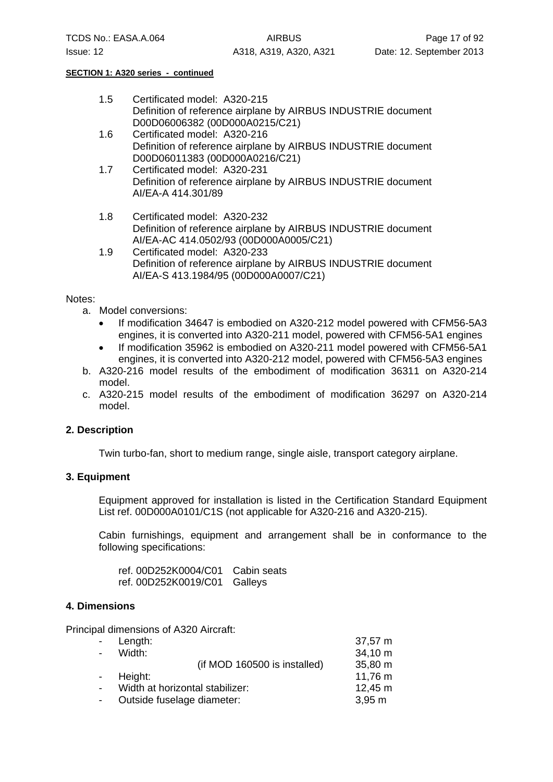- 1.5 Certificated model: A320-215 Definition of reference airplane by AIRBUS INDUSTRIE document D00D06006382 (00D000A0215/C21)
- 1.6 Certificated model: A320-216 Definition of reference airplane by AIRBUS INDUSTRIE document D00D06011383 (00D000A0216/C21)
- 1.7 Certificated model: A320-231 Definition of reference airplane by AIRBUS INDUSTRIE document AI/EA-A 414.301/89
- 1.8 Certificated model: A320-232 Definition of reference airplane by AIRBUS INDUSTRIE document AI/EA-AC 414.0502/93 (00D000A0005/C21)
- 1.9 Certificated model: A320-233 Definition of reference airplane by AIRBUS INDUSTRIE document AI/EA-S 413.1984/95 (00D000A0007/C21)

### Notes:

- a. Model conversions:
	- If modification 34647 is embodied on A320-212 model powered with CFM56-5A3 engines, it is converted into A320-211 model, powered with CFM56-5A1 engines
	- If modification 35962 is embodied on A320-211 model powered with CFM56-5A1 engines, it is converted into A320-212 model, powered with CFM56-5A3 engines
- b. A320-216 model results of the embodiment of modification 36311 on A320-214 model.
- c. A320-215 model results of the embodiment of modification 36297 on A320-214 model.

### **2. Description**

Twin turbo-fan, short to medium range, single aisle, transport category airplane.

### **3. Equipment**

Equipment approved for installation is listed in the Certification Standard Equipment List ref. 00D000A0101/C1S (not applicable for A320-216 and A320-215).

Cabin furnishings, equipment and arrangement shall be in conformance to the following specifications:

| ref. 00D252K0004/C01 Cabin seats |  |
|----------------------------------|--|
| ref. 00D252K0019/C01 Galleys     |  |

# **4. Dimensions**

Principal dimensions of A320 Aircraft:

| Length:                         | $37,57 \; m$ |
|---------------------------------|--------------|
| Width:                          | 34,10 m      |
| (if MOD 160500 is installed)    | 35,80 m      |
| Height:                         | 11,76 m      |
| Width at horizontal stabilizer: | $12,45 \; m$ |
| Outside fuselage diameter:      | $3,95 \; m$  |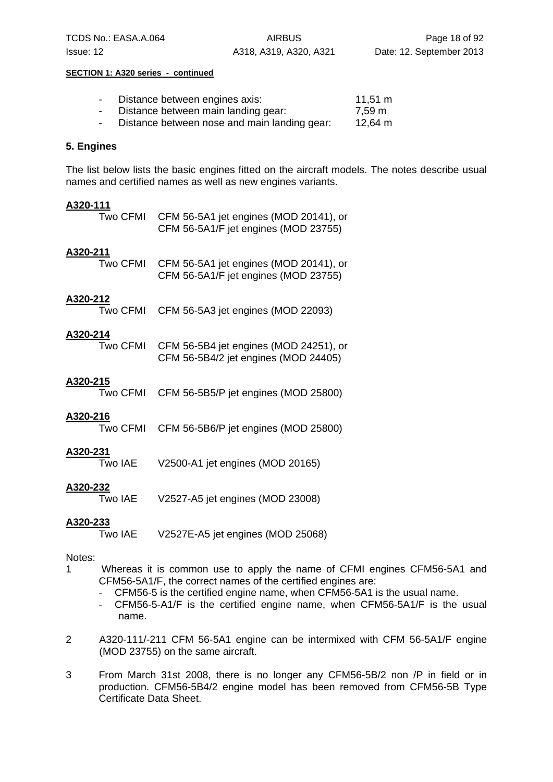| $\overline{\phantom{0}}$ | Distance between engines axis:               | $11,51 \; m$      |
|--------------------------|----------------------------------------------|-------------------|
| $\sim$                   | Distance between main landing gear:          | 7,59 m            |
| $\blacksquare$           | Distance between nose and main landing gear: | $12,64 \text{ m}$ |

### **5. Engines**

The list below lists the basic engines fitted on the aircraft models. The notes describe usual names and certified names as well as new engines variants.

### **A320-111**

| Two CFMI | CFM 56-5A1 jet engines (MOD 20141), or |
|----------|----------------------------------------|
|          | CFM 56-5A1/F jet engines (MOD 23755)   |

### **A320-211**

| Two CFMI | CFM 56-5A1 jet engines (MOD 20141), or |
|----------|----------------------------------------|
|          | CFM 56-5A1/F jet engines (MOD 23755)   |

### **A320-212**

Two CFMI CFM 56-5A3 jet engines (MOD 22093)

### **A320-214**

Two CFMI CFM 56-5B4 jet engines (MOD 24251), or CFM 56-5B4/2 jet engines (MOD 24405)

## **A320-215**

### **A320-216**

Two CFMI CFM 56-5B6/P jet engines (MOD 25800)

### **A320-231**

Two IAE V2500-A1 jet engines (MOD 20165)

## **A320-232**

 $\overline{T}$ wo IAE  $\overline{V}$  V2527-A5 jet engines (MOD 23008)

# **A320-233**

Two IAE V2527E-A5 jet engines (MOD 25068)

### Notes:

- 1 Whereas it is common use to apply the name of CFMI engines CFM56-5A1 and CFM56-5A1/F, the correct names of the certified engines are:
	- CFM56-5 is the certified engine name, when CFM56-5A1 is the usual name.
	- CFM56-5-A1/F is the certified engine name, when CFM56-5A1/F is the usual name.
- 2 A320-111/-211 CFM 56-5A1 engine can be intermixed with CFM 56-5A1/F engine (MOD 23755) on the same aircraft.
- 3 From March 31st 2008, there is no longer any CFM56-5B/2 non /P in field or in production. CFM56-5B4/2 engine model has been removed from CFM56-5B Type Certificate Data Sheet.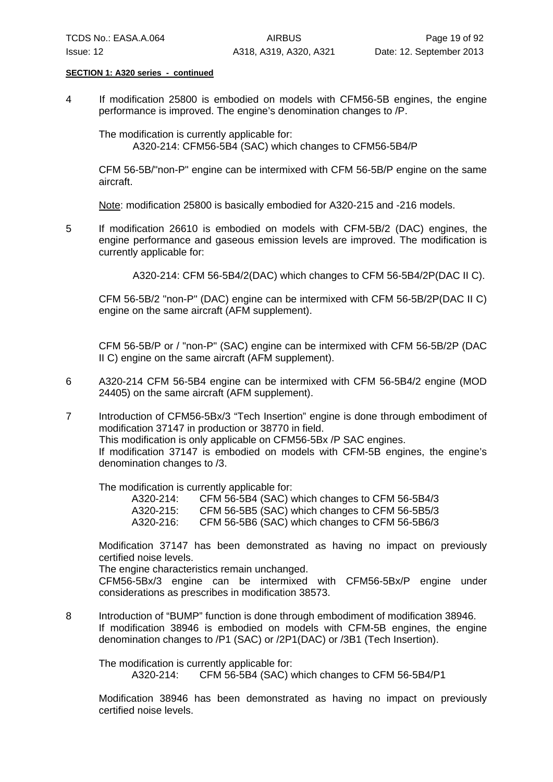4 If modification 25800 is embodied on models with CFM56-5B engines, the engine performance is improved. The engine's denomination changes to /P.

The modification is currently applicable for: A320-214: CFM56-5B4 (SAC) which changes to CFM56-5B4/P

CFM 56-5B/"non-P" engine can be intermixed with CFM 56-5B/P engine on the same aircraft.

Note: modification 25800 is basically embodied for A320-215 and -216 models.

5 If modification 26610 is embodied on models with CFM-5B/2 (DAC) engines, the engine performance and gaseous emission levels are improved. The modification is currently applicable for:

A320-214: CFM 56-5B4/2(DAC) which changes to CFM 56-5B4/2P(DAC II C).

CFM 56-5B/2 "non-P" (DAC) engine can be intermixed with CFM 56-5B/2P(DAC II C) engine on the same aircraft (AFM supplement).

CFM 56-5B/P or / "non-P" (SAC) engine can be intermixed with CFM 56-5B/2P (DAC II C) engine on the same aircraft (AFM supplement).

- 6 A320-214 CFM 56-5B4 engine can be intermixed with CFM 56-5B4/2 engine (MOD 24405) on the same aircraft (AFM supplement).
- 7 Introduction of CFM56-5Bx/3 "Tech Insertion" engine is done through embodiment of modification 37147 in production or 38770 in field. This modification is only applicable on CFM56-5Bx /P SAC engines. If modification 37147 is embodied on models with CFM-5B engines, the engine's denomination changes to /3.

The modification is currently applicable for:

| A320-214: | CFM 56-5B4 (SAC) which changes to CFM 56-5B4/3 |
|-----------|------------------------------------------------|
| A320-215: | CFM 56-5B5 (SAC) which changes to CFM 56-5B5/3 |
| A320-216: | CFM 56-5B6 (SAC) which changes to CFM 56-5B6/3 |

Modification 37147 has been demonstrated as having no impact on previously certified noise levels.

The engine characteristics remain unchanged.

CFM56-5Bx/3 engine can be intermixed with CFM56-5Bx/P engine under considerations as prescribes in modification 38573.

8 Introduction of "BUMP" function is done through embodiment of modification 38946. If modification 38946 is embodied on models with CFM-5B engines, the engine denomination changes to /P1 (SAC) or /2P1(DAC) or /3B1 (Tech Insertion).

The modification is currently applicable for: A320-214: CFM 56-5B4 (SAC) which changes to CFM 56-5B4/P1

Modification 38946 has been demonstrated as having no impact on previously certified noise levels.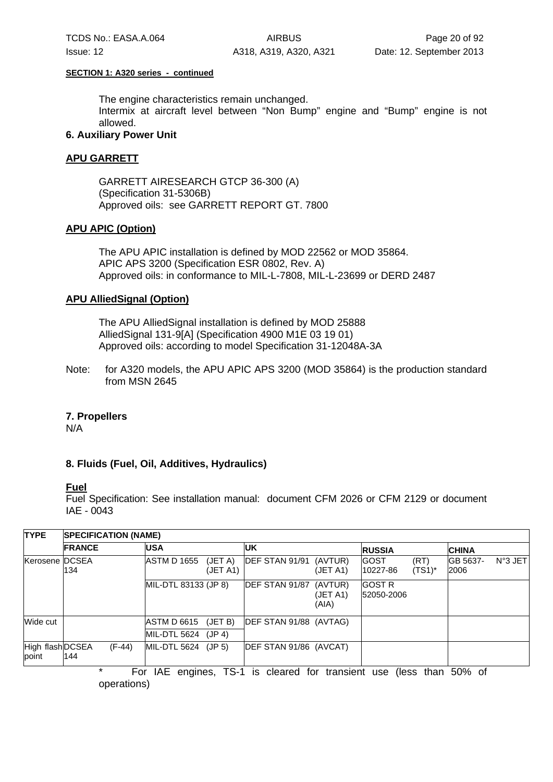The engine characteristics remain unchanged.

Intermix at aircraft level between "Non Bump" engine and "Bump" engine is not allowed.

# **6. Auxiliary Power Unit**

# **APU GARRETT**

GARRETT AIRESEARCH GTCP 36-300 (A) (Specification 31-5306B) Approved oils: see GARRETT REPORT GT. 7800

### **APU APIC (Option)**

The APU APIC installation is defined by MOD 22562 or MOD 35864. APIC APS 3200 (Specification ESR 0802, Rev. A) Approved oils: in conformance to MIL-L-7808, MIL-L-23699 or DERD 2487

### **APU AlliedSignal (Option)**

The APU AlliedSignal installation is defined by MOD 25888 AlliedSignal 131-9[A] (Specification 4900 M1E 03 19 01) Approved oils: according to model Specification 31-12048A-3A

Note: for A320 models, the APU APIC APS 3200 (MOD 35864) is the production standard from MSN 2645

### **7. Propellers**

N/A

### **8. Fluids (Fuel, Oil, Additives, Hydraulics)**

### **Fuel**

Fuel Specification: See installation manual: document CFM 2026 or CFM 2129 or document IAE - 0043

| <b>TYPE</b>               |               | <b>SPECIFICATION (NAME)</b> |                                            |                   |                                                                  |                              |                              |                   |                          |           |
|---------------------------|---------------|-----------------------------|--------------------------------------------|-------------------|------------------------------------------------------------------|------------------------------|------------------------------|-------------------|--------------------------|-----------|
|                           | <b>FRANCE</b> |                             | <b>USA</b>                                 |                   | ΙUΚ                                                              |                              | <b>RUSSIA</b>                |                   | <b>CHINA</b>             |           |
| Kerosene DCSEA            | 134           |                             | <b>ASTM D 1655</b>                         | (JET A)<br>JET A1 | DEF STAN 91/91                                                   | (AVTUR)<br>(JET A1)          | <b>IGOST</b><br>10227-86     | (RT)<br>$(TS1)^*$ | <b>IGB 5637-</b><br>2006 | $N°3$ JET |
|                           |               |                             | MIL-DTL 83133 (JP 8)                       |                   | <b>IDEF STAN 91/87</b>                                           | (AVTUR)<br>(JET A1)<br>(AIA) | <b>IGOST R</b><br>52050-2006 |                   |                          |           |
| Wide cut                  |               |                             | ASTM D 6615 (JET B)<br>MIL-DTL 5624 (JP 4) |                   | DEF STAN 91/88 (AVTAG)                                           |                              |                              |                   |                          |           |
| High flash DCSEA<br>point | 144           | $(F-44)$                    | <b>IMIL-DTL 5624 (JP 5)</b>                |                   | DEF STAN 91/86 (AVCAT)                                           |                              |                              |                   |                          |           |
|                           |               | $\star$<br>For              |                                            |                   | IAE engines, TS-1 is cleared for transient use (less than 50% of |                              |                              |                   |                          |           |

operations)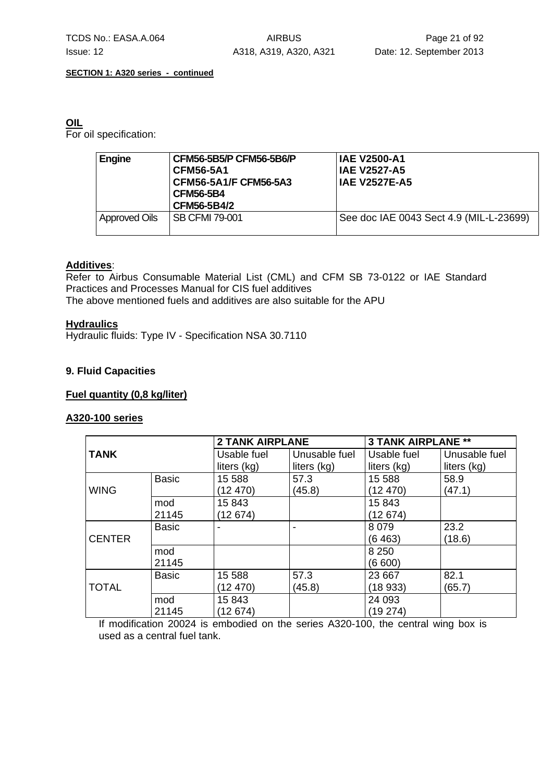# **OIL**

For oil specification:

| Engine               | <b>CFM56-5B5/P CFM56-5B6/P</b><br><b>CFM56-5A1</b><br><b>CFM56-5A1/F CFM56-5A3</b><br><b>CFM56-5B4</b><br><b>CFM56-5B4/2</b> | <b>IAE V2500-A1</b><br><b>IAE V2527-A5</b><br><b>IAE V2527E-A5</b> |
|----------------------|------------------------------------------------------------------------------------------------------------------------------|--------------------------------------------------------------------|
| <b>Approved Oils</b> | <b>SB CFMI 79-001</b>                                                                                                        | See doc IAE 0043 Sect 4.9 (MIL-L-23699)                            |

# **Additives**:

Refer to Airbus Consumable Material List (CML) and CFM SB 73-0122 or IAE Standard Practices and Processes Manual for CIS fuel additives The above mentioned fuels and additives are also suitable for the APU

# **Hydraulics**

Hydraulic fluids: Type IV - Specification NSA 30.7110

# **9. Fluid Capacities**

# **Fuel quantity (0,8 kg/liter)**

# **A320-100 series**

|               |              | <b>2 TANK AIRPLANE</b> |               | <b>3 TANK AIRPLANE **</b> |               |  |
|---------------|--------------|------------------------|---------------|---------------------------|---------------|--|
| <b>TANK</b>   |              | Usable fuel            | Unusable fuel | Usable fuel               | Unusable fuel |  |
|               |              | liters (kg)            | liters (kg)   | liters (kg)               | liters (kg)   |  |
|               | <b>Basic</b> | 15 588                 | 57.3          | 15 588                    | 58.9          |  |
| <b>WING</b>   |              | (12 470)               | (45.8)        | (12 470)                  | (47.1)        |  |
|               | mod          | 15843                  |               | 15843                     |               |  |
|               | 21145        | (12674)                |               | (12674)                   |               |  |
|               | <b>Basic</b> |                        |               | 8 0 7 9                   | 23.2          |  |
| <b>CENTER</b> |              |                        |               | (6463)                    | (18.6)        |  |
|               | mod          |                        |               | 8 2 5 0                   |               |  |
|               | 21145        |                        |               | (6600)                    |               |  |
|               | <b>Basic</b> | 15 588                 | 57.3          | 23 667                    | 82.1          |  |
| <b>TOTAL</b>  |              | (12 470)               | (45.8)        | (18933)                   | (65.7)        |  |
|               | mod          | 15843                  |               | 24 093                    |               |  |
|               | 21145        | (12 674)               |               | (19274)                   |               |  |

If modification 20024 is embodied on the series A320-100, the central wing box is used as a central fuel tank.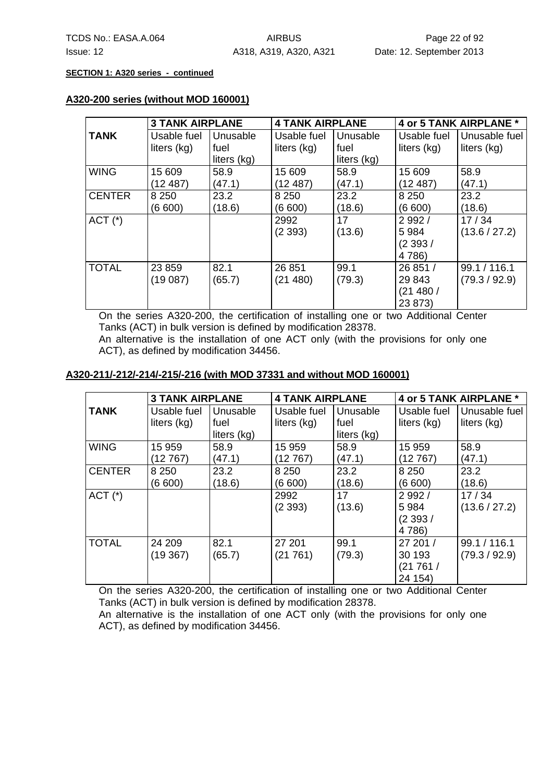### **A320-200 series (without MOD 160001)**

|               | <b>3 TANK AIRPLANE</b> |             | <b>4 TANK AIRPLANE</b> |             | 4 or 5 TANK AIRPLANE * |               |
|---------------|------------------------|-------------|------------------------|-------------|------------------------|---------------|
| <b>TANK</b>   | Usable fuel            | Unusable    | Usable fuel            | Unusable    | Usable fuel            | Unusable fuel |
|               | liters (kg)            | fuel        | liters (kg)            | fuel        | liters (kg)            | liters (kg)   |
|               |                        | liters (kg) |                        | liters (kg) |                        |               |
| <b>WING</b>   | 15 609                 | 58.9        | 15 609                 | 58.9        | 15 609                 | 58.9          |
|               | (12 487)               | (47.1)      | (12487)                | (47.1)      | (12487)                | (47.1)        |
| <b>CENTER</b> | 8 2 5 0                | 23.2        | 8 2 5 0                | 23.2        | 8 2 5 0                | 23.2          |
|               | (6600)                 | (18.6)      | (6600)                 | (18.6)      | (6600)                 | (18.6)        |
| $ACT (*)$     |                        |             | 2992                   | 17          | 2 9 9 2 /              | 17/34         |
|               |                        |             | (2393)                 | (13.6)      | 5 9 8 4                | (13.6 / 27.2) |
|               |                        |             |                        |             | (2393/                 |               |
|               |                        |             |                        |             | 4786)                  |               |
| <b>TOTAL</b>  | 23 859                 | 82.1        | 26 851                 | 99.1        | 26 851 /               | 99.1 / 116.1  |
|               | (19 087)               | (65.7)      | (21 480)               | (79.3)      | 29 843                 | (79.3 / 92.9) |
|               |                        |             |                        |             | (21480/                |               |
|               |                        |             |                        |             | 23 873)                |               |

On the series A320-200, the certification of installing one or two Additional Center Tanks (ACT) in bulk version is defined by modification 28378. An alternative is the installation of one ACT only (with the provisions for only one ACT), as defined by modification 34456.

# **A320-211/-212/-214/-215/-216 (with MOD 37331 and without MOD 160001)**

|               | <b>3 TANK AIRPLANE</b> |             | <b>4 TANK AIRPLANE</b> |             | 4 or 5 TANK AIRPLANE * |               |  |
|---------------|------------------------|-------------|------------------------|-------------|------------------------|---------------|--|
| <b>TANK</b>   | Usable fuel            | Unusable    | Usable fuel            | Unusable    | Usable fuel            | Unusable fuel |  |
|               | liters (kg)            | fuel        | liters (kg)            | fuel        | liters (kg)            | liters (kg)   |  |
|               |                        | liters (kg) |                        | liters (kg) |                        |               |  |
| <b>WING</b>   | 15 959                 | 58.9        | 15 959                 | 58.9        | 15 959                 | 58.9          |  |
|               | (12 767)               | (47.1)      | (12 767)               | (47.1)      | (12 767)               | (47.1)        |  |
| <b>CENTER</b> | 8 2 5 0                | 23.2        | 8 2 5 0                | 23.2        | 8 2 5 0                | 23.2          |  |
|               | (6600)                 | (18.6)      | (6600)                 | (18.6)      | (6600)                 | (18.6)        |  |
| $ACT (*)$     |                        |             | 2992                   | 17          | 2 9 9 2 /              | 17/34         |  |
|               |                        |             | (2393)                 | (13.6)      | 5 9 8 4                | (13.6 / 27.2) |  |
|               |                        |             |                        |             | (2393/                 |               |  |
|               |                        |             |                        |             | 4 786)                 |               |  |
| <b>TOTAL</b>  | 24 209                 | 82.1        | 27 201                 | 99.1        | 27 201 /               | 99.1 / 116.1  |  |
|               | (19 367)               | (65.7)      | (21761)                | (79.3)      | 30 193                 | (79.3 / 92.9) |  |
|               |                        |             |                        |             | (21761/                |               |  |
|               |                        |             |                        |             | 24 154)                |               |  |

On the series A320-200, the certification of installing one or two Additional Center Tanks (ACT) in bulk version is defined by modification 28378.

An alternative is the installation of one ACT only (with the provisions for only one ACT), as defined by modification 34456.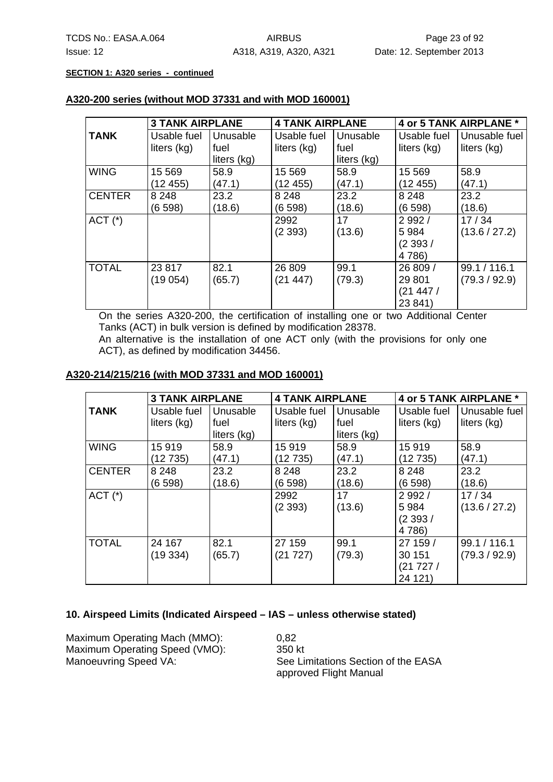|               | <b>3 TANK AIRPLANE</b> |             | <b>4 TANK AIRPLANE</b> |             | 4 or 5 TANK AIRPLANE * |               |
|---------------|------------------------|-------------|------------------------|-------------|------------------------|---------------|
| <b>TANK</b>   | Usable fuel            | Unusable    | Usable fuel            | Unusable    | Usable fuel            | Unusable fuel |
|               | liters (kg)            | fuel        | liters (kg)            | fuel        | liters (kg)            | liters (kg)   |
|               |                        | liters (kg) |                        | liters (kg) |                        |               |
| <b>WING</b>   | 15 5 69                | 58.9        | 15 5 69                | 58.9        | 15 5 69                | 58.9          |
|               | (12455)                | (47.1)      | (12455)                | (47.1)      | (12455)                | (47.1)        |
| <b>CENTER</b> | 8 2 4 8                | 23.2        | 8 2 4 8                | 23.2        | 8 2 4 8                | 23.2          |
|               | (6598)                 | (18.6)      | (6598)                 | (18.6)      | (6598)                 | (18.6)        |
| $ACT (*)$     |                        |             | 2992                   | 17          | 2 9 9 2 /              | 17/34         |
|               |                        |             | (2393)                 | (13.6)      | 5 9 8 4                | (13.6 / 27.2) |
|               |                        |             |                        |             | (2393/                 |               |
|               |                        |             |                        |             | 4 786)                 |               |
| <b>TOTAL</b>  | 23 817                 | 82.1        | 26 809                 | 99.1        | 26 809 /               | 99.1 / 116.1  |
|               | (19054)                | (65.7)      | (21447)                | (79.3)      | 29 801                 | (79.3 / 92.9) |
|               |                        |             |                        |             | (21447/                |               |
|               |                        |             |                        |             | 23 841)                |               |

### **A320-200 series (without MOD 37331 and with MOD 160001)**

On the series A320-200, the certification of installing one or two Additional Center Tanks (ACT) in bulk version is defined by modification 28378. An alternative is the installation of one ACT only (with the provisions for only one ACT), as defined by modification 34456.

# **A320-214/215/216 (with MOD 37331 and MOD 160001)**

|               | <b>3 TANK AIRPLANE</b> |             | <b>4 TANK AIRPLANE</b> |             | 4 or 5 TANK AIRPLANE * |               |
|---------------|------------------------|-------------|------------------------|-------------|------------------------|---------------|
| <b>TANK</b>   | Usable fuel            | Unusable    | Usable fuel            | Unusable    | Usable fuel            | Unusable fuel |
|               | liters (kg)            | fuel        | liters (kg)            | fuel        | liters (kg)            | liters (kg)   |
|               |                        | liters (kg) |                        | liters (kg) |                        |               |
| <b>WING</b>   | 15919                  | 58.9        | 15919                  | 58.9        | 15919                  | 58.9          |
|               | (12735)                | (47.1)      | (12735)                | (47.1)      | (12735)                | (47.1)        |
| <b>CENTER</b> | 8 2 4 8                | 23.2        | 8 2 4 8                | 23.2        | 8 2 4 8                | 23.2          |
|               | (6598)                 | (18.6)      | (6598)                 | (18.6)      | (6598)                 | (18.6)        |
| $ACT (*)$     |                        |             | 2992                   | 17          | 2 9 9 2 /              | 17/34         |
|               |                        |             | (2393)                 | (13.6)      | 5 9 8 4                | (13.6 / 27.2) |
|               |                        |             |                        |             | (2393/                 |               |
|               |                        |             |                        |             | 4 786)                 |               |
| <b>TOTAL</b>  | 24 167                 | 82.1        | 27 159                 | 99.1        | 27 159 /               | 99.1 / 116.1  |
|               | (19 334)               | (65.7)      | (21 727)               | (79.3)      | 30 151                 | (79.3 / 92.9) |
|               |                        |             |                        |             | (21727/                |               |
|               |                        |             |                        |             | 24 121)                |               |

# **10. Airspeed Limits (Indicated Airspeed – IAS – unless otherwise stated)**

Maximum Operating Mach (MMO): 0,82 Maximum Operating Speed (VMO): 350 kt

Manoeuvring Speed VA: See Limitations Section of the EASA approved Flight Manual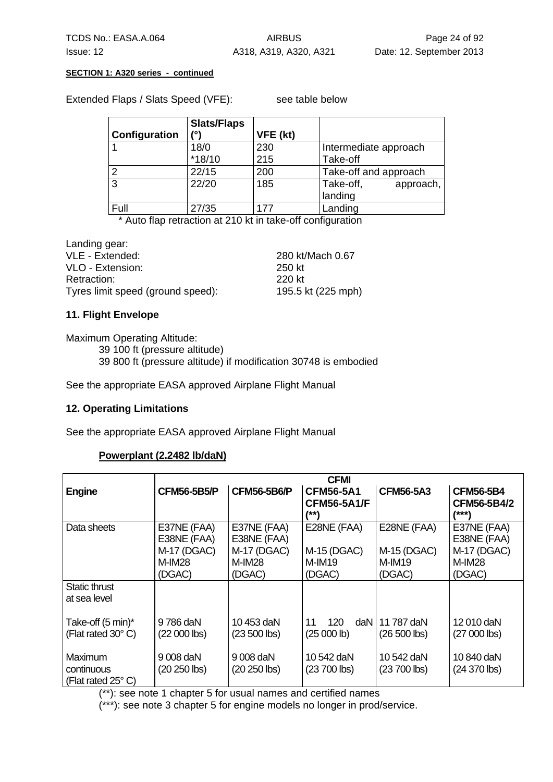Extended Flaps / Slats Speed (VFE): see table below

|               | <b>Slats/Flaps</b> |          |                        |
|---------------|--------------------|----------|------------------------|
| Configuration | ٬٥١                | VFE (kt) |                        |
|               | 18/0               | 230      | Intermediate approach  |
|               | $*18/10$           | 215      | Take-off               |
| 2             | 22/15              | 200      | Take-off and approach  |
| 3             | 22/20              | 185      | Take-off,<br>approach, |
|               |                    |          | landing                |
| Full          | 27/35              | 177      | Landing                |

\* Auto flap retraction at 210 kt in take-off configuration

| Landing gear:                     |                    |
|-----------------------------------|--------------------|
| VLE - Extended:                   | 280 kt/Mach 0.67   |
| VLO - Extension:                  | 250 kt             |
| Retraction:                       | 220 kt             |
| Tyres limit speed (ground speed): | 195.5 kt (225 mph) |

# **11. Flight Envelope**

Maximum Operating Altitude:

- 39 100 ft (pressure altitude)
- 39 800 ft (pressure altitude) if modification 30748 is embodied

See the appropriate EASA approved Airplane Flight Manual

### **12. Operating Limitations**

See the appropriate EASA approved Airplane Flight Manual

# **Powerplant (2.2482 lb/daN)**

|                                                      | <b>CFMI</b>                                                |                                                            |                                                |                                             |                                                            |  |  |  |
|------------------------------------------------------|------------------------------------------------------------|------------------------------------------------------------|------------------------------------------------|---------------------------------------------|------------------------------------------------------------|--|--|--|
| Engine                                               | <b>CFM56-5B5/P</b>                                         | <b>CFM56-5B6/P</b>                                         | <b>CFM56-5A1</b><br><b>CFM56-5A1/F</b><br>/**\ | <b>CFM56-5A3</b>                            | <b>CFM56-5B4</b><br>CFM56-5B4/2<br>/***\                   |  |  |  |
| Data sheets                                          | E37NE (FAA)<br>E38NE (FAA)<br>M-17 (DGAC)<br><b>M-IM28</b> | E37NE (FAA)<br>E38NE (FAA)<br>M-17 (DGAC)<br><b>M-IM28</b> | E28NE (FAA)<br>M-15 (DGAC)<br><b>M-IM19</b>    | E28NE (FAA)<br>M-15 (DGAC)<br><b>M-IM19</b> | E37NE (FAA)<br>E38NE (FAA)<br>M-17 (DGAC)<br><b>M-IM28</b> |  |  |  |
|                                                      | (DGAC)                                                     | (DGAC)                                                     | (DGAC)                                         | (DGAC)                                      | (DGAC)                                                     |  |  |  |
| <b>Static thrust</b><br>at sea level                 |                                                            |                                                            |                                                |                                             |                                                            |  |  |  |
| Take-off (5 min)*<br>(Flat rated 30°C)               | 9786 daN<br>(22 000 lbs)                                   | 10453 daN<br>$(23 500$ lbs)                                | 120<br>daN l<br>11<br>$(25000 \, \text{lb})$   | 11 787 daN<br>$(26 500$ lbs)                | 12 010 daN<br>$(27 000$ lbs)                               |  |  |  |
| Maximum<br>continuous<br>(Flat rated $25^{\circ}$ C) | 9 008 daN<br>(20 250 lbs)                                  | 9 008 daN<br>$(20 250$ lbs)                                | 10 542 daN<br>$(23700$ lbs)                    | 10 542 daN<br>$(23700$ lbs)                 | 10 840 daN<br>$(24 370$ lbs)                               |  |  |  |

(\*\*): see note 1 chapter 5 for usual names and certified names

(\*\*\*): see note 3 chapter 5 for engine models no longer in prod/service.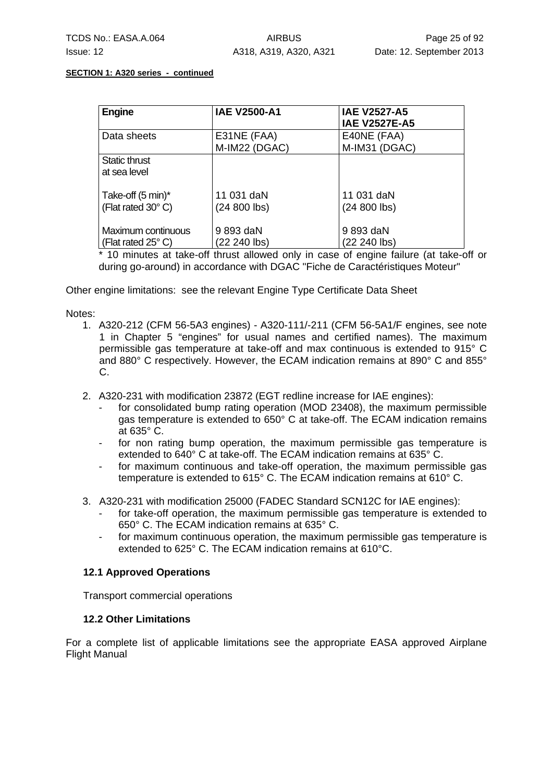| <b>Engine</b>                                     | <b>IAE V2500-A1</b>          | <b>IAE V2527-A5</b><br><b>IAE V2527E-A5</b> |
|---------------------------------------------------|------------------------------|---------------------------------------------|
| Data sheets                                       | E31NE (FAA)<br>M-IM22 (DGAC) | E40NE (FAA)<br>M-IM31 (DGAC)                |
| Static thrust<br>at sea level                     |                              |                                             |
| Take-off (5 min)*<br>(Flat rated $30^{\circ}$ C)  | 11 031 daN<br>$(24 800$ lbs) | 11 031 daN<br>$(24 800$ lbs)                |
| Maximum continuous<br>(Flat rated $25^{\circ}$ C) | 9893 daN<br>(22 240 lbs)     | 9893 daN<br>(22 240 lbs)                    |

\* 10 minutes at take-off thrust allowed only in case of engine failure (at take-off or during go-around) in accordance with DGAC "Fiche de Caractéristiques Moteur"

Other engine limitations: see the relevant Engine Type Certificate Data Sheet

### Notes:

- 1. A320-212 (CFM 56-5A3 engines) A320-111/-211 (CFM 56-5A1/F engines, see note 1 in Chapter 5 "engines" for usual names and certified names). The maximum permissible gas temperature at take-off and max continuous is extended to 915° C and 880° C respectively. However, the ECAM indication remains at 890° C and 855° C.
- 2. A320-231 with modification 23872 (EGT redline increase for IAE engines):
	- for consolidated bump rating operation (MOD 23408), the maximum permissible gas temperature is extended to 650° C at take-off. The ECAM indication remains at 635° C.
	- for non rating bump operation, the maximum permissible gas temperature is extended to 640° C at take-off. The ECAM indication remains at 635° C.
	- for maximum continuous and take-off operation, the maximum permissible gas temperature is extended to 615° C. The ECAM indication remains at 610° C.
- 3. A320-231 with modification 25000 (FADEC Standard SCN12C for IAE engines):
	- for take-off operation, the maximum permissible gas temperature is extended to 650° C. The ECAM indication remains at 635° C.
	- for maximum continuous operation, the maximum permissible gas temperature is extended to 625° C. The ECAM indication remains at 610°C.

# **12.1 Approved Operations**

Transport commercial operations

### **12.2 Other Limitations**

For a complete list of applicable limitations see the appropriate EASA approved Airplane Flight Manual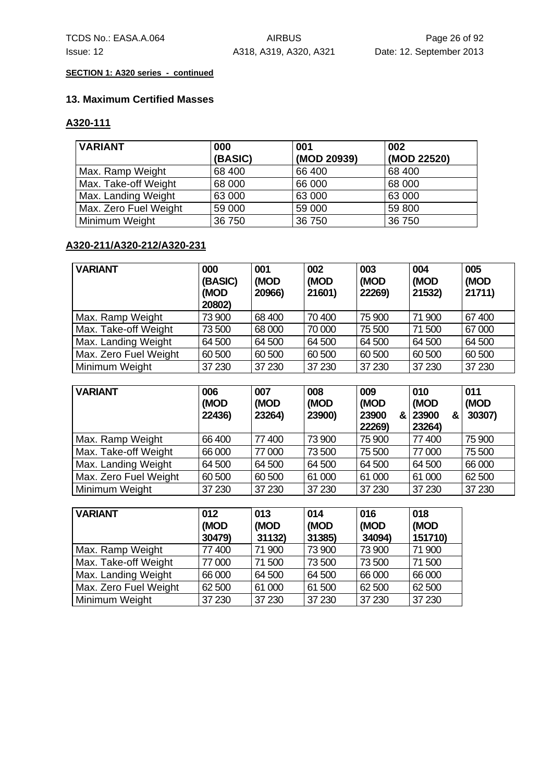# **13. Maximum Certified Masses**

# **A320-111**

| <b>VARIANT</b>        | 000<br>(BASIC) | 001<br>(MOD 20939) | 002<br>(MOD 22520) |
|-----------------------|----------------|--------------------|--------------------|
| Max. Ramp Weight      | 68 400         | 66 400             | 68 400             |
| Max. Take-off Weight  | 68 000         | 66 000             | 68 000             |
| Max. Landing Weight   | 63 000         | 63 000             | 63 000             |
| Max. Zero Fuel Weight | 59 000         | 59 000             | 59 800             |
| Minimum Weight        | 36 750         | 36 750             | 36 750             |

# **A320-211/A320-212/A320-231**

| <b>VARIANT</b>        | 000<br>(BASIC)<br>(MOD<br>20802) | 001<br>(MOD<br>20966) | 002<br>(MOD<br>21601) | 003<br>(MOD<br>22269) | 004<br>(MOD<br>21532) | 005<br>(MOD<br>21711) |
|-----------------------|----------------------------------|-----------------------|-----------------------|-----------------------|-----------------------|-----------------------|
| Max. Ramp Weight      | 73 900                           | 68400                 | 70 400                | 75 900                | 71 900                | 67400                 |
| Max. Take-off Weight  | 73500                            | 68 000                | 70 000                | 75 500                | 71500                 | 67 000                |
| Max. Landing Weight   | 64 500                           | 64 500                | 64 500                | 64 500                | 64 500                | 64 500                |
| Max. Zero Fuel Weight | 60 500                           | 60 500                | 60 500                | 60 500                | 60 500                | 60 500                |
| Minimum Weight        | 37 230                           | 37 230                | 37 230                | 37 230                | 37 230                | 37 230                |

| <b>VARIANT</b>        | 006<br>(MOD<br>22436) | 007<br>(MOD<br>23264) | 008<br>(MOD<br>23900) | 009<br>(MOD<br>23900<br>22269) | 010<br>(MOD<br>& 23900<br>&<br>23264) | 011<br>(MOD<br>30307) |
|-----------------------|-----------------------|-----------------------|-----------------------|--------------------------------|---------------------------------------|-----------------------|
| Max. Ramp Weight      | 66 400                | 77400                 | 73 900                | 75 900                         | 77400                                 | 75 900                |
| Max. Take-off Weight  | 66 000                | 77000                 | 73500                 | 75 500                         | 77000                                 | 75 500                |
| Max. Landing Weight   | 64 500                | 64 500                | 64 500                | 64 500                         | 64 500                                | 66 000                |
| Max. Zero Fuel Weight | 60 500                | 60 500                | 61 000                | 61 000                         | 61 000                                | 62 500                |
| Minimum Weight        | 37 230                | 37 230                | 37 230                | 37 230                         | 37 230                                | 37 230                |

| <b>VARIANT</b>        | 012<br>(MOD<br>30479) | 013<br>(MOD<br>31132) | 014<br>(MOD<br>31385) | 016<br>(MOD<br>34094) | 018<br>(MOD<br>151710) |
|-----------------------|-----------------------|-----------------------|-----------------------|-----------------------|------------------------|
| Max. Ramp Weight      | 77 400                | 71 900                | 73 900                | 73 900                | 71 900                 |
| Max. Take-off Weight  | 77 000                | 71 500                | 73500                 | 73500                 | 71 500                 |
| Max. Landing Weight   | 66 000                | 64 500                | 64 500                | 66 000                | 66 000                 |
| Max. Zero Fuel Weight | 62 500                | 61 000                | 61 500                | 62 500                | 62 500                 |
| Minimum Weight        | 37 230                | 37 230                | 37 230                | 37 230                | 37 230                 |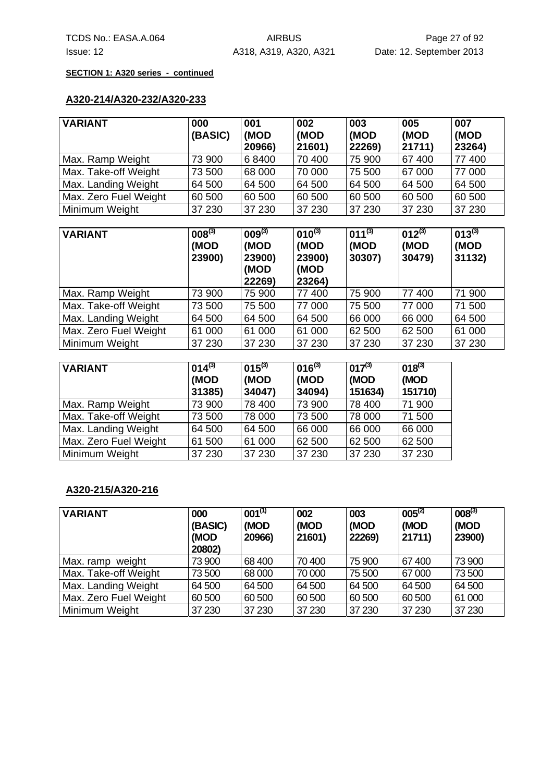# Issue: 12 A318, A319, A320, A321 Date: 12. September 2013

# **SECTION 1: A320 series - continued**

# **A320-214/A320-232/A320-233**

| <b>VARIANT</b>        | 000<br>(BASIC) | 001<br>(MOD<br>20966) | 002<br>(MOD<br>21601) | 003<br>(MOD<br>22269) | 005<br>(MOD<br>21711) | 007<br>(MOD<br>23264) |
|-----------------------|----------------|-----------------------|-----------------------|-----------------------|-----------------------|-----------------------|
| Max. Ramp Weight      | 73 900         | 68400                 | 70 400                | 75 900                | 67 400                | 77 400                |
| Max. Take-off Weight  | 73 500         | 68 000                | 70 000                | 75 500                | 67 000                | 77 000                |
| Max. Landing Weight   | 64 500         | 64 500                | 64 500                | 64 500                | 64 500                | 64 500                |
| Max. Zero Fuel Weight | 60 500         | 60 500                | 60 500                | 60 500                | 60 500                | 60 500                |
| Minimum Weight        | 37 230         | 37 230                | 37 230                | 37 230                | 37 230                | 37 230                |

| <b>VARIANT</b>        | $008^{(3)}$<br>(MOD<br>23900) | $009^{(3)}$<br>(MOD<br>23900)<br>(MOD<br>22269) | $010^{(3)}$<br>(MOD<br>23900)<br>(MOD<br>23264) | $011^{(3)}$<br>(MOD<br>30307) | $012^{(3)}$<br>(MOD<br>30479) | $013^{(3)}$<br>(MOD<br>31132) |
|-----------------------|-------------------------------|-------------------------------------------------|-------------------------------------------------|-------------------------------|-------------------------------|-------------------------------|
| Max. Ramp Weight      | 73 900                        | 75 900                                          | 77 400                                          | 75 900                        | 77 400                        | 71 900                        |
| Max. Take-off Weight  | 73 500                        | 75 500                                          | 77 000                                          | 75 500                        | 77 000                        | 71 500                        |
| Max. Landing Weight   | 64 500                        | 64 500                                          | 64 500                                          | 66 000                        | 66 000                        | 64 500                        |
| Max. Zero Fuel Weight | 61 000                        | 61 000                                          | 61 000                                          | 62 500                        | 62 500                        | 61 000                        |
| Minimum Weight        | 37 230                        | 37 230                                          | 37 230                                          | 37 230                        | 37 230                        | 37 230                        |

| <b>VARIANT</b>        | $014^{(3)}$<br>(MOD<br>31385) | $015^{(3)}$<br>(MOD<br>34047) | $016^{(3)}$<br>(MOD<br>34094) | $017^{(3)}$<br>(MOD<br>151634) | $018^{(3)}$<br>(MOD<br>151710) |
|-----------------------|-------------------------------|-------------------------------|-------------------------------|--------------------------------|--------------------------------|
| Max. Ramp Weight      | 73 900                        | 78 400                        | 73 900                        | 78 400                         | 71 900                         |
| Max. Take-off Weight  | 73 500                        | 78 000                        | 73 500                        | 78 000                         | 71 500                         |
| Max. Landing Weight   | 64 500                        | 64 500                        | 66 000                        | 66 000                         | 66 000                         |
| Max. Zero Fuel Weight | 61 500                        | 61 000                        | 62 500                        | 62 500                         | 62 500                         |
| Minimum Weight        | 37 230                        | 37 230                        | 37 230                        | 37 230                         | 37 230                         |

# **A320-215/A320-216**

| <b>VARIANT</b>        | 000<br>(BASIC)<br>(MOD<br>20802) | $001^{(1)}$<br>(MOD<br>20966) | 002<br>(MOD<br>21601) | 003<br>(MOD<br>22269) | $005^{(2)}$<br>(MOD<br>21711) | $008^{(3)}$<br>(MOD<br>23900) |
|-----------------------|----------------------------------|-------------------------------|-----------------------|-----------------------|-------------------------------|-------------------------------|
| Max. ramp weight      | 73 900                           | 68400                         | 70 400                | 75 900                | 67400                         | 73 900                        |
| Max. Take-off Weight  | 73 500                           | 68 000                        | 70 000                | 75 500                | 67 000                        | 73500                         |
| Max. Landing Weight   | 64 500                           | 64 500                        | 64 500                | 64 500                | 64 500                        | 64 500                        |
| Max. Zero Fuel Weight | 60 500                           | 60 500                        | 60 500                | 60 500                | 60 500                        | 61 000                        |
| Minimum Weight        | 37 230                           | 37 230                        | 37 230                | 37 230                | 37 230                        | 37 230                        |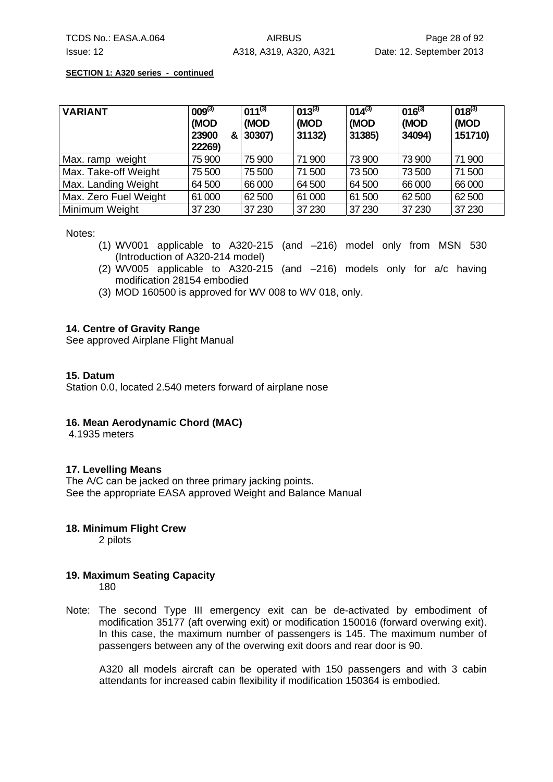| <b>VARIANT</b>        | $009^{(3)}$<br>(MOD<br>23900<br>&<br>22269) | $011^{(3)}$<br>(MOD<br>30307) | $013^{(3)}$<br>(MOD<br>31132) | $014^{(3)}$<br>(MOD<br>31385) | $016^{(3)}$<br>(MOD<br>34094) | $018^{(3)}$<br>(MOD<br>151710) |
|-----------------------|---------------------------------------------|-------------------------------|-------------------------------|-------------------------------|-------------------------------|--------------------------------|
| Max. ramp weight      | 75 900                                      | 75 900                        | 71 900                        | 73 900                        | 73 900                        | 71 900                         |
| Max. Take-off Weight  | 75 500                                      | 75 500                        | 71 500                        | 73500                         | 73500                         | 71500                          |
| Max. Landing Weight   | 64 500                                      | 66 000                        | 64 500                        | 64 500                        | 66 000                        | 66 000                         |
| Max. Zero Fuel Weight | 61 000                                      | 62 500                        | 61 000                        | 61 500                        | 62 500                        | 62 500                         |
| Minimum Weight        | 37 230                                      | 37 230                        | 37 230                        | 37 230                        | 37 230                        | 37 230                         |

Notes:

- (1) WV001 applicable to A320-215 (and –216) model only from MSN 530 (Introduction of A320-214 model)
- (2) WV005 applicable to A320-215 (and –216) models only for a/c having modification 28154 embodied
- (3) MOD 160500 is approved for WV 008 to WV 018, only.

### **14. Centre of Gravity Range**

See approved Airplane Flight Manual

### **15. Datum**

Station 0.0, located 2.540 meters forward of airplane nose

### **16. Mean Aerodynamic Chord (MAC)**

4.1935 meters

### **17. Levelling Means**

The A/C can be jacked on three primary jacking points. See the appropriate EASA approved Weight and Balance Manual

# **18. Minimum Flight Crew**

2 pilots

### **19. Maximum Seating Capacity**  180

- 
- Note: The second Type III emergency exit can be de-activated by embodiment of modification 35177 (aft overwing exit) or modification 150016 (forward overwing exit). In this case, the maximum number of passengers is 145. The maximum number of passengers between any of the overwing exit doors and rear door is 90.

A320 all models aircraft can be operated with 150 passengers and with 3 cabin attendants for increased cabin flexibility if modification 150364 is embodied.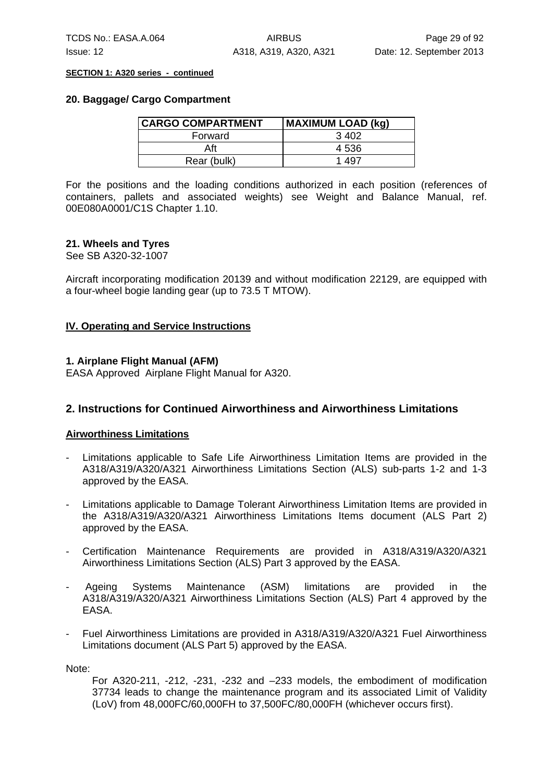### **20. Baggage/ Cargo Compartment**

| <b>CARGO COMPARTMENT</b> | <b>MAXIMUM LOAD (kg)</b> |
|--------------------------|--------------------------|
| Forward                  | 3402                     |
| Aft                      | 4 536                    |
| Rear (bulk)              | 1 497                    |

For the positions and the loading conditions authorized in each position (references of containers, pallets and associated weights) see Weight and Balance Manual, ref. 00E080A0001/C1S Chapter 1.10.

### **21. Wheels and Tyres**

See SB A320-32-1007

Aircraft incorporating modification 20139 and without modification 22129, are equipped with a four-wheel bogie landing gear (up to 73.5 T MTOW).

### **IV. Operating and Service Instructions**

### **1. Airplane Flight Manual (AFM)**

EASA Approved Airplane Flight Manual for A320.

### **2. Instructions for Continued Airworthiness and Airworthiness Limitations**

### **Airworthiness Limitations**

- Limitations applicable to Safe Life Airworthiness Limitation Items are provided in the A318/A319/A320/A321 Airworthiness Limitations Section (ALS) sub-parts 1-2 and 1-3 approved by the EASA.
- Limitations applicable to Damage Tolerant Airworthiness Limitation Items are provided in the A318/A319/A320/A321 Airworthiness Limitations Items document (ALS Part 2) approved by the EASA.
- Certification Maintenance Requirements are provided in A318/A319/A320/A321 Airworthiness Limitations Section (ALS) Part 3 approved by the EASA.
- Ageing Systems Maintenance (ASM) limitations are provided in the A318/A319/A320/A321 Airworthiness Limitations Section (ALS) Part 4 approved by the EASA.
- Fuel Airworthiness Limitations are provided in A318/A319/A320/A321 Fuel Airworthiness Limitations document (ALS Part 5) approved by the EASA.

Note:

For A320-211, -212, -231, -232 and –233 models, the embodiment of modification 37734 leads to change the maintenance program and its associated Limit of Validity (LoV) from 48,000FC/60,000FH to 37,500FC/80,000FH (whichever occurs first).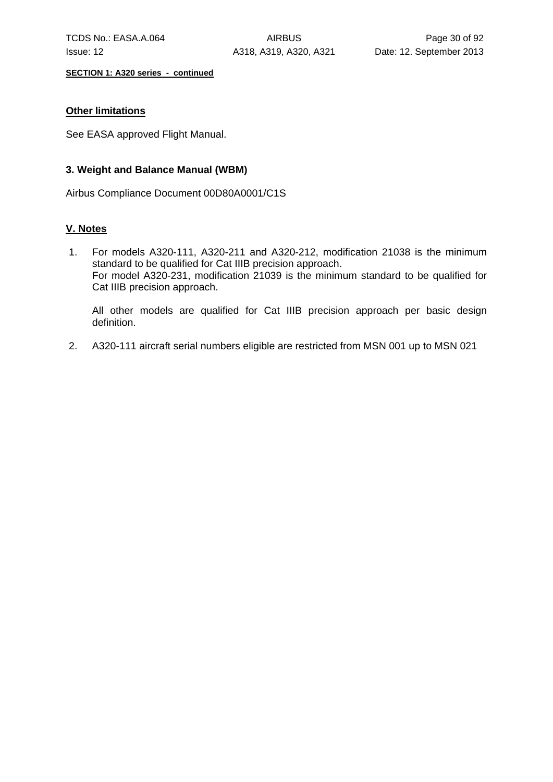# **Other limitations**

See EASA approved Flight Manual.

# **3. Weight and Balance Manual (WBM)**

Airbus Compliance Document 00D80A0001/C1S

# **V. Notes**

1. For models A320-111, A320-211 and A320-212, modification 21038 is the minimum standard to be qualified for Cat IIIB precision approach. For model A320-231, modification 21039 is the minimum standard to be qualified for Cat IIIB precision approach.

 All other models are qualified for Cat IIIB precision approach per basic design definition.

2. A320-111 aircraft serial numbers eligible are restricted from MSN 001 up to MSN 021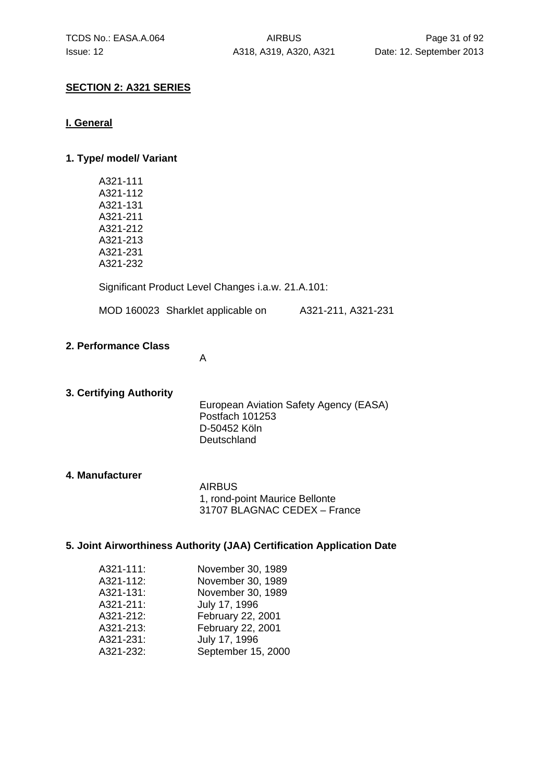# **SECTION 2: A321 SERIES**

# **I. General**

# **1. Type/ model/ Variant**

A321-111 A321-112 A321-131 A321-211 A321-212 A321-213 A321-231 A321-232

Significant Product Level Changes i.a.w. 21.A.101:

MOD 160023 Sharklet applicable on A321-211, A321-231

# **2. Performance Class**

A

### **3. Certifying Authority**

 European Aviation Safety Agency (EASA) Postfach 101253 D-50452 Köln **Deutschland** 

### **4. Manufacturer**

 AIRBUS 1, rond-point Maurice Bellonte 31707 BLAGNAC CEDEX – France

# **5. Joint Airworthiness Authority (JAA) Certification Application Date**

| A321-111: | November 30, 1989  |
|-----------|--------------------|
| A321-112: | November 30, 1989  |
| A321-131: | November 30, 1989  |
| A321-211: | July 17, 1996      |
| A321-212: | February 22, 2001  |
| A321-213: | February 22, 2001  |
| A321-231: | July 17, 1996      |
| A321-232: | September 15, 2000 |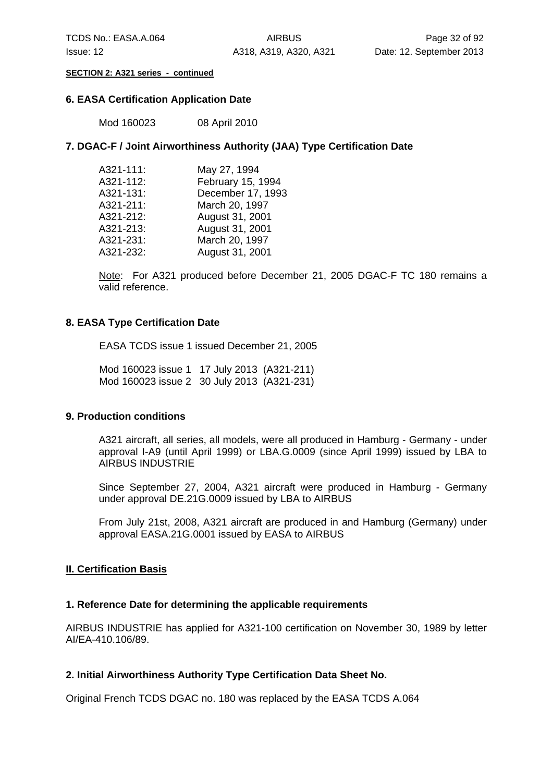### **6. EASA Certification Application Date**

Mod 160023 08 April 2010

### **7. DGAC-F / Joint Airworthiness Authority (JAA) Type Certification Date**

| A321-111: | May 27, 1994      |
|-----------|-------------------|
| A321-112: | February 15, 1994 |
| A321-131: | December 17, 1993 |
| A321-211: | March 20, 1997    |
| A321-212: | August 31, 2001   |
| A321-213: | August 31, 2001   |
| A321-231: | March 20, 1997    |
| A321-232: | August 31, 2001   |

Note: For A321 produced before December 21, 2005 DGAC-F TC 180 remains a valid reference.

### **8. EASA Type Certification Date**

EASA TCDS issue 1 issued December 21, 2005

Mod 160023 issue 1 17 July 2013 (A321-211) Mod 160023 issue 2 30 July 2013 (A321-231)

### **9. Production conditions**

A321 aircraft, all series, all models, were all produced in Hamburg - Germany - under approval I-A9 (until April 1999) or LBA.G.0009 (since April 1999) issued by LBA to AIRBUS INDUSTRIE

Since September 27, 2004, A321 aircraft were produced in Hamburg - Germany under approval DE.21G.0009 issued by LBA to AIRBUS

From July 21st, 2008, A321 aircraft are produced in and Hamburg (Germany) under approval EASA.21G.0001 issued by EASA to AIRBUS

### **II. Certification Basis**

### **1. Reference Date for determining the applicable requirements**

AIRBUS INDUSTRIE has applied for A321-100 certification on November 30, 1989 by letter AI/EA-410.106/89.

### **2. Initial Airworthiness Authority Type Certification Data Sheet No.**

Original French TCDS DGAC no. 180 was replaced by the EASA TCDS A.064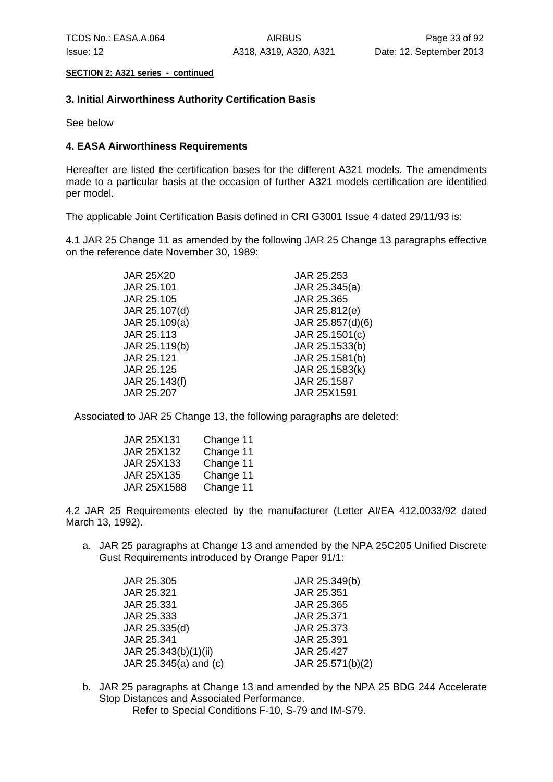### **3. Initial Airworthiness Authority Certification Basis**

See below

### **4. EASA Airworthiness Requirements**

Hereafter are listed the certification bases for the different A321 models. The amendments made to a particular basis at the occasion of further A321 models certification are identified per model.

The applicable Joint Certification Basis defined in CRI G3001 Issue 4 dated 29/11/93 is:

4.1 JAR 25 Change 11 as amended by the following JAR 25 Change 13 paragraphs effective on the reference date November 30, 1989:

| <b>JAR 25X20</b> | JAR 25.253       |
|------------------|------------------|
| JAR 25.101       | JAR 25.345(a)    |
| JAR 25.105       | JAR 25.365       |
| JAR 25.107(d)    | JAR 25.812(e)    |
| JAR 25.109(a)    | JAR 25.857(d)(6) |
| JAR 25.113       | JAR 25.1501(c)   |
| JAR 25.119(b)    | JAR 25.1533(b)   |
| JAR 25.121       | JAR 25.1581(b)   |
| JAR 25.125       | JAR 25.1583(k)   |
| JAR 25.143(f)    | JAR 25.1587      |
| JAR 25.207       | JAR 25X1591      |
|                  |                  |

Associated to JAR 25 Change 13, the following paragraphs are deleted:

| <b>JAR 25X131</b>  | Change 11 |
|--------------------|-----------|
| <b>JAR 25X132</b>  | Change 11 |
| <b>JAR 25X133</b>  | Change 11 |
| <b>JAR 25X135</b>  | Change 11 |
| <b>JAR 25X1588</b> | Change 11 |

4.2 JAR 25 Requirements elected by the manufacturer (Letter AI/EA 412.0033/92 dated March 13, 1992).

a. JAR 25 paragraphs at Change 13 and amended by the NPA 25C205 Unified Discrete Gust Requirements introduced by Orange Paper 91/1:

| JAR 25.349(b)    |
|------------------|
| JAR 25.351       |
| JAR 25.365       |
| JAR 25.371       |
| JAR 25.373       |
| JAR 25.391       |
| JAR 25.427       |
| JAR 25.571(b)(2) |
|                  |

b. JAR 25 paragraphs at Change 13 and amended by the NPA 25 BDG 244 Accelerate Stop Distances and Associated Performance.

Refer to Special Conditions F-10, S-79 and IM-S79.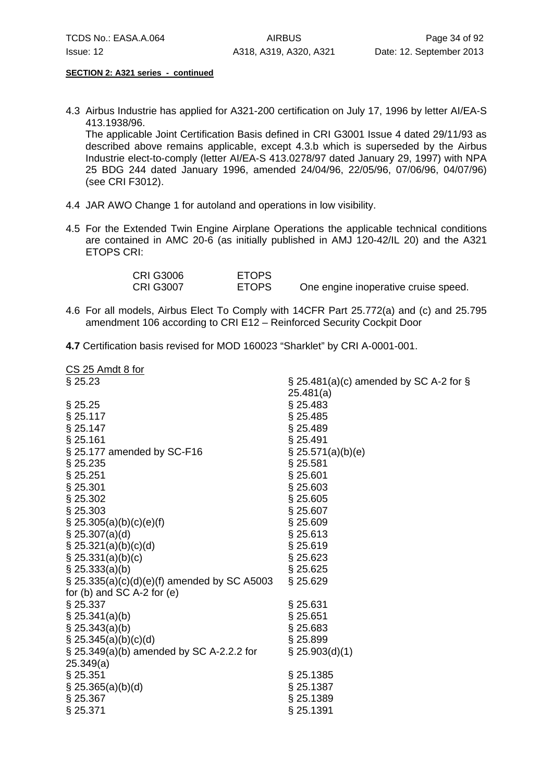$\mathbf{z} = \mathbf{z} - \mathbf{z}$ 

### **SECTION 2: A321 series - continued**

4.3 Airbus Industrie has applied for A321-200 certification on July 17, 1996 by letter AI/EA-S 413.1938/96.

The applicable Joint Certification Basis defined in CRI G3001 Issue 4 dated 29/11/93 as described above remains applicable, except 4.3.b which is superseded by the Airbus Industrie elect-to-comply (letter AI/EA-S 413.0278/97 dated January 29, 1997) with NPA 25 BDG 244 dated January 1996, amended 24/04/96, 22/05/96, 07/06/96, 04/07/96) (see CRI F3012).

- 4.4 JAR AWO Change 1 for autoland and operations in low visibility.
- 4.5 For the Extended Twin Engine Airplane Operations the applicable technical conditions are contained in AMC 20-6 (as initially published in AMJ 120-42/IL 20) and the A321 ETOPS CRI:

| <b>CRI G3006</b> | ETOPS        |                                      |
|------------------|--------------|--------------------------------------|
| <b>CRI G3007</b> | <b>ETOPS</b> | One engine inoperative cruise speed. |

- 4.6 For all models, Airbus Elect To Comply with 14CFR Part 25.772(a) and (c) and 25.795 amendment 106 according to CRI E12 – Reinforced Security Cockpit Door
- **4.7** Certification basis revised for MOD 160023 "Sharklet" by CRI A-0001-001.

| <u>CS 25 Amdt 8 for</u>                        |                                              |
|------------------------------------------------|----------------------------------------------|
| $§$ 25.23                                      | $\S$ 25.481(a)(c) amended by SC A-2 for $\S$ |
|                                                | 25.481(a)                                    |
| $§$ 25.25                                      | $§$ 25.483                                   |
| $§$ 25.117                                     | $§$ 25.485                                   |
| $§$ 25.147                                     | § 25.489                                     |
| $§$ 25.161                                     | $§$ 25.491                                   |
| § 25.177 amended by SC-F16                     | \$25.571(a)(b)(e)                            |
| § 25.235                                       | $§$ 25.581                                   |
| $§$ 25.251                                     | $§$ 25.601                                   |
| $§$ 25.301                                     | $\S$ 25.603                                  |
| $§$ 25.302                                     | $§$ 25.605                                   |
| $§$ 25.303                                     | $§$ 25.607                                   |
| $\S$ 25.305(a)(b)(c)(e)(f)                     | $§$ 25.609                                   |
| \$25.307(a)(d)                                 | $\S$ 25.613                                  |
| $\S$ 25.321(a)(b)(c)(d)                        | $§$ 25.619                                   |
| $\S$ 25.331(a)(b)(c)                           | $\S$ 25.623                                  |
| \$25.333(a)(b)                                 | $§$ 25.625                                   |
| $\S$ 25.335(a)(c)(d)(e)(f) amended by SC A5003 | $§$ 25.629                                   |
| for $(b)$ and SC A-2 for $(e)$                 |                                              |
| $\S$ 25.337                                    | $§$ 25.631                                   |
| \$25.341(a)(b)                                 | $§$ 25.651                                   |
| \$25.343(a)(b)                                 | $\S$ 25.683                                  |
| $\S$ 25.345(a)(b)(c)(d)                        | $§$ 25.899                                   |
| $\S$ 25.349(a)(b) amended by SC A-2.2.2 for    | $\S$ 25.903(d)(1)                            |
| 25.349(a)                                      |                                              |
| $§$ 25.351                                     | $\S$ 25.1385                                 |
| $\S$ 25.365(a)(b)(d)                           | § 25.1387                                    |
| $\S$ 25.367                                    | § 25.1389                                    |
| $§$ 25.371                                     | § 25.1391                                    |
|                                                |                                              |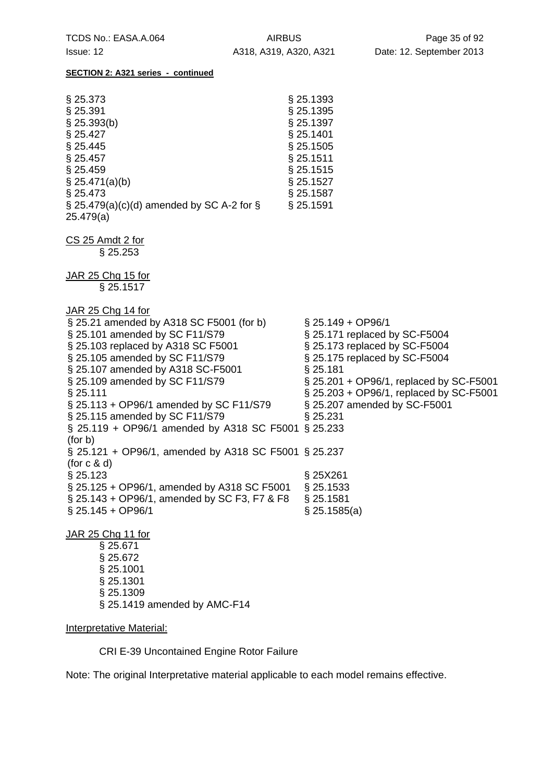| § 25.373<br>§ 25.391<br>$\S$ 25.393(b)<br>$§$ 25.427<br>§ 25.445<br>$\S 25.457$<br>§ 25.459<br>$\S 25.471(a)(b)$<br>§ 25.473<br>$\S$ 25.479(a)(c)(d) amended by SC A-2 for $\S$                                                                                                                                                                                                                                                                                                                                                                                                              | § 25.1393<br>§ 25.1395<br>§ 25.1397<br>§ 25.1401<br>§ 25.1505<br>$§$ 25.1511<br>§ 25.1515<br>$§$ 25.1527<br>$§$ 25.1587<br>$§$ 25.1591                                                                                                                                                                                                    |
|----------------------------------------------------------------------------------------------------------------------------------------------------------------------------------------------------------------------------------------------------------------------------------------------------------------------------------------------------------------------------------------------------------------------------------------------------------------------------------------------------------------------------------------------------------------------------------------------|-------------------------------------------------------------------------------------------------------------------------------------------------------------------------------------------------------------------------------------------------------------------------------------------------------------------------------------------|
| 25.479(a)<br><u>CS 25 Amdt 2 for</u><br>$\S$ 25.253<br><u> JAR 25 Chg 15 for</u><br>$\S$ 25.1517                                                                                                                                                                                                                                                                                                                                                                                                                                                                                             |                                                                                                                                                                                                                                                                                                                                           |
| JAR 25 Chg 14 for<br>§ 25.21 amended by A318 SC F5001 (for b)<br>§ 25.101 amended by SC F11/S79<br>§ 25.103 replaced by A318 SC F5001<br>§ 25.105 amended by SC F11/S79<br>§ 25.107 amended by A318 SC-F5001<br>§ 25.109 amended by SC F11/S79<br>$§$ 25.111<br>§ 25.113 + OP96/1 amended by SC F11/S79<br>§ 25.115 amended by SC F11/S79<br>§ 25.119 + OP96/1 amended by A318 SC F5001<br>(for b)<br>§ 25.121 + OP96/1, amended by A318 SC F5001 § 25.237<br>(for c & d)<br>$§$ 25.123<br>$\S$ 25.125 + OP96/1, amended by A318 SC F5001<br>$\S$ 25.143 + OP96/1, amended by SC F3, F7 & F8 | $\S$ 25.149 + OP96/1<br>§ 25.171 replaced by SC-F5004<br>§ 25.173 replaced by SC-F5004<br>§ 25.175 replaced by SC-F5004<br>$\S$ 25.181<br>$\S$ 25.201 + OP96/1, replaced by SC-F5001<br>§ 25.203 + OP96/1, replaced by SC-F5001<br>§ 25.207 amended by SC-F5001<br>$§$ 25.231<br>$§$ 25.233<br>$\S$ 25X261<br>$\S$ 25.1533<br>$§$ 25.1581 |
| $$25.145 + OP96/1$<br>JAR 25 Chg 11 for<br>§ 25.671<br>$§$ 25.672<br>§ 25.1001<br>§ 25.1301<br>§ 25.1309<br>§ 25.1419 amended by AMC-F14                                                                                                                                                                                                                                                                                                                                                                                                                                                     | \$25.1585(a)                                                                                                                                                                                                                                                                                                                              |

# Interpretative Material:

CRI E-39 Uncontained Engine Rotor Failure

Note: The original Interpretative material applicable to each model remains effective.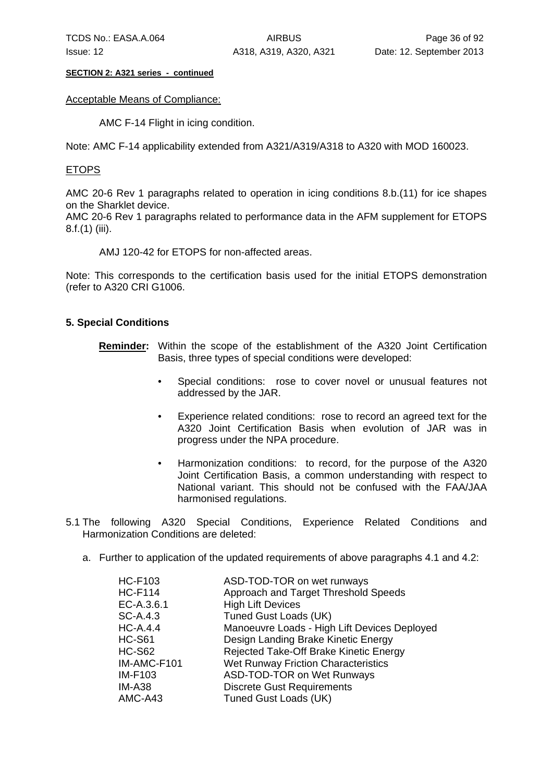### Acceptable Means of Compliance:

AMC F-14 Flight in icing condition.

Note: AMC F-14 applicability extended from A321/A319/A318 to A320 with MOD 160023.

# ETOPS

AMC 20-6 Rev 1 paragraphs related to operation in icing conditions 8.b.(11) for ice shapes on the Sharklet device.

AMC 20-6 Rev 1 paragraphs related to performance data in the AFM supplement for ETOPS 8.f.(1) (iii).

AMJ 120-42 for ETOPS for non-affected areas.

Note: This corresponds to the certification basis used for the initial ETOPS demonstration (refer to A320 CRI G1006.

# **5. Special Conditions**

- **Reminder:** Within the scope of the establishment of the A320 Joint Certification Basis, three types of special conditions were developed:
	- Special conditions: rose to cover novel or unusual features not addressed by the JAR.
	- Experience related conditions: rose to record an agreed text for the A320 Joint Certification Basis when evolution of JAR was in progress under the NPA procedure.
	- Harmonization conditions: to record, for the purpose of the A320 Joint Certification Basis, a common understanding with respect to National variant. This should not be confused with the FAA/JAA harmonised regulations.
- 5.1 The following A320 Special Conditions, Experience Related Conditions and Harmonization Conditions are deleted:
	- a. Further to application of the updated requirements of above paragraphs 4.1 and 4.2:

| <b>HC-F103</b> | ASD-TOD-TOR on wet runways                   |
|----------------|----------------------------------------------|
| <b>HC-F114</b> | Approach and Target Threshold Speeds         |
| EC-A.3.6.1     | <b>High Lift Devices</b>                     |
| SC-A.4.3       | Tuned Gust Loads (UK)                        |
| $HC-A.4.4$     | Manoeuvre Loads - High Lift Devices Deployed |
| <b>HC-S61</b>  | Design Landing Brake Kinetic Energy          |
| <b>HC-S62</b>  | Rejected Take-Off Brake Kinetic Energy       |
| IM-AMC-F101    | Wet Runway Friction Characteristics          |
| <b>IM-F103</b> | ASD-TOD-TOR on Wet Runways                   |
| <b>IM-A38</b>  | <b>Discrete Gust Requirements</b>            |
| AMC-A43        | Tuned Gust Loads (UK)                        |
|                |                                              |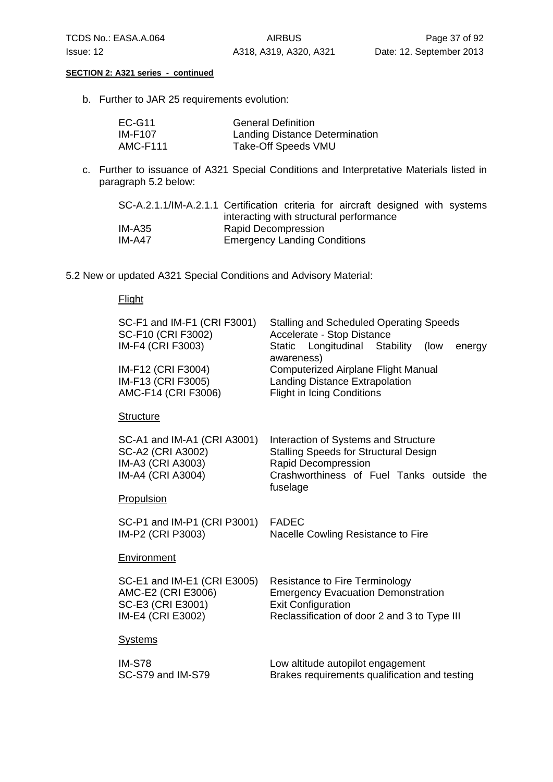b. Further to JAR 25 requirements evolution:

| EC-G11   | <b>General Definition</b>      |
|----------|--------------------------------|
| IM-F107  | Landing Distance Determination |
| AMC-F111 | Take-Off Speeds VMU            |

c. Further to issuance of A321 Special Conditions and Interpretative Materials listed in paragraph 5.2 below:

| SC-A.2.1.1/IM-A.2.1.1 Certification criteria for aircraft designed with systems |                                         |  |  |  |
|---------------------------------------------------------------------------------|-----------------------------------------|--|--|--|
|                                                                                 | interacting with structural performance |  |  |  |
| $IM-AS5$                                                                        | Rapid Decompression                     |  |  |  |
| IM-A47                                                                          | <b>Emergency Landing Conditions</b>     |  |  |  |

5.2 New or updated A321 Special Conditions and Advisory Material:

# **Flight**

| SC-F1 and IM-F1 (CRI F3001)<br>SC-F10 (CRI F3002)<br>IM-F4 (CRI F3003)                                                   | <b>Stalling and Scheduled Operating Speeds</b><br>Accelerate - Stop Distance<br>Static Longitudinal Stability<br>(low<br>energy                                 |  |  |  |
|--------------------------------------------------------------------------------------------------------------------------|-----------------------------------------------------------------------------------------------------------------------------------------------------------------|--|--|--|
| IM-F12 (CRI F3004)<br>IM-F13 (CRI F3005)<br>AMC-F14 (CRI F3006)                                                          | awareness)<br><b>Computerized Airplane Flight Manual</b><br>Landing Distance Extrapolation<br><b>Flight in Icing Conditions</b>                                 |  |  |  |
| <b>Structure</b>                                                                                                         |                                                                                                                                                                 |  |  |  |
| SC-A1 and IM-A1 (CRI A3001)<br>SC-A2 (CRI A3002)<br>IM-A3 (CRI A3003)<br>IM-A4 (CRI A3004)                               | Interaction of Systems and Structure<br><b>Stalling Speeds for Structural Design</b><br>Rapid Decompression<br>Crashworthiness of Fuel Tanks outside the        |  |  |  |
| Propulsion                                                                                                               | fuselage                                                                                                                                                        |  |  |  |
| SC-P1 and IM-P1 (CRI P3001)<br>IM-P2 (CRI P3003)                                                                         | <b>FADEC</b><br>Nacelle Cowling Resistance to Fire                                                                                                              |  |  |  |
| Environment                                                                                                              |                                                                                                                                                                 |  |  |  |
| SC-E1 and IM-E1 (CRI E3005)<br>AMC-E2 (CRI E3006)<br>SC-E3 (CRI E3001)<br>IM-E4 (CRI E3002)                              | <b>Resistance to Fire Terminology</b><br><b>Emergency Evacuation Demonstration</b><br><b>Exit Configuration</b><br>Reclassification of door 2 and 3 to Type III |  |  |  |
| <b>Systems</b>                                                                                                           |                                                                                                                                                                 |  |  |  |
| <b>IM-S78</b><br>Low altitude autopilot engagement<br>SC-S79 and IM-S79<br>Brakes requirements qualification and testing |                                                                                                                                                                 |  |  |  |
|                                                                                                                          |                                                                                                                                                                 |  |  |  |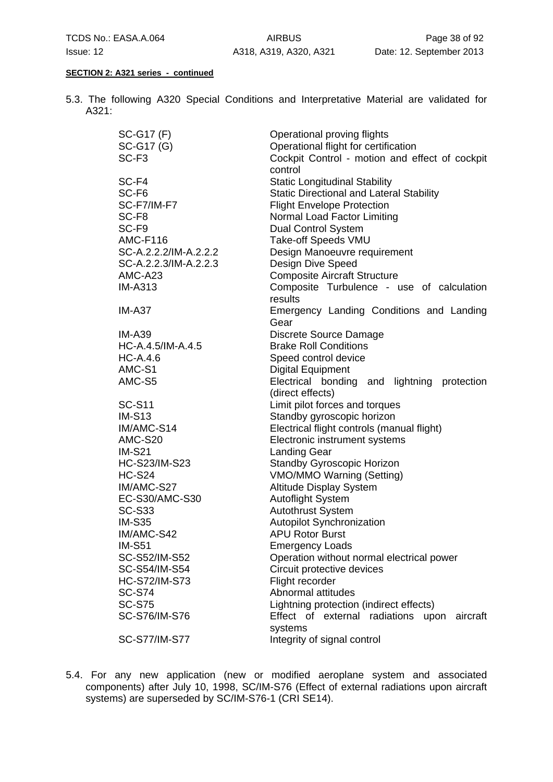5.3. The following A320 Special Conditions and Interpretative Material are validated for A321:

| SC-G17 (F)<br>SC-G17 (G)<br>SC-F <sub>3</sub> | Operational proving flights<br>Operational flight for certification<br>Cockpit Control - motion and effect of cockpit |
|-----------------------------------------------|-----------------------------------------------------------------------------------------------------------------------|
|                                               | control                                                                                                               |
| SC-F4                                         | <b>Static Longitudinal Stability</b>                                                                                  |
| SC-F6                                         | <b>Static Directional and Lateral Stability</b>                                                                       |
| SC-F7/IM-F7                                   | <b>Flight Envelope Protection</b>                                                                                     |
| SC-F8                                         | Normal Load Factor Limiting                                                                                           |
| SC-F9                                         | <b>Dual Control System</b>                                                                                            |
| <b>AMC-F116</b>                               | <b>Take-off Speeds VMU</b>                                                                                            |
| SC-A.2.2.2/IM-A.2.2.2                         | Design Manoeuvre requirement                                                                                          |
| SC-A.2.2.3/IM-A.2.2.3                         | Design Dive Speed                                                                                                     |
| AMC-A23                                       | <b>Composite Aircraft Structure</b>                                                                                   |
| <b>IM-A313</b>                                | Composite Turbulence - use of calculation                                                                             |
|                                               | results                                                                                                               |
| IM-A37                                        | Emergency Landing Conditions and Landing                                                                              |
|                                               | Gear                                                                                                                  |
| IM-A39                                        | Discrete Source Damage                                                                                                |
| HC-A.4.5/IM-A.4.5                             | <b>Brake Roll Conditions</b>                                                                                          |
| $HC-A.4.6$                                    | Speed control device                                                                                                  |
| AMC-S1                                        | <b>Digital Equipment</b>                                                                                              |
| AMC-S5                                        | Electrical bonding and lightning protection                                                                           |
|                                               | (direct effects)                                                                                                      |
| <b>SC-S11</b>                                 | Limit pilot forces and torques                                                                                        |
| <b>IM-S13</b>                                 | Standby gyroscopic horizon                                                                                            |
| IM/AMC-S14                                    | Electrical flight controls (manual flight)                                                                            |
| <b>AMC-S20</b>                                | Electronic instrument systems                                                                                         |
| <b>IM-S21</b>                                 | <b>Landing Gear</b>                                                                                                   |
| <b>HC-S23/IM-S23</b>                          | Standby Gyroscopic Horizon                                                                                            |
| <b>HC-S24</b>                                 | <b>VMO/MMO Warning (Setting)</b>                                                                                      |
| IM/AMC-S27                                    | <b>Altitude Display System</b>                                                                                        |
| EC-S30/AMC-S30                                | <b>Autoflight System</b>                                                                                              |
| <b>SC-S33</b>                                 | Autothrust System                                                                                                     |
| <b>IM-S35</b>                                 | <b>Autopilot Synchronization</b>                                                                                      |
| IM/AMC-S42                                    | <b>APU Rotor Burst</b>                                                                                                |
| <b>IM-S51</b>                                 | <b>Emergency Loads</b>                                                                                                |
| SC-S52/IM-S52                                 | Operation without normal electrical power                                                                             |
| SC-S54/IM-S54                                 | Circuit protective devices                                                                                            |
| <b>HC-S72/IM-S73</b>                          | Flight recorder                                                                                                       |
| <b>SC-S74</b>                                 | Abnormal attitudes                                                                                                    |
| <b>SC-S75</b>                                 | Lightning protection (indirect effects)                                                                               |
| SC-S76/IM-S76                                 | Effect of external radiations<br>upon aircraft                                                                        |
|                                               | systems                                                                                                               |
| SC-S77/IM-S77                                 | Integrity of signal control                                                                                           |

5.4. For any new application (new or modified aeroplane system and associated components) after July 10, 1998, SC/IM-S76 (Effect of external radiations upon aircraft systems) are superseded by SC/IM-S76-1 (CRI SE14).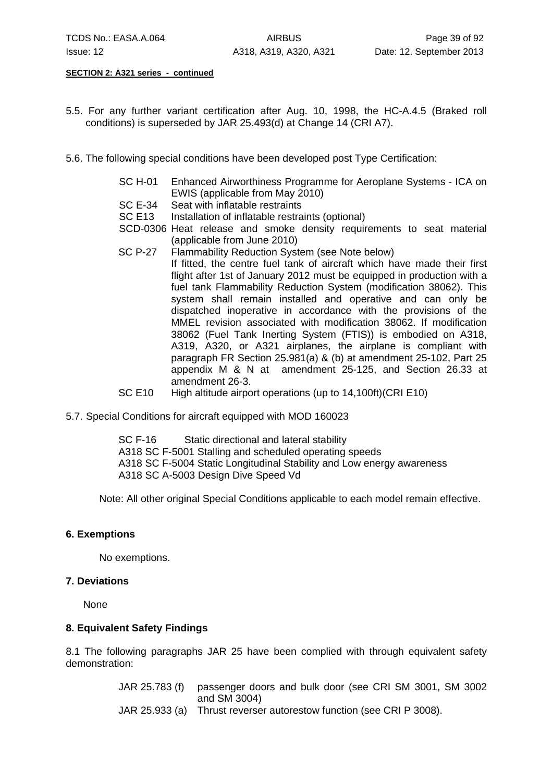- 5.5. For any further variant certification after Aug. 10, 1998, the HC-A.4.5 (Braked roll conditions) is superseded by JAR 25.493(d) at Change 14 (CRI A7).
- 5.6. The following special conditions have been developed post Type Certification:
	- SC H-01 Enhanced Airworthiness Programme for Aeroplane Systems ICA on EWIS (applicable from May 2010)
	- SC E-34 Seat with inflatable restraints
	- SC E13 Installation of inflatable restraints (optional)
	- SCD-0306 Heat release and smoke density requirements to seat material (applicable from June 2010)
	- SC P-27 Flammability Reduction System (see Note below) If fitted, the centre fuel tank of aircraft which have made their first flight after 1st of January 2012 must be equipped in production with a fuel tank Flammability Reduction System (modification 38062). This system shall remain installed and operative and can only be dispatched inoperative in accordance with the provisions of the MMEL revision associated with modification 38062. If modification 38062 (Fuel Tank Inerting System (FTIS)) is embodied on A318, A319, A320, or A321 airplanes, the airplane is compliant with paragraph FR Section 25.981(a) & (b) at amendment 25-102, Part 25 appendix M & N at amendment 25-125, and Section 26.33 at amendment 26-3.
	- SC E10 High altitude airport operations (up to 14,100ft)(CRI E10)
- 5.7.Special Conditions for aircraft equipped with MOD 160023

SC F-16 Static directional and lateral stability A318 SC F-5001 Stalling and scheduled operating speeds A318 SC F-5004 Static Longitudinal Stability and Low energy awareness A318 SC A-5003 Design Dive Speed Vd

Note: All other original Special Conditions applicable to each model remain effective.

#### **6. Exemptions**

No exemptions.

# **7. Deviations**

None

#### **8. Equivalent Safety Findings**

8.1 The following paragraphs JAR 25 have been complied with through equivalent safety demonstration:

> JAR 25.783 (f) passenger doors and bulk door (see CRI SM 3001, SM 3002 and SM 3004) JAR 25.933 (a) Thrust reverser autorestow function (see CRI P 3008).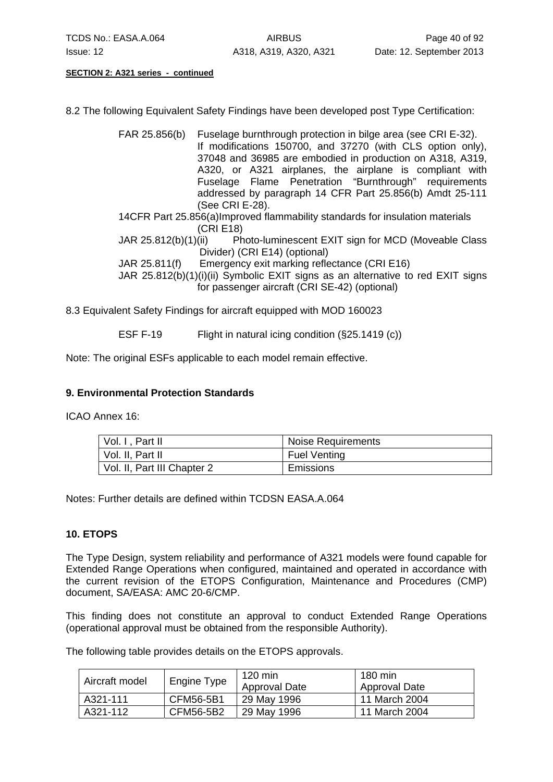- 8.2 The following Equivalent Safety Findings have been developed post Type Certification:
	- FAR 25.856(b) Fuselage burnthrough protection in bilge area (see CRI E-32). If modifications 150700, and 37270 (with CLS option only), 37048 and 36985 are embodied in production on A318, A319, A320, or A321 airplanes, the airplane is compliant with Fuselage Flame Penetration "Burnthrough" requirements addressed by paragraph 14 CFR Part 25.856(b) Amdt 25-111 (See CRI E-28).
	- 14CFR Part 25.856(a)Improved flammability standards for insulation materials (CRI E18)<br>JAR 25.812(b)(1)(ii) Ph
		- Photo-luminescent EXIT sign for MCD (Moveable Class Divider) (CRI E14) (optional)
	- JAR 25.811(f) Emergency exit marking reflectance (CRI E16)
	- JAR 25.812(b)(1)(i)(ii) Symbolic EXIT signs as an alternative to red EXIT signs for passenger aircraft (CRI SE-42) (optional)

8.3 Equivalent Safety Findings for aircraft equipped with MOD 160023

ESF F-19 Flight in natural icing condition (§25.1419 (c))

Note: The original ESFs applicable to each model remain effective.

# **9. Environmental Protection Standards**

ICAO Annex 16:

| Vol. I, Part II             | Noise Requirements  |
|-----------------------------|---------------------|
| Vol. II, Part II            | <b>Fuel Venting</b> |
| Vol. II, Part III Chapter 2 | Emissions           |

Notes: Further details are defined within TCDSN EASA.A.064

# **10. ETOPS**

The Type Design, system reliability and performance of A321 models were found capable for Extended Range Operations when configured, maintained and operated in accordance with the current revision of the ETOPS Configuration, Maintenance and Procedures (CMP) document, SA/EASA: AMC 20-6/CMP.

This finding does not constitute an approval to conduct Extended Range Operations (operational approval must be obtained from the responsible Authority).

The following table provides details on the ETOPS approvals.

| Aircraft model |             | 120 min       | 180 min       |
|----------------|-------------|---------------|---------------|
|                | Engine Type | Approval Date | Approval Date |
| A321-111       | CFM56-5B1   | 29 May 1996   | 11 March 2004 |
| A321-112       | CFM56-5B2   | 29 May 1996   | 11 March 2004 |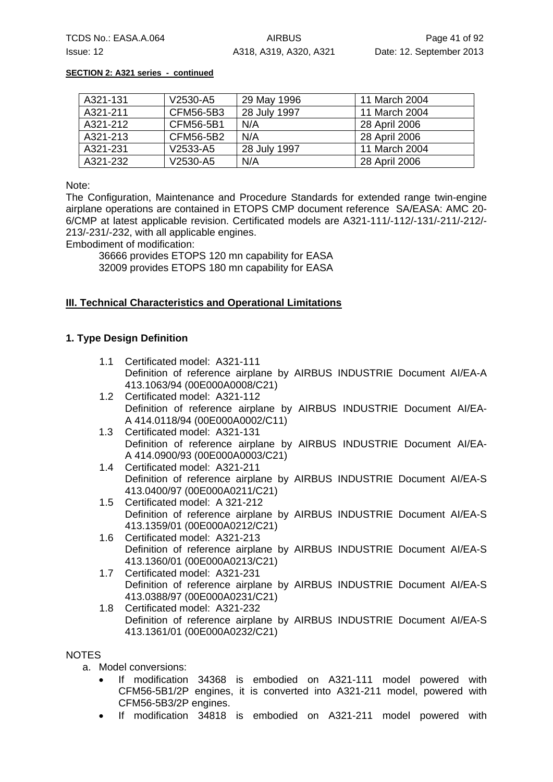| A321-131 | V2530-A5  | 29 May 1996  | 11 March 2004 |
|----------|-----------|--------------|---------------|
| A321-211 | CFM56-5B3 | 28 July 1997 | 11 March 2004 |
| A321-212 | CFM56-5B1 | N/A          | 28 April 2006 |
| A321-213 | CFM56-5B2 | N/A          | 28 April 2006 |
| A321-231 | V2533-A5  | 28 July 1997 | 11 March 2004 |
| A321-232 | V2530-A5  | N/A          | 28 April 2006 |

# Note:

The Configuration, Maintenance and Procedure Standards for extended range twin-engine airplane operations are contained in ETOPS CMP document reference SA/EASA: AMC 20- 6/CMP at latest applicable revision. Certificated models are A321-111/-112/-131/-211/-212/- 213/-231/-232, with all applicable engines.

Embodiment of modification:

36666 provides ETOPS 120 mn capability for EASA 32009 provides ETOPS 180 mn capability for EASA

# **III. Technical Characteristics and Operational Limitations**

# **1. Type Design Definition**

- 1.1 Certificated model: A321-111 Definition of reference airplane by AIRBUS INDUSTRIE Document AI/EA-A 413.1063/94 (00E000A0008/C21)
- 1.2 Certificated model: A321-112 Definition of reference airplane by AIRBUS INDUSTRIE Document AI/EA-A 414.0118/94 (00E000A0002/C11)
- 1.3 Certificated model: A321-131 Definition of reference airplane by AIRBUS INDUSTRIE Document AI/EA-A 414.0900/93 (00E000A0003/C21)
- 1.4 Certificated model: A321-211 Definition of reference airplane by AIRBUS INDUSTRIE Document AI/EA-S 413.0400/97 (00E000A0211/C21)
- 1.5 Certificated model: A 321-212 Definition of reference airplane by AIRBUS INDUSTRIE Document AI/EA-S 413.1359/01 (00E000A0212/C21)
- 1.6 Certificated model: A321-213 Definition of reference airplane by AIRBUS INDUSTRIE Document AI/EA-S 413.1360/01 (00E000A0213/C21)
- 1.7 Certificated model: A321-231 Definition of reference airplane by AIRBUS INDUSTRIE Document AI/EA-S 413.0388/97 (00E000A0231/C21)
- 1.8 Certificated model: A321-232 Definition of reference airplane by AIRBUS INDUSTRIE Document AI/EA-S 413.1361/01 (00E000A0232/C21)

# NOTES

a. Model conversions:

- If modification 34368 is embodied on A321-111 model powered with CFM56-5B1/2P engines, it is converted into A321-211 model, powered with CFM56-5B3/2P engines.
- If modification 34818 is embodied on A321-211 model powered with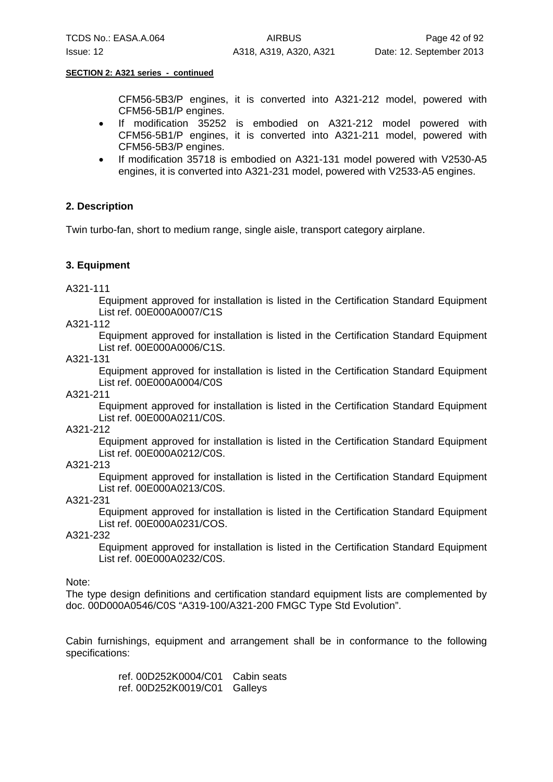CFM56-5B3/P engines, it is converted into A321-212 model, powered with CFM56-5B1/P engines.

- If modification 35252 is embodied on A321-212 model powered with CFM56-5B1/P engines, it is converted into A321-211 model. powered with CFM56-5B3/P engines.
- If modification 35718 is embodied on A321-131 model powered with V2530-A5 engines, it is converted into A321-231 model, powered with V2533-A5 engines.

# **2. Description**

Twin turbo-fan, short to medium range, single aisle, transport category airplane.

# **3. Equipment**

A321-111

Equipment approved for installation is listed in the Certification Standard Equipment List ref. 00E000A0007/C1S

A321-112

Equipment approved for installation is listed in the Certification Standard Equipment List ref. 00E000A0006/C1S.

#### A321-131

Equipment approved for installation is listed in the Certification Standard Equipment List ref. 00E000A0004/C0S

A321-211

Equipment approved for installation is listed in the Certification Standard Equipment List ref. 00E000A0211/C0S.

A321-212

Equipment approved for installation is listed in the Certification Standard Equipment List ref. 00E000A0212/C0S.

A321-213

Equipment approved for installation is listed in the Certification Standard Equipment List ref. 00E000A0213/C0S.

A321-231

Equipment approved for installation is listed in the Certification Standard Equipment List ref. 00E000A0231/COS.

A321-232

Equipment approved for installation is listed in the Certification Standard Equipment List ref. 00E000A0232/C0S.

Note:

The type design definitions and certification standard equipment lists are complemented by doc. 00D000A0546/C0S "A319-100/A321-200 FMGC Type Std Evolution".

Cabin furnishings, equipment and arrangement shall be in conformance to the following specifications:

> ref. 00D252K0004/C01 Cabin seats ref. 00D252K0019/C01 Galleys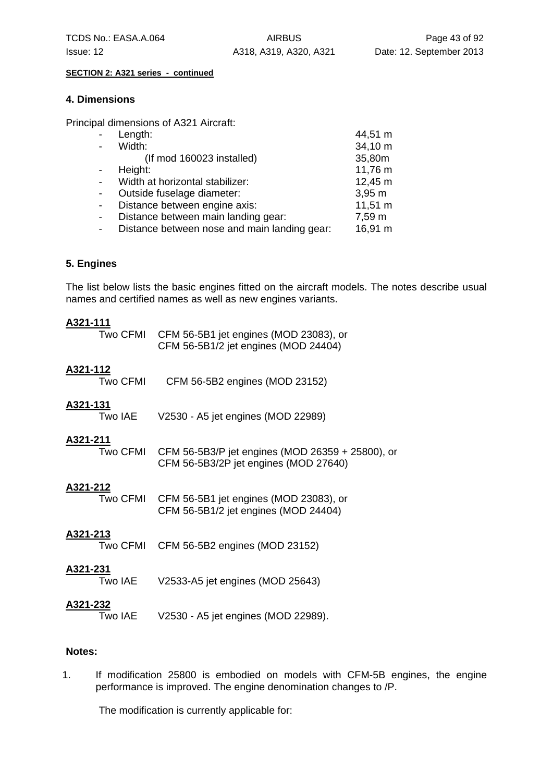# **4. Dimensions**

Principal dimensions of A321 Aircraft:

|                | Length:                                      | 44,51 m           |
|----------------|----------------------------------------------|-------------------|
|                | Width:                                       | 34,10 m           |
|                | (If mod 160023 installed)                    | 35,80m            |
| $\blacksquare$ | Height:                                      | 11,76 m           |
| $\overline{a}$ | Width at horizontal stabilizer:              | 12,45 m           |
| $\blacksquare$ | Outside fuselage diameter:                   | $3,95 \; m$       |
| $\frac{1}{2}$  | Distance between engine axis:                | $11,51 \text{ m}$ |
| $\frac{1}{2}$  | Distance between main landing gear:          | 7,59 m            |
| $\overline{a}$ | Distance between nose and main landing gear: | 16,91 m           |

# **5. Engines**

The list below lists the basic engines fitted on the aircraft models. The notes describe usual names and certified names as well as new engines variants.

#### **A321-111**

| Two CFMI | CFM 56-5B1 jet engines (MOD 23083), or<br>CFM 56-5B1/2 jet engines (MOD 24404) |
|----------|--------------------------------------------------------------------------------|
|          |                                                                                |

# **A321-112**

Two CFMI CFM 56-5B2 engines (MOD 23152)

**A321-131**  V2530 - A5 jet engines (MOD 22989)

# **A321-211**

Two CFMI CFM 56-5B3/P jet engines (MOD 26359 + 25800), or CFM 56-5B3/2P jet engines (MOD 27640)

# **A321-212**

Two CFMI CFM 56-5B1 jet engines (MOD 23083), or CFM 56-5B1/2 jet engines (MOD 24404)

# **A321-213**

Two CFMI CFM 56-5B2 engines (MOD 23152)

**A321-231**  V2533-A5 jet engines (MOD 25643)

# **A321-232**

V2530 - A5 jet engines (MOD 22989).

# **Notes:**

1. If modification 25800 is embodied on models with CFM-5B engines, the engine performance is improved. The engine denomination changes to /P.

The modification is currently applicable for: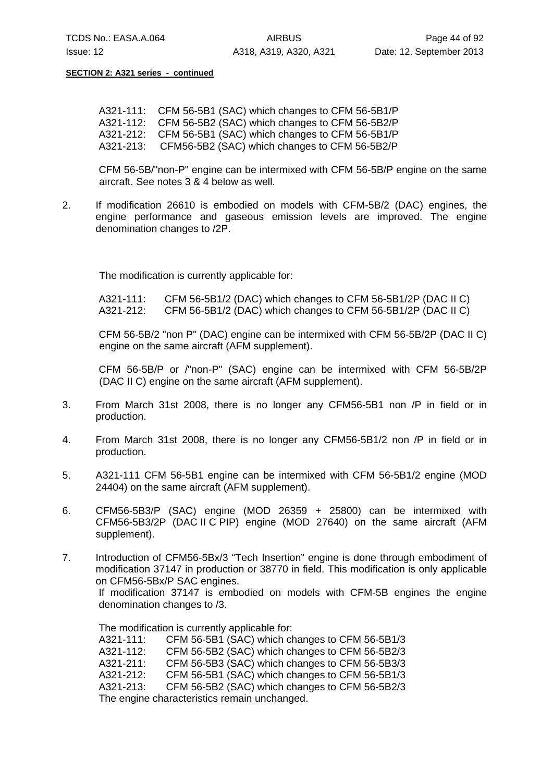A321-111: CFM 56-5B1 (SAC) which changes to CFM 56-5B1/P A321-112: CFM 56-5B2 (SAC) which changes to CFM 56-5B2/P A321-212: CFM 56-5B1 (SAC) which changes to CFM 56-5B1/P A321-213: CFM56-5B2 (SAC) which changes to CFM 56-5B2/P

CFM 56-5B/"non-P" engine can be intermixed with CFM 56-5B/P engine on the same aircraft. See notes 3 & 4 below as well.

2. If modification 26610 is embodied on models with CFM-5B/2 (DAC) engines, the engine performance and gaseous emission levels are improved. The engine denomination changes to /2P.

The modification is currently applicable for:

A321-111: CFM 56-5B1/2 (DAC) which changes to CFM 56-5B1/2P (DAC II C) A321-212: CFM 56-5B1/2 (DAC) which changes to CFM 56-5B1/2P (DAC II C)

CFM 56-5B/2 "non P" (DAC) engine can be intermixed with CFM 56-5B/2P (DAC II C) engine on the same aircraft (AFM supplement).

CFM 56-5B/P or /"non-P" (SAC) engine can be intermixed with CFM 56-5B/2P (DAC II C) engine on the same aircraft (AFM supplement).

- 3. From March 31st 2008, there is no longer any CFM56-5B1 non /P in field or in production.
- 4. From March 31st 2008, there is no longer any CFM56-5B1/2 non /P in field or in production.
- 5. A321-111 CFM 56-5B1 engine can be intermixed with CFM 56-5B1/2 engine (MOD 24404) on the same aircraft (AFM supplement).
- 6. CFM56-5B3/P (SAC) engine (MOD 26359 + 25800) can be intermixed with CFM56-5B3/2P (DAC II C PIP) engine (MOD 27640) on the same aircraft (AFM supplement).
- 7. Introduction of CFM56-5Bx/3 "Tech Insertion" engine is done through embodiment of modification 37147 in production or 38770 in field. This modification is only applicable on CFM56-5Bx/P SAC engines. If modification 37147 is embodied on models with CFM-5B engines the engine denomination changes to /3.

The modification is currently applicable for:

A321-111: CFM 56-5B1 (SAC) which changes to CFM 56-5B1/3 A321-112: CFM 56-5B2 (SAC) which changes to CFM 56-5B2/3 A321-211: CFM 56-5B3 (SAC) which changes to CFM 56-5B3/3 A321-212: CFM 56-5B1 (SAC) which changes to CFM 56-5B1/3 A321-213: CFM 56-5B2 (SAC) which changes to CFM 56-5B2/3 The engine characteristics remain unchanged.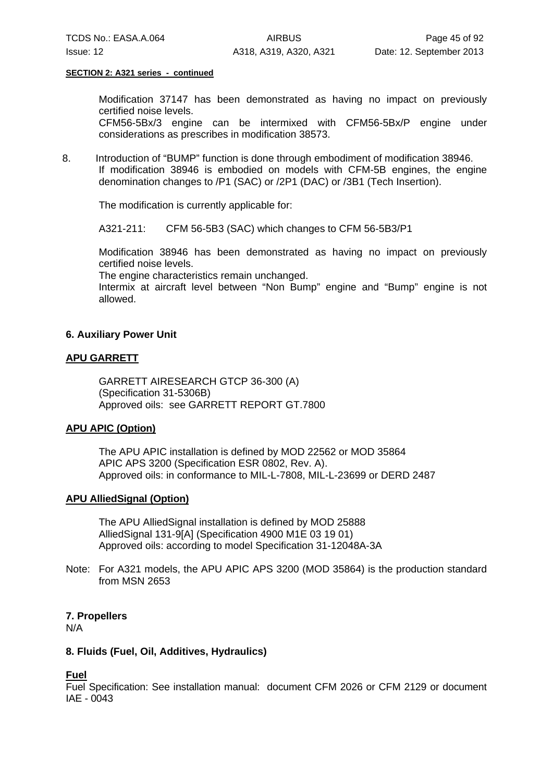Modification 37147 has been demonstrated as having no impact on previously certified noise levels.

CFM56-5Bx/3 engine can be intermixed with CFM56-5Bx/P engine under considerations as prescribes in modification 38573.

8. Introduction of "BUMP" function is done through embodiment of modification 38946. If modification 38946 is embodied on models with CFM-5B engines, the engine denomination changes to /P1 (SAC) or /2P1 (DAC) or /3B1 (Tech Insertion).

The modification is currently applicable for:

A321-211: CFM 56-5B3 (SAC) which changes to CFM 56-5B3/P1

Modification 38946 has been demonstrated as having no impact on previously certified noise levels.

The engine characteristics remain unchanged.

Intermix at aircraft level between "Non Bump" engine and "Bump" engine is not allowed.

#### **6. Auxiliary Power Unit**

#### **APU GARRETT**

GARRETT AIRESEARCH GTCP 36-300 (A) (Specification 31-5306B) Approved oils: see GARRETT REPORT GT.7800

#### **APU APIC (Option)**

The APU APIC installation is defined by MOD 22562 or MOD 35864 APIC APS 3200 (Specification ESR 0802, Rev. A). Approved oils: in conformance to MIL-L-7808, MIL-L-23699 or DERD 2487

#### **APU AlliedSignal (Option)**

The APU AlliedSignal installation is defined by MOD 25888 AlliedSignal 131-9[A] (Specification 4900 M1E 03 19 01) Approved oils: according to model Specification 31-12048A-3A

Note: For A321 models, the APU APIC APS 3200 (MOD 35864) is the production standard from MSN 2653

#### **7. Propellers**

N/A

# **8. Fluids (Fuel, Oil, Additives, Hydraulics)**

# **Fuel**

Fuel Specification: See installation manual: document CFM 2026 or CFM 2129 or document IAE - 0043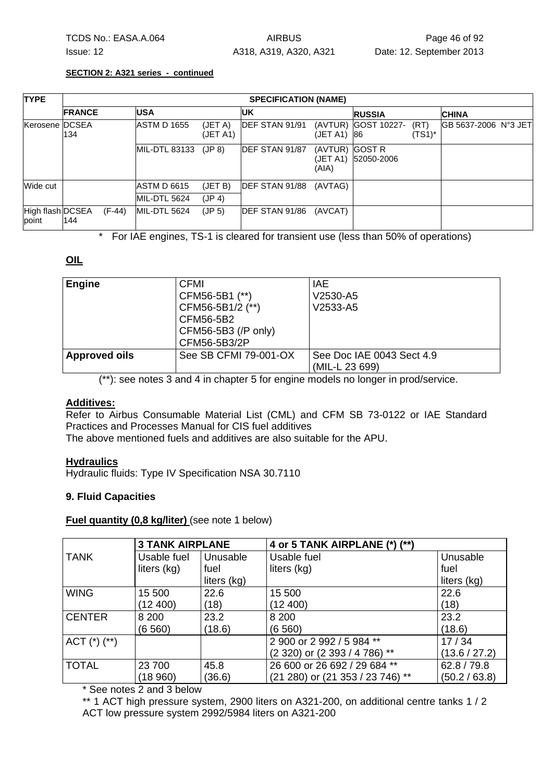| <b>TYPE</b>               | <b>SPECIFICATION (NAME)</b> |          |                      |                     |                        |                              |                             |                   |                      |  |
|---------------------------|-----------------------------|----------|----------------------|---------------------|------------------------|------------------------------|-----------------------------|-------------------|----------------------|--|
|                           | <b>FRANCE</b>               |          | <b>USA</b>           |                     | IJΚ                    |                              | <b>RUSSIA</b>               |                   | <b>CHINA</b>         |  |
| Kerosene DCSEA            | 134                         |          | <b>ASTM D 1655</b>   | (JET A)<br>(JET A1) | DEF STAN 91/91         | (AVTUR)<br>(JET A1)  86      | GOST 10227-                 | (RT)<br>$(TS1)^*$ | GB 5637-2006 N°3 JET |  |
|                           |                             |          | <b>MIL-DTL 83133</b> | (JP 8)              | <b>IDEF STAN 91/87</b> | (AVTUR)<br>(JET A1)<br>(AIA) | <b>GOST R</b><br>52050-2006 |                   |                      |  |
| Wide cut                  |                             |          | <b>ASTM D 6615</b>   | (JETB)              | DEF STAN 91/88         | (AVTAG)                      |                             |                   |                      |  |
|                           |                             |          | MIL-DTL 5624         | (JP 4)              |                        |                              |                             |                   |                      |  |
| High flash DCSEA<br>point | 144                         | $(F-44)$ | MIL-DTL 5624         | (JP <sub>5</sub> )  | DEF STAN 91/86         | (AVCAT)                      |                             |                   |                      |  |

\* For IAE engines, TS-1 is cleared for transient use (less than 50% of operations)

# **OIL**

| <b>Engine</b>        | <b>CFMI</b>           | <b>IAE</b>                |
|----------------------|-----------------------|---------------------------|
|                      | CFM56-5B1 (**)        | V2530-A5                  |
|                      | CFM56-5B1/2 (**)      | V2533-A5                  |
|                      | CFM56-5B2             |                           |
|                      | CFM56-5B3 (/P only)   |                           |
|                      | CFM56-5B3/2P          |                           |
| <b>Approved oils</b> | See SB CFMI 79-001-OX | See Doc IAE 0043 Sect 4.9 |
|                      |                       | (MIL-L 23 699)            |

(\*\*): see notes 3 and 4 in chapter 5 for engine models no longer in prod/service.

# **Additives:**

Refer to Airbus Consumable Material List (CML) and CFM SB 73-0122 or IAE Standard Practices and Processes Manual for CIS fuel additives

The above mentioned fuels and additives are also suitable for the APU.

# **Hydraulics**

Hydraulic fluids: Type IV Specification NSA 30.7110

# **9. Fluid Capacities**

# **Fuel quantity (0,8 kg/liter)** (see note 1 below)

| <b>3 TANK AIRPLANE</b> |             |             | 4 or 5 TANK AIRPLANE (*) (**)    |               |  |  |
|------------------------|-------------|-------------|----------------------------------|---------------|--|--|
| <b>TANK</b>            | Usable fuel | Unusable    | Usable fuel                      | Unusable      |  |  |
|                        | liters (kg) | fuel        | liters (kg)                      | fuel          |  |  |
|                        |             | liters (kg) |                                  | liters (kg)   |  |  |
| <b>WING</b>            | 15 500      | 22.6        | 15 500                           | 22.6          |  |  |
|                        | (12 400)    | (18)        | (12 400)                         | (18)          |  |  |
| <b>CENTER</b>          | 8 2 0 0     | 23.2        | 8 2 0 0                          | 23.2          |  |  |
|                        | (6560)      | (18.6)      | (6560)                           | (18.6)        |  |  |
| $ACT (*)$ (**)         |             |             | 2 900 or 2 992 / 5 984 **        | 17/34         |  |  |
|                        |             |             | (2 320) or (2 393 / 4 786) **    | (13.6 / 27.2) |  |  |
| <b>TOTAL</b>           | 23 700      | 45.8        | 26 600 or 26 692 / 29 684 **     | 62.8 / 79.8   |  |  |
|                        | (18 960)    | (36.6)      | (21 280) or (21 353 / 23 746) ** | (50.2 / 63.8) |  |  |

\* See notes 2 and 3 below

\*\* 1 ACT high pressure system, 2900 liters on A321-200, on additional centre tanks 1 / 2 ACT low pressure system 2992/5984 liters on A321-200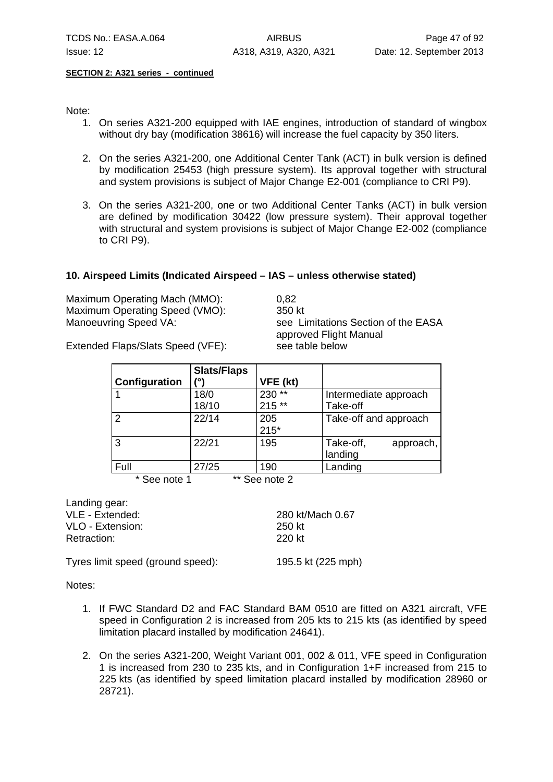Note:

- 1. On series A321-200 equipped with IAE engines, introduction of standard of wingbox without dry bay (modification 38616) will increase the fuel capacity by 350 liters.
- 2. On the series A321-200, one Additional Center Tank (ACT) in bulk version is defined by modification 25453 (high pressure system). Its approval together with structural and system provisions is subject of Major Change E2-001 (compliance to CRI P9).
- 3. On the series A321-200, one or two Additional Center Tanks (ACT) in bulk version are defined by modification 30422 (low pressure system). Their approval together with structural and system provisions is subject of Major Change E2-002 (compliance to CRI P9).

# **10. Airspeed Limits (Indicated Airspeed – IAS – unless otherwise stated)**

Maximum Operating Mach (MMO): 0,82 Maximum Operating Speed (VMO): 350 kt

Manoeuvring Speed VA: see Limitations Section of the EASA approved Flight Manual

Extended Flaps/Slats Speed (VFE): see table below

|                                  | <b>Slats/Flaps</b> |                  |                        |
|----------------------------------|--------------------|------------------|------------------------|
| Configuration                    | (٥١                | VFE (kt)         |                        |
|                                  | 18/0               | 230 **           | Intermediate approach  |
|                                  | 18/10              | $215**$          | Take-off               |
| 2                                | 22/14              | 205              | Take-off and approach  |
|                                  |                    | $215*$           |                        |
| 3                                | 22/21              | 195              | Take-off,<br>approach, |
|                                  |                    |                  | landing                |
| Full                             | 27/25              | 190              | Landing                |
| $*$ $C_{22}$ $*$ $*$ $*$ $*$ $*$ |                    | $**$ $O_{22}$ $$ |                        |

See note 1 \*\* See note 2

Landing gear: VLE - Extended: 280 kt/Mach 0.67 VLO - Extension: 250 kt Retraction: 220 kt

Tyres limit speed (ground speed): 195.5 kt (225 mph)

Notes:

- 1. If FWC Standard D2 and FAC Standard BAM 0510 are fitted on A321 aircraft, VFE speed in Configuration 2 is increased from 205 kts to 215 kts (as identified by speed limitation placard installed by modification 24641).
- 2. On the series A321-200, Weight Variant 001, 002 & 011, VFE speed in Configuration 1 is increased from 230 to 235 kts, and in Configuration 1+F increased from 215 to 225 kts (as identified by speed limitation placard installed by modification 28960 or 28721).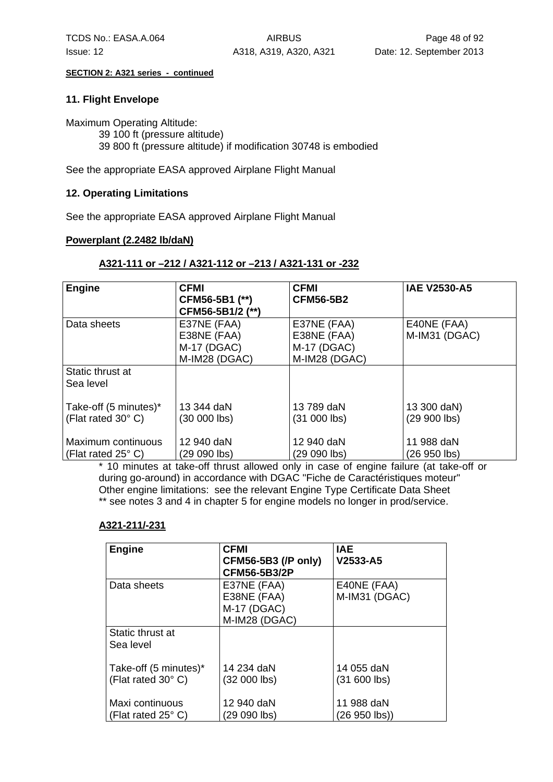# **11. Flight Envelope**

Maximum Operating Altitude:

39 100 ft (pressure altitude) 39 800 ft (pressure altitude) if modification 30748 is embodied

See the appropriate EASA approved Airplane Flight Manual

# **12. Operating Limitations**

See the appropriate EASA approved Airplane Flight Manual

# **Powerplant (2.2482 lb/daN)**

# **A321-111 or –212 / A321-112 or –213 / A321-131 or -232**

| <b>Engine</b>                | <b>CFMI</b>      | <b>CFMI</b>        | <b>IAE V2530-A5</b> |
|------------------------------|------------------|--------------------|---------------------|
|                              | CFM56-5B1 (**)   | <b>CFM56-5B2</b>   |                     |
|                              | CFM56-5B1/2 (**) |                    |                     |
| Data sheets                  | E37NE (FAA)      | E37NE (FAA)        | E40NE (FAA)         |
|                              | E38NE (FAA)      | E38NE (FAA)        | M-IM31 (DGAC)       |
|                              | $M-17$ (DGAC)    | <b>M-17 (DGAC)</b> |                     |
|                              | M-IM28 (DGAC)    | M-IM28 (DGAC)      |                     |
| Static thrust at             |                  |                    |                     |
| Sea level                    |                  |                    |                     |
|                              |                  |                    |                     |
| Take-off (5 minutes)*        | 13 344 daN       | 13 789 daN         | 13 300 daN)         |
| (Flat rated $30^{\circ}$ C)  | (30 000 lbs)     | $(31 000$ lbs)     | (29 900 lbs)        |
|                              |                  |                    |                     |
| Maximum continuous           | 12 940 daN       | 12 940 daN         | 11 988 daN          |
| (Flat rated 25 $^{\circ}$ C) | (29 090 lbs)     | (29 090 lbs)       | (26 950 lbs)        |

\* 10 minutes at take-off thrust allowed only in case of engine failure (at take-off or during go-around) in accordance with DGAC "Fiche de Caractéristiques moteur" Other engine limitations: see the relevant Engine Type Certificate Data Sheet \*\* see notes 3 and 4 in chapter 5 for engine models no longer in prod/service.

# **A321-211/-231**

| <b>Engine</b>                 | <b>CFMI</b>                                       | <b>IAE</b>      |
|-------------------------------|---------------------------------------------------|-----------------|
|                               | <b>CFM56-5B3 (/P only)</b><br><b>CFM56-5B3/2P</b> | V2533-A5        |
| Data sheets                   | E37NE (FAA)                                       | E40NE (FAA)     |
|                               | E38NE (FAA)                                       | M-IM31 (DGAC)   |
|                               | <b>M-17 (DGAC)</b>                                |                 |
|                               | M-IM28 (DGAC)                                     |                 |
| Static thrust at<br>Sea level |                                                   |                 |
| Take-off (5 minutes)*         | 14 234 daN                                        | 14 055 daN      |
| (Flat rated $30^{\circ}$ C)   | (32 000 lbs)                                      | $(31 600$ lbs)  |
| Maxi continuous               | 12 940 daN                                        | 11 988 daN      |
| (Flat rated $25^{\circ}$ C)   | (29 090 lbs)                                      | $(26 950$ lbs)) |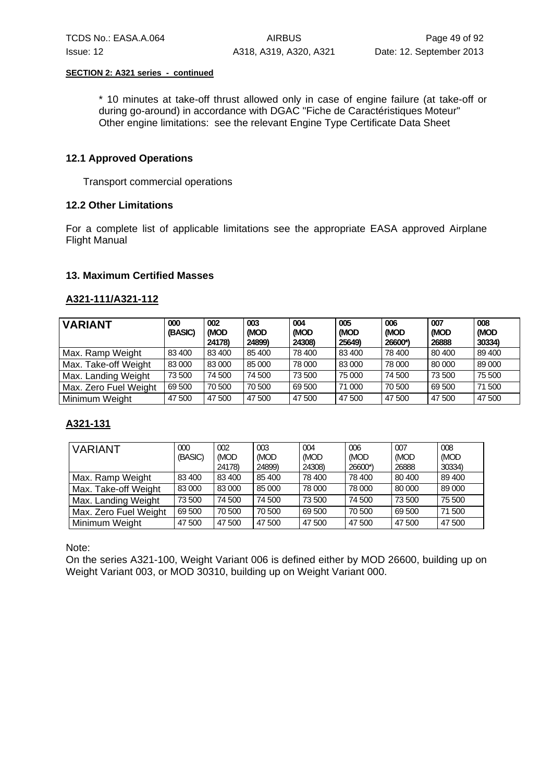\* 10 minutes at take-off thrust allowed only in case of engine failure (at take-off or during go-around) in accordance with DGAC "Fiche de Caractéristiques Moteur" Other engine limitations: see the relevant Engine Type Certificate Data Sheet

# **12.1 Approved Operations**

Transport commercial operations

#### **12.2 Other Limitations**

For a complete list of applicable limitations see the appropriate EASA approved Airplane Flight Manual

# **13. Maximum Certified Masses**

#### **A321-111/A321-112**

| <b>VARIANT</b>        | 000<br>(BASIC) | 002<br>(MOD<br>24178) | 003<br>(MOD<br>24899) | 004<br>(MOD<br>24308) | 005<br>(MOD<br>25649) | 006<br>(MOD<br>26600*) | 007<br>(MOD<br>26888 | 008<br>(MOD<br>30334) |
|-----------------------|----------------|-----------------------|-----------------------|-----------------------|-----------------------|------------------------|----------------------|-----------------------|
| Max. Ramp Weight      | 83400          | 83 400                | 85 400                | 78 400                | 83 400                | 78 400                 | 80 400               | 89 400                |
| Max. Take-off Weight  | 83 000         | 83 000                | 85 000                | 78 000                | 83 000                | 78 000                 | 80 000               | 89 000                |
| Max. Landing Weight   | 73500          | 74 500                | 74 500                | 73 500                | 75 000                | 74 500                 | 73500                | 75 500                |
| Max. Zero Fuel Weight | 69 500         | 70 500                | 70 500                | 69 500                | 71 000                | 70 500                 | 69 500               | 71 500                |
| Minimum Weight        | 47 500         | 47 500                | 47 500                | 47 500                | 47 500                | 47 500                 | 47 500               | 47 500                |

# **A321-131**

| <b>VARIANT</b>        | 000<br>(BASIC) | 002<br>(MOD<br>24178) | 003<br>(MOD<br>24899) | 004<br>(MOD<br>24308) | 006<br>(MOD<br>26600*) | 007<br>(MOD<br>26888 | 008<br>(MOD<br>30334) |
|-----------------------|----------------|-----------------------|-----------------------|-----------------------|------------------------|----------------------|-----------------------|
| Max. Ramp Weight      | 83 400         | 83 400                | 85 400                | 78 400                | 78 400                 | 80 400               | 89 400                |
| Max. Take-off Weight  | 83 000         | 83 000                | 85 000                | 78 000                | 78 000                 | 80 000               | 89 000                |
| Max. Landing Weight   | 73500          | 74 500                | 74 500                | 73 500                | 74 500                 | 73 500               | 75 500                |
| Max. Zero Fuel Weight | 69 500         | 70 500                | 70 500                | 69 500                | 70 500                 | 69 500               | 71 500                |
| Minimum Weight        | 47 500         | 47 500                | 47 500                | 47 500                | 47 500                 | 47 500               | 47 500                |

Note:

On the series A321-100, Weight Variant 006 is defined either by MOD 26600, building up on Weight Variant 003, or MOD 30310, building up on Weight Variant 000.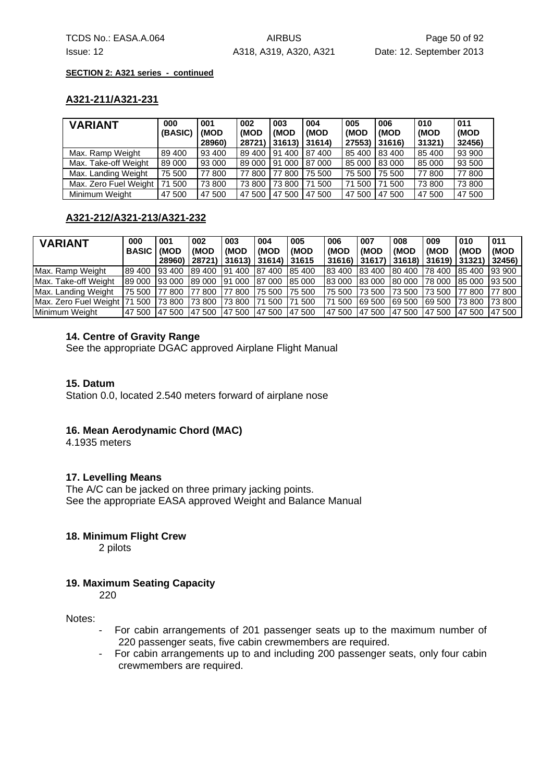# **A321-211/A321-231**

| <b>VARIANT</b>        | 000<br>(BASIC) | 001<br>(MOD<br>28960) | 002<br>(MOD<br>28721) | 003<br>(MOD<br>$31613$   31614) | 004<br>(MOD | 005<br>(MOD<br>27553) 31616) | 006<br>(MOD | 010<br>(MOD<br>31321) | 011<br>(MOD<br>32456) |
|-----------------------|----------------|-----------------------|-----------------------|---------------------------------|-------------|------------------------------|-------------|-----------------------|-----------------------|
| Max. Ramp Weight      | 89 400         | 93 400                | 89 400                | 91 400                          | 87 400      | 85 400                       | 83 400      | 85 400                | 93 900                |
| Max. Take-off Weight  | 89 000         | 93 000                | 89 000                | 91 000                          | 87 000      | 85 000   83 000              |             | 85 000                | 93 500                |
| Max. Landing Weight   | 75 500         | 77800                 | 77 800                | <b>77800</b>                    | 75 500      | 75 500                       | 75 500      | 77800                 | 77 800                |
| Max. Zero Fuel Weight | 71 500         | 73 800                | 73 800                | 173 800                         | 71 500      | 71 500 l                     | 71 500      | 73 800                | 73 800                |
| Minimum Weight        | 47 500         | 47 500                | 47 500                | 47 500                          | 47 500      | 47 500                       | 47 500      | 47 500                | 47 500                |

# **A321-212/A321-213/A321-232**

| <b>VARIANT</b>                                    | 000           | 001            | 002                    | 003                                | 004    | 005           | 006                                            | 007                                                           | 008             | 009                               | 010     | 011     |
|---------------------------------------------------|---------------|----------------|------------------------|------------------------------------|--------|---------------|------------------------------------------------|---------------------------------------------------------------|-----------------|-----------------------------------|---------|---------|
|                                                   | <b>BASIC</b>  | (MOD<br>28960) | (MOD                   | (MOD<br>28721) 31613) 31614) 31615 | (MOD   | (MOD          | (MOD                                           | (MOD<br>  31616)   31617)   31618)   31619)   31321)   32456) | (MOD            | (MOD                              | (MOD    | (MOD    |
| Max. Ramp Weight                                  | 89 400        | 93 400         | 89 400                 | 91 400                             | 87 400 | 85 400        | 83 400  83 400  80 400  78 400  85 400  93 900 |                                                               |                 |                                   |         |         |
| Max. Take-off Weight                              | 89 000        | 93 000         | 89 000  91 000  87 000 |                                    |        | 185 000       | 83 000  83 000                                 |                                                               |                 | 80 000   78 000   85 000   93 500 |         |         |
| Max. Landing Weight                               | 75 500 77 800 |                | 177 800                | 177 800                            | 75 500 | 75 500        |                                                | 75 500 73 500 73 500 73 500 77 800                            |                 |                                   |         | 177 800 |
| Max. Zero Fuel Weight 71 500 73 800 73 800 73 800 |               |                |                        |                                    | 71 500 | 171 500       | 71 500                                         | 69 500                                                        |                 | 69 500 69 500 73 800 73 800       |         |         |
| Minimum Weight                                    | 147 500       | 147 500        | 47 500   47 500        |                                    | 47 500 | <b>47 500</b> | 47 500                                         | 147 500                                                       | 147 500 147 500 |                                   | 147 500 | 147 500 |

# **14. Centre of Gravity Range**

See the appropriate DGAC approved Airplane Flight Manual

# **15. Datum**

Station 0.0, located 2.540 meters forward of airplane nose

# **16. Mean Aerodynamic Chord (MAC)**

4.1935 meters

# **17. Levelling Means**

The A/C can be jacked on three primary jacking points. See the appropriate EASA approved Weight and Balance Manual

# **18. Minimum Flight Crew**

2 pilots

# **19. Maximum Seating Capacity**

220

Notes:

- For cabin arrangements of 201 passenger seats up to the maximum number of 220 passenger seats, five cabin crewmembers are required.
- For cabin arrangements up to and including 200 passenger seats, only four cabin crewmembers are required.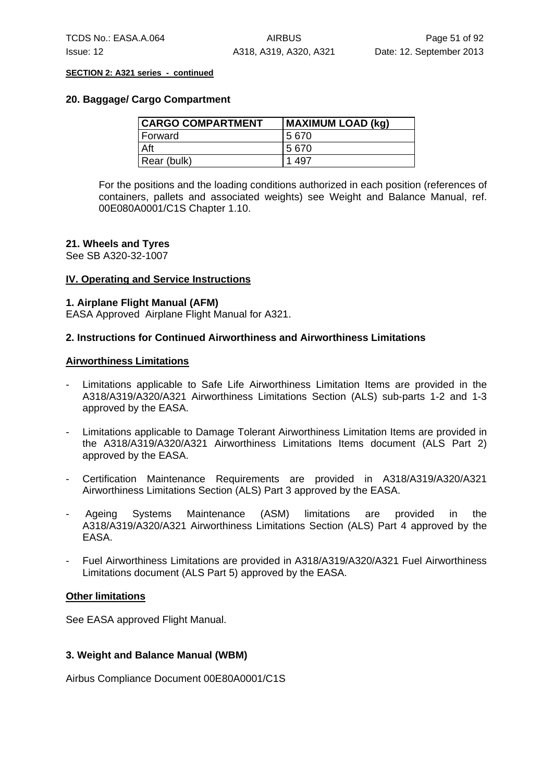#### **20. Baggage/ Cargo Compartment**

| <b>CARGO COMPARTMENT</b> | <b>MAXIMUM LOAD (kg)</b> |
|--------------------------|--------------------------|
| Forward                  | 5670                     |
| Aft                      | 5 670                    |
| Rear (bulk)              | 1 497                    |

For the positions and the loading conditions authorized in each position (references of containers, pallets and associated weights) see Weight and Balance Manual, ref. 00E080A0001/C1S Chapter 1.10.

#### **21. Wheels and Tyres**

See SB A320-32-1007

# **IV. Operating and Service Instructions**

#### **1. Airplane Flight Manual (AFM)**

EASA Approved Airplane Flight Manual for A321.

#### **2. Instructions for Continued Airworthiness and Airworthiness Limitations**

#### **Airworthiness Limitations**

- Limitations applicable to Safe Life Airworthiness Limitation Items are provided in the A318/A319/A320/A321 Airworthiness Limitations Section (ALS) sub-parts 1-2 and 1-3 approved by the EASA.
- Limitations applicable to Damage Tolerant Airworthiness Limitation Items are provided in the A318/A319/A320/A321 Airworthiness Limitations Items document (ALS Part 2) approved by the EASA.
- Certification Maintenance Requirements are provided in A318/A319/A320/A321 Airworthiness Limitations Section (ALS) Part 3 approved by the EASA.
- Ageing Systems Maintenance (ASM) limitations are provided in the A318/A319/A320/A321 Airworthiness Limitations Section (ALS) Part 4 approved by the EASA.
- Fuel Airworthiness Limitations are provided in A318/A319/A320/A321 Fuel Airworthiness Limitations document (ALS Part 5) approved by the EASA.

# **Other limitations**

See EASA approved Flight Manual.

# **3. Weight and Balance Manual (WBM)**

Airbus Compliance Document 00E80A0001/C1S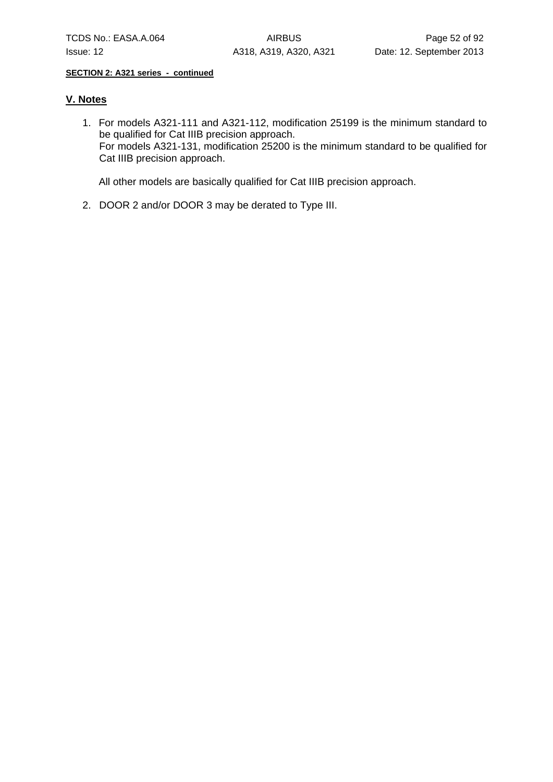# **V. Notes**

1. For models A321-111 and A321-112, modification 25199 is the minimum standard to be qualified for Cat IIIB precision approach. For models A321-131, modification 25200 is the minimum standard to be qualified for Cat IIIB precision approach.

All other models are basically qualified for Cat IIIB precision approach.

2. DOOR 2 and/or DOOR 3 may be derated to Type III.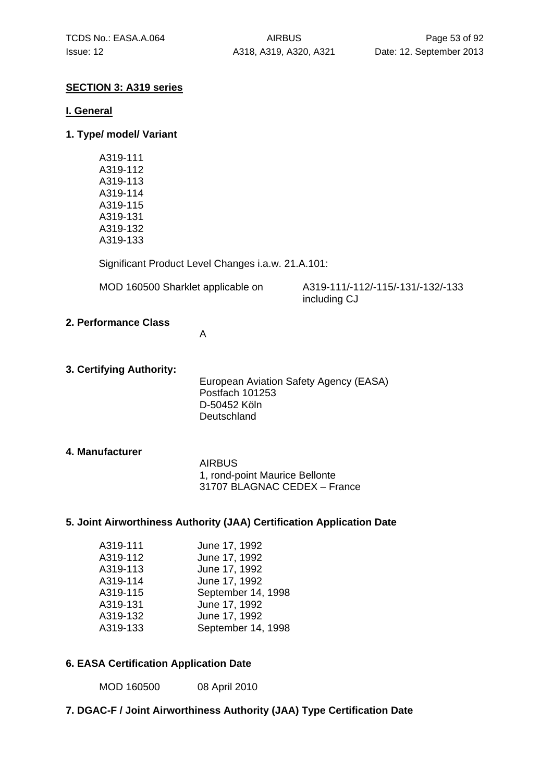# **SECTION 3: A319 series**

# **I. General**

# **1. Type/ model/ Variant**

A319-111 A319-112 A319-113 A319-114 A319-115 A319-131 A319-132 A319-133

Significant Product Level Changes i.a.w. 21.A.101:

MOD 160500 Sharklet applicable on A319-111/-112/-115/-131/-132/-133

including CJ

# **2. Performance Class**

A

**3. Certifying Authority:** 

 European Aviation Safety Agency (EASA) Postfach 101253 D-50452 Köln **Deutschland** 

# **4. Manufacturer**

AIRBUS 1, rond-point Maurice Bellonte 31707 BLAGNAC CEDEX – France

# **5. Joint Airworthiness Authority (JAA) Certification Application Date**

| A319-111 | June 17, 1992      |
|----------|--------------------|
| A319-112 | June 17, 1992      |
| A319-113 | June 17, 1992      |
| A319-114 | June 17, 1992      |
| A319-115 | September 14, 1998 |
| A319-131 | June 17, 1992      |
| A319-132 | June 17, 1992      |
| A319-133 | September 14, 1998 |

# **6. EASA Certification Application Date**

MOD 160500 08 April 2010

# **7. DGAC-F / Joint Airworthiness Authority (JAA) Type Certification Date**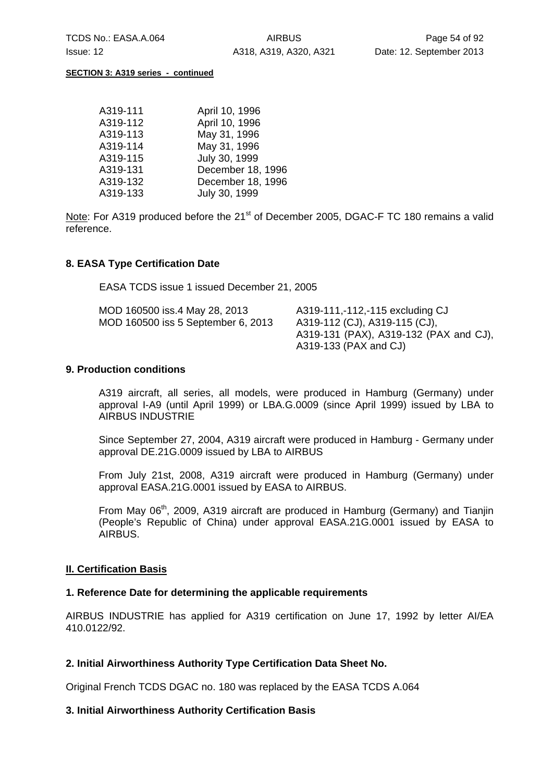| A319-111 | April 10, 1996    |
|----------|-------------------|
| A319-112 | April 10, 1996    |
| A319-113 | May 31, 1996      |
| A319-114 | May 31, 1996      |
| A319-115 | July 30, 1999     |
| A319-131 | December 18, 1996 |
| A319-132 | December 18, 1996 |
| A319-133 | July 30, 1999     |

Note: For A319 produced before the 21<sup>st</sup> of December 2005, DGAC-F TC 180 remains a valid reference.

# **8. EASA Type Certification Date**

EASA TCDS issue 1 issued December 21, 2005

| MOD 160500 iss.4 May 28, 2013      | A319-111,-112,-115 excluding CJ        |
|------------------------------------|----------------------------------------|
| MOD 160500 iss 5 September 6, 2013 | A319-112 (CJ), A319-115 (CJ),          |
|                                    | A319-131 (PAX), A319-132 (PAX and CJ), |
|                                    | A319-133 (PAX and CJ)                  |

#### **9. Production conditions**

A319 aircraft, all series, all models, were produced in Hamburg (Germany) under approval I-A9 (until April 1999) or LBA.G.0009 (since April 1999) issued by LBA to AIRBUS INDUSTRIE

Since September 27, 2004, A319 aircraft were produced in Hamburg - Germany under approval DE.21G.0009 issued by LBA to AIRBUS

From July 21st, 2008, A319 aircraft were produced in Hamburg (Germany) under approval EASA.21G.0001 issued by EASA to AIRBUS.

From May  $06<sup>th</sup>$ , 2009, A319 aircraft are produced in Hamburg (Germany) and Tianjin (People's Republic of China) under approval EASA.21G.0001 issued by EASA to AIRBUS.

# **II. Certification Basis**

#### **1. Reference Date for determining the applicable requirements**

AIRBUS INDUSTRIE has applied for A319 certification on June 17, 1992 by letter AI/EA 410.0122/92.

# **2. Initial Airworthiness Authority Type Certification Data Sheet No.**

Original French TCDS DGAC no. 180 was replaced by the EASA TCDS A.064

# **3. Initial Airworthiness Authority Certification Basis**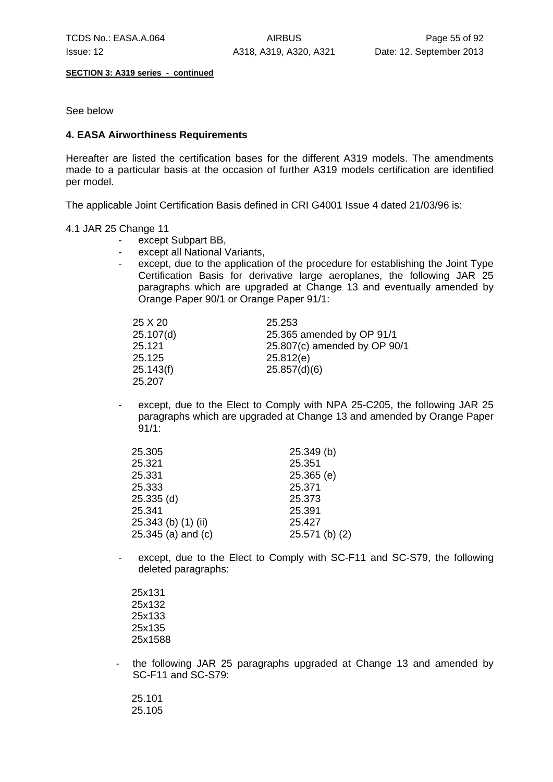See below

# **4. EASA Airworthiness Requirements**

Hereafter are listed the certification bases for the different A319 models. The amendments made to a particular basis at the occasion of further A319 models certification are identified per model.

The applicable Joint Certification Basis defined in CRI G4001 Issue 4 dated 21/03/96 is:

4.1 JAR 25 Change 11

- except Subpart BB,
- except all National Variants,
- except, due to the application of the procedure for establishing the Joint Type Certification Basis for derivative large aeroplanes, the following JAR 25 paragraphs which are upgraded at Change 13 and eventually amended by Orange Paper 90/1 or Orange Paper 91/1:

| 25 X 20   | 25.253                       |
|-----------|------------------------------|
| 25.107(d) | 25.365 amended by OP 91/1    |
| 25.121    | 25.807(c) amended by OP 90/1 |
| 25.125    | 25.812(e)                    |
| 25.143(f) | 25.857(d)(6)                 |
| 25.207    |                              |

except, due to the Elect to Comply with NPA 25-C205, the following JAR 25 paragraphs which are upgraded at Change 13 and amended by Orange Paper 91/1:

| 25.305              | 25.349 (b)       |
|---------------------|------------------|
| 25.321              | 25.351           |
| 25.331              | $25.365$ (e)     |
| 25.333              | 25.371           |
| 25.335 (d)          | 25.373           |
| 25.341              | 25.391           |
| 25.343 (b) (1) (ii) | 25.427           |
| 25.345 (a) and (c)  | $25.571$ (b) (2) |

except, due to the Elect to Comply with SC-F11 and SC-S79, the following deleted paragraphs:

25x131 25x132 25x133 25x135 25x1588

- the following JAR 25 paragraphs upgraded at Change 13 and amended by SC-F11 and SC-S79:

25.101 25.105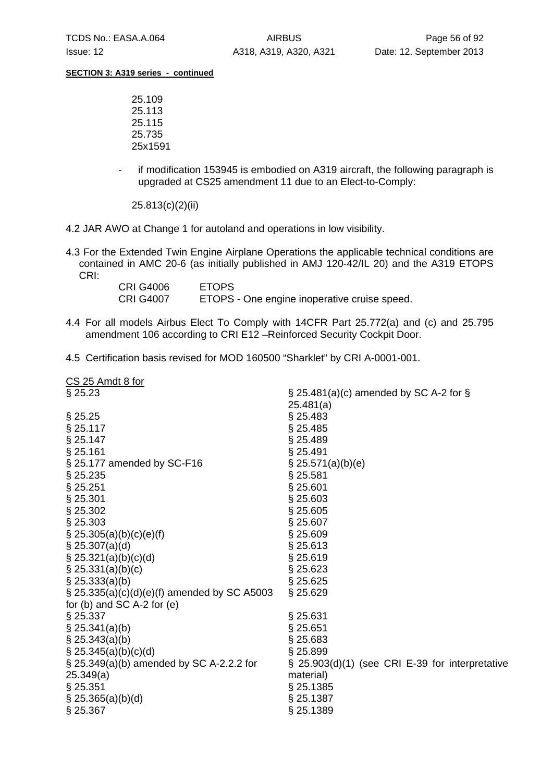25.109 25.113 25.115 25.735 25x1591

- if modification 153945 is embodied on A319 aircraft, the following paragraph is upgraded at CS25 amendment 11 due to an Elect-to-Comply:

25.813(c)(2)(ii)

- 4.2 JAR AWO at Change 1 for autoland and operations in low visibility.
- 4.3 For the Extended Twin Engine Airplane Operations the applicable technical conditions are contained in AMC 20-6 (as initially published in AMJ 120-42/IL 20) and the A319 ETOPS CRI:

CRI G4006 ETOPS CRI G4007 ETOPS - One engine inoperative cruise speed.

- 4.4 For all models Airbus Elect To Comply with 14CFR Part 25.772(a) and (c) and 25.795 amendment 106 according to CRI E12 –Reinforced Security Cockpit Door.
- 4.5 Certification basis revised for MOD 160500 "Sharklet" by CRI A-0001-001.

| <u>CS 25 Amdt 8 for</u>                        |                                                           |
|------------------------------------------------|-----------------------------------------------------------|
| $§$ 25.23                                      | $\S$ 25.481(a)(c) amended by SC A-2 for $\S$<br>25.481(a) |
| $§$ 25.25                                      | $§$ 25.483                                                |
| $§$ 25.117                                     | $§$ 25.485                                                |
| $§$ 25.147                                     | § 25.489                                                  |
| $§$ 25.161                                     | § 25.491                                                  |
| § 25.177 amended by SC-F16                     | \$25.571(a)(b)(e)                                         |
| $§$ 25.235                                     | $§$ 25.581                                                |
| § 25.251                                       | $§$ 25.601                                                |
| § 25.301                                       | \$25.603                                                  |
| § 25.302                                       | \$25.605                                                  |
| $§$ 25.303                                     | $§$ 25.607                                                |
| $\S$ 25.305(a)(b)(c)(e)(f)                     | $§$ 25.609                                                |
| $\S$ 25.307(a)(d)                              | $§$ 25.613                                                |
| $\S$ 25.321(a)(b)(c)(d)                        | § 25.619                                                  |
| $\S$ 25.331(a)(b)(c)                           | $§$ 25.623                                                |
| $\S$ 25.333(a)(b)                              | $§$ 25.625                                                |
| $\S$ 25.335(a)(c)(d)(e)(f) amended by SC A5003 | $§$ 25.629                                                |
| for $(b)$ and SC A-2 for $(e)$                 |                                                           |
| $§$ 25.337                                     | $§$ 25.631                                                |
| $\S$ 25.341(a)(b)                              | $§$ 25.651                                                |
| $\S$ 25.343(a)(b)                              | $§$ 25.683                                                |
| $\S$ 25.345(a)(b)(c)(d)                        | § 25.899                                                  |
| $\S$ 25.349(a)(b) amended by SC A-2.2.2 for    | $\S$ 25.903(d)(1) (see CRI E-39 for interpretative        |
| 25.349(a)                                      | material)                                                 |
| $§$ 25.351                                     | $§$ 25.1385                                               |
| $\S$ 25.365(a)(b)(d)                           | § 25.1387                                                 |
| $§$ 25.367                                     | § 25.1389                                                 |
|                                                |                                                           |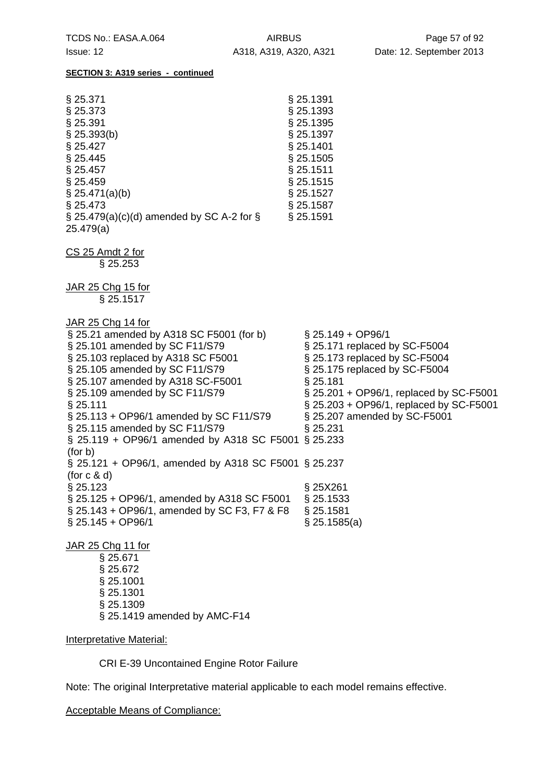| $§$ 25.371<br>§ 25.373<br>§ 25.391<br>\$25.393(b)<br>\$25.427<br>§ 25.445<br>§ 25.457<br>$§$ 25.459<br>$\S 25.471(a)(b)$<br>$§$ 25.473<br>$\S$ 25.479(a)(c)(d) amended by SC A-2 for $\S$<br>25.479(a)                                                                                                                                                                                  | $§$ 25.1391<br>§ 25.1393<br>$§$ 25.1395<br>§ 25.1397<br>$§$ 25.1401<br>$§$ 25.1505<br>§ 25.1511<br>$§$ 25.1515<br>$§$ 25.1527<br>$§$ 25.1587<br>$§$ 25.1591                                                                                                                                     |
|-----------------------------------------------------------------------------------------------------------------------------------------------------------------------------------------------------------------------------------------------------------------------------------------------------------------------------------------------------------------------------------------|-------------------------------------------------------------------------------------------------------------------------------------------------------------------------------------------------------------------------------------------------------------------------------------------------|
| CS 25 Amdt 2 for<br>$\S$ 25.253                                                                                                                                                                                                                                                                                                                                                         |                                                                                                                                                                                                                                                                                                 |
| JAR 25 Chg 15 for<br>$§$ 25.1517                                                                                                                                                                                                                                                                                                                                                        |                                                                                                                                                                                                                                                                                                 |
| JAR 25 Chg 14 for<br>§ 25.21 amended by A318 SC F5001 (for b)<br>§ 25.101 amended by SC F11/S79<br>§ 25.103 replaced by A318 SC F5001<br>§ 25.105 amended by SC F11/S79<br>§ 25.107 amended by A318 SC-F5001<br>§ 25.109 amended by SC F11/S79<br>$§$ 25.111<br>§ 25.113 + OP96/1 amended by SC F11/S79<br>§ 25.115 amended by SC F11/S79<br>§ 25.119 + OP96/1 amended by A318 SC F5001 | $\S$ 25.149 + OP96/1<br>§ 25.171 replaced by SC-F5004<br>§ 25.173 replaced by SC-F5004<br>§ 25.175 replaced by SC-F5004<br>$\S$ 25.181<br>$\S$ 25.201 + OP96/1, replaced by SC-F5001<br>$\S$ 25.203 + OP96/1, replaced by SC-F5001<br>§ 25.207 amended by SC-F5001<br>$\S$ 25.231<br>$§$ 25.233 |
| (for b)<br>§ 25.121 + OP96/1, amended by A318 SC F5001 § 25.237<br>(for c & d)                                                                                                                                                                                                                                                                                                          |                                                                                                                                                                                                                                                                                                 |
| $§$ 25.123<br>§ 25.125 + OP96/1, amended by A318 SC F5001<br>§ 25.143 + OP96/1, amended by SC F3, F7 & F8<br>$\S$ 25.145 + OP96/1                                                                                                                                                                                                                                                       | § 25X261<br>$\S$ 25.1533<br>\$25.1581<br>\$25.1585(a)                                                                                                                                                                                                                                           |
| JAR 25 Chg 11 for<br>§ 25.671<br>$§$ 25.672<br>§ 25.1001                                                                                                                                                                                                                                                                                                                                |                                                                                                                                                                                                                                                                                                 |

§ 25.1309 § 25.1419 amended by AMC-F14

Interpretative Material:

§ 25.1301

CRI E-39 Uncontained Engine Rotor Failure

Note: The original Interpretative material applicable to each model remains effective.

# Acceptable Means of Compliance: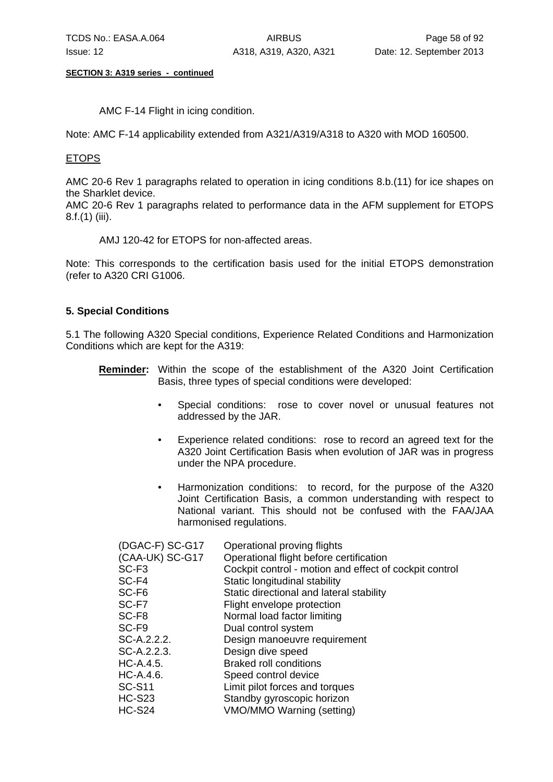AMC F-14 Flight in icing condition.

Note: AMC F-14 applicability extended from A321/A319/A318 to A320 with MOD 160500.

# ETOPS

AMC 20-6 Rev 1 paragraphs related to operation in icing conditions 8.b.(11) for ice shapes on the Sharklet device.

AMC 20-6 Rev 1 paragraphs related to performance data in the AFM supplement for ETOPS 8.f.(1) (iii).

AMJ 120-42 for ETOPS for non-affected areas.

Note: This corresponds to the certification basis used for the initial ETOPS demonstration (refer to A320 CRI G1006.

# **5. Special Conditions**

5.1 The following A320 Special conditions, Experience Related Conditions and Harmonization Conditions which are kept for the A319:

- **Reminder:** Within the scope of the establishment of the A320 Joint Certification Basis, three types of special conditions were developed:
	- Special conditions: rose to cover novel or unusual features not addressed by the JAR.
	- Experience related conditions: rose to record an agreed text for the A320 Joint Certification Basis when evolution of JAR was in progress under the NPA procedure.
	- Harmonization conditions: to record, for the purpose of the A320 Joint Certification Basis, a common understanding with respect to National variant. This should not be confused with the FAA/JAA harmonised regulations.

| Operational proving flights                            |
|--------------------------------------------------------|
| Operational flight before certification                |
| Cockpit control - motion and effect of cockpit control |
| Static longitudinal stability                          |
| Static directional and lateral stability               |
| Flight envelope protection                             |
| Normal load factor limiting                            |
| Dual control system                                    |
| Design manoeuvre requirement                           |
| Design dive speed                                      |
| <b>Braked roll conditions</b>                          |
| Speed control device                                   |
| Limit pilot forces and torques                         |
| Standby gyroscopic horizon                             |
| VMO/MMO Warning (setting)                              |
|                                                        |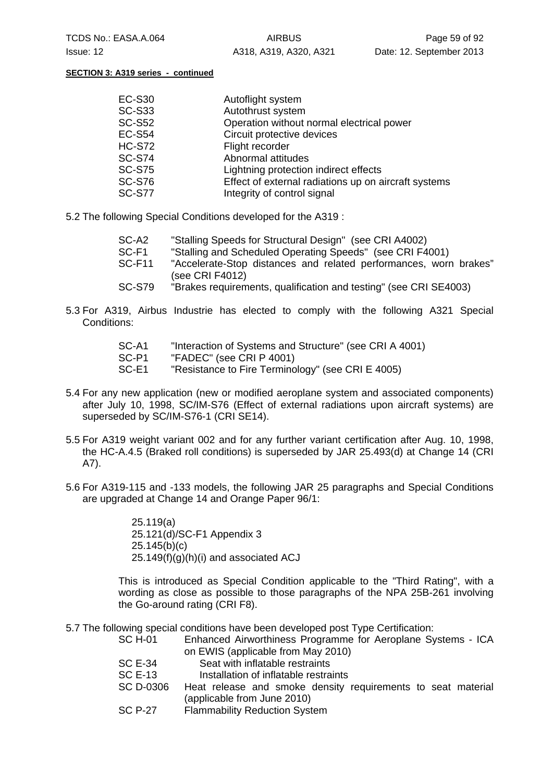| <b>EC-S30</b> | Autoflight system                                    |
|---------------|------------------------------------------------------|
| <b>SC-S33</b> | Autothrust system                                    |
| <b>SC-S52</b> | Operation without normal electrical power            |
| <b>EC-S54</b> | Circuit protective devices                           |
| <b>HC-S72</b> | Flight recorder                                      |
| <b>SC-S74</b> | Abnormal attitudes                                   |
| <b>SC-S75</b> | Lightning protection indirect effects                |
| <b>SC-S76</b> | Effect of external radiations up on aircraft systems |
| <b>SC-S77</b> | Integrity of control signal                          |

5.2 The following Special Conditions developed for the A319 :

| SC-A2         | "Stalling Speeds for Structural Design" (see CRI A4002)                              |
|---------------|--------------------------------------------------------------------------------------|
| SC-F1         | "Stalling and Scheduled Operating Speeds" (see CRI F4001)                            |
| <b>SC-F11</b> | "Accelerate-Stop distances and related performances, worn brakes"<br>(see CRI F4012) |
| <b>SC-S79</b> | "Brakes requirements, qualification and testing" (see CRI SE4003)                    |

- 5.3 For A319, Airbus Industrie has elected to comply with the following A321 Special Conditions:
	- SC-A1 "Interaction of Systems and Structure" (see CRI A 4001)
	- SC-P1 "FADEC" (see CRI P 4001)
	- SC-E1 "Resistance to Fire Terminology" (see CRI E 4005)
- 5.4 For any new application (new or modified aeroplane system and associated components) after July 10, 1998, SC/IM-S76 (Effect of external radiations upon aircraft systems) are superseded by SC/IM-S76-1 (CRI SE14).
- 5.5 For A319 weight variant 002 and for any further variant certification after Aug. 10, 1998, the HC-A.4.5 (Braked roll conditions) is superseded by JAR 25.493(d) at Change 14 (CRI A7).
- 5.6 For A319-115 and -133 models, the following JAR 25 paragraphs and Special Conditions are upgraded at Change 14 and Orange Paper 96/1:

25.119(a) 25.121(d)/SC-F1 Appendix 3 25.145(b)(c)  $25.149(f)(g)(h)(i)$  and associated ACJ

This is introduced as Special Condition applicable to the "Third Rating", with a wording as close as possible to those paragraphs of the NPA 25B-261 involving the Go-around rating (CRI F8).

5.7 The following special conditions have been developed post Type Certification:

| <b>SC H-01</b> | Enhanced Airworthiness Programme for Aeroplane Systems - ICA |
|----------------|--------------------------------------------------------------|
|                | on EWIS (applicable from May 2010)                           |
| SC E-34        | Seat with inflatable restraints                              |
| SC E-13        | Installation of inflatable restraints                        |
| SC D-0306      | Heat release and smoke density requirements to seat material |
|                | (applicable from June 2010)                                  |
| <b>SC P-27</b> | <b>Flammability Reduction System</b>                         |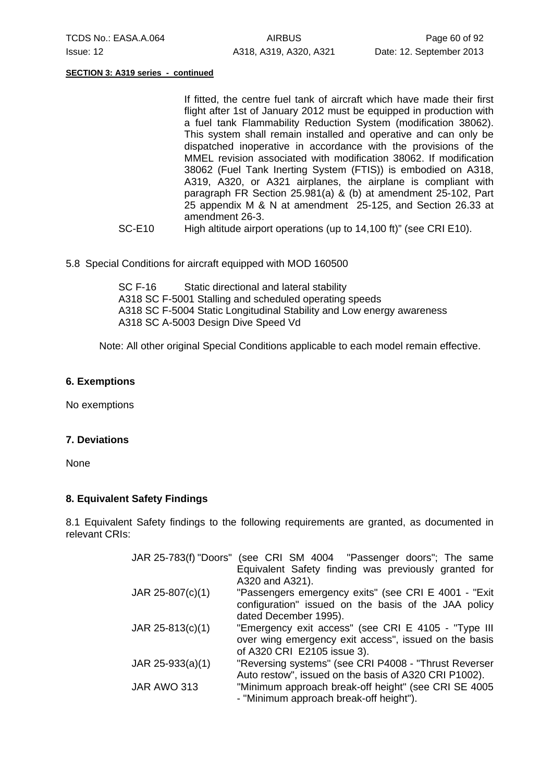If fitted, the centre fuel tank of aircraft which have made their first flight after 1st of January 2012 must be equipped in production with a fuel tank Flammability Reduction System (modification 38062). This system shall remain installed and operative and can only be dispatched inoperative in accordance with the provisions of the MMEL revision associated with modification 38062. If modification 38062 (Fuel Tank Inerting System (FTIS)) is embodied on A318, A319, A320, or A321 airplanes, the airplane is compliant with paragraph FR Section 25.981(a) & (b) at amendment 25-102, Part 25 appendix M & N at amendment 25-125, and Section 26.33 at amendment 26-3.

SC-E10 High altitude airport operations (up to 14,100 ft)" (see CRI E10).

5.8 Special Conditions for aircraft equipped with MOD 160500

SC F-16 Static directional and lateral stability A318 SC F-5001 Stalling and scheduled operating speeds A318 SC F-5004 Static Longitudinal Stability and Low energy awareness A318 SC A-5003 Design Dive Speed Vd

Note: All other original Special Conditions applicable to each model remain effective.

# **6. Exemptions**

No exemptions

# **7. Deviations**

None

# **8. Equivalent Safety Findings**

8.1 Equivalent Safety findings to the following requirements are granted, as documented in relevant CRIs:

|                    | JAR 25-783(f) "Doors" (see CRI SM 4004 "Passenger doors"; The same<br>Equivalent Safety finding was previously granted for |
|--------------------|----------------------------------------------------------------------------------------------------------------------------|
|                    | A320 and A321).                                                                                                            |
| $JAR$ 25-807(c)(1) | "Passengers emergency exits" (see CRI E 4001 - "Exit"                                                                      |
|                    | configuration" issued on the basis of the JAA policy                                                                       |
|                    | dated December 1995).                                                                                                      |
| JAR 25-813(c)(1)   | "Emergency exit access" (see CRI E 4105 - "Type III                                                                        |
|                    | over wing emergency exit access", issued on the basis<br>of A320 CRI E2105 issue 3).                                       |
| JAR 25-933(a)(1)   | "Reversing systems" (see CRI P4008 - "Thrust Reverser                                                                      |
|                    | Auto restow", issued on the basis of A320 CRI P1002).                                                                      |
| JAR AWO 313        | "Minimum approach break-off height" (see CRI SE 4005<br>- "Minimum approach break-off height").                            |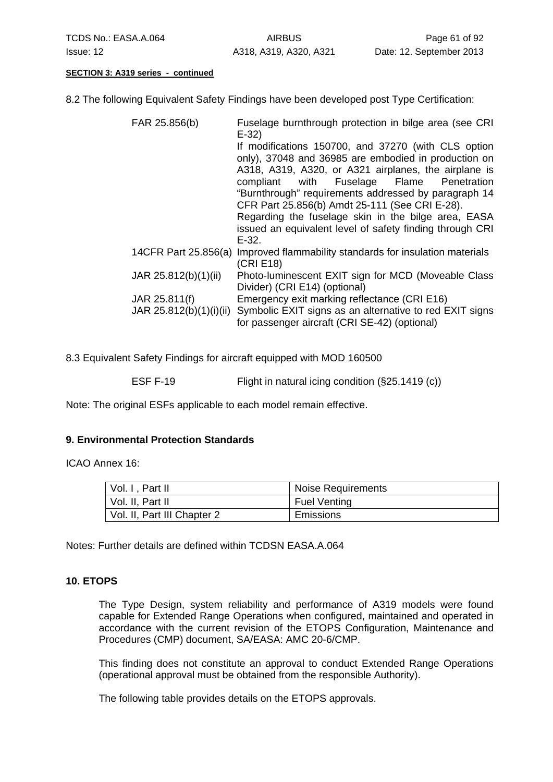8.2 The following Equivalent Safety Findings have been developed post Type Certification:

| FAR 25.856(b)           | Fuselage burnthrough protection in bilge area (see CRI<br>$E-32$                                                                                                                                                                                                                                                                                                                                                                                         |
|-------------------------|----------------------------------------------------------------------------------------------------------------------------------------------------------------------------------------------------------------------------------------------------------------------------------------------------------------------------------------------------------------------------------------------------------------------------------------------------------|
|                         | If modifications 150700, and 37270 (with CLS option<br>only), 37048 and 36985 are embodied in production on<br>A318, A319, A320, or A321 airplanes, the airplane is<br>compliant with Fuselage Flame Penetration<br>"Burnthrough" requirements addressed by paragraph 14<br>CFR Part 25.856(b) Amdt 25-111 (See CRI E-28).<br>Regarding the fuselage skin in the bilge area, EASA<br>issued an equivalent level of safety finding through CRI<br>$E-32.$ |
|                         |                                                                                                                                                                                                                                                                                                                                                                                                                                                          |
|                         | 14CFR Part 25.856(a) Improved flammability standards for insulation materials<br>(CRI E18)                                                                                                                                                                                                                                                                                                                                                               |
| JAR 25.812(b)(1)(ii)    | Photo-luminescent EXIT sign for MCD (Moveable Class<br>Divider) (CRI E14) (optional)                                                                                                                                                                                                                                                                                                                                                                     |
| JAR 25.811(f)           | Emergency exit marking reflectance (CRI E16)                                                                                                                                                                                                                                                                                                                                                                                                             |
| JAR 25.812(b)(1)(i)(ii) | Symbolic EXIT signs as an alternative to red EXIT signs<br>for passenger aircraft (CRI SE-42) (optional)                                                                                                                                                                                                                                                                                                                                                 |

8.3 Equivalent Safety Findings for aircraft equipped with MOD 160500

| <b>ESF F-19</b> | Flight in natural icing condition (§25.1419 (c)) |  |
|-----------------|--------------------------------------------------|--|
|                 |                                                  |  |

Note: The original ESFs applicable to each model remain effective.

# **9. Environmental Protection Standards**

ICAO Annex 16:

| Vol. I, Part II             | Noise Requirements  |
|-----------------------------|---------------------|
| Vol. II, Part II            | <b>Fuel Venting</b> |
| Vol. II, Part III Chapter 2 | Emissions           |

Notes: Further details are defined within TCDSN EASA.A.064

# **10. ETOPS**

The Type Design, system reliability and performance of A319 models were found capable for Extended Range Operations when configured, maintained and operated in accordance with the current revision of the ETOPS Configuration, Maintenance and Procedures (CMP) document, SA/EASA: AMC 20-6/CMP.

This finding does not constitute an approval to conduct Extended Range Operations (operational approval must be obtained from the responsible Authority).

The following table provides details on the ETOPS approvals.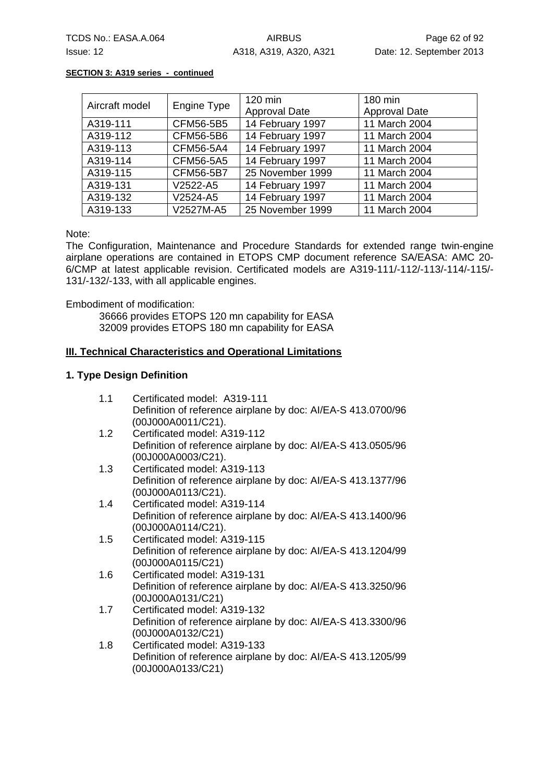| Aircraft model | 120 min      | 180 min              |                      |
|----------------|--------------|----------------------|----------------------|
|                | Engine Type  | <b>Approval Date</b> | <b>Approval Date</b> |
| A319-111       | CFM56-5B5    | 14 February 1997     | 11 March 2004        |
| A319-112       | CFM56-5B6    | 14 February 1997     | 11 March 2004        |
| A319-113       | CFM56-5A4    | 14 February 1997     | 11 March 2004        |
| A319-114       | CFM56-5A5    | 14 February 1997     | 11 March 2004        |
| A319-115       | CFM56-5B7    | 25 November 1999     | 11 March 2004        |
| A319-131       | V2522-A5     | 14 February 1997     | 11 March 2004        |
| A319-132       | $V2524 - A5$ | 14 February 1997     | 11 March 2004        |
| A319-133       | V2527M-A5    | 25 November 1999     | 11 March 2004        |

Note:

The Configuration, Maintenance and Procedure Standards for extended range twin-engine airplane operations are contained in ETOPS CMP document reference SA/EASA: AMC 20- 6/CMP at latest applicable revision. Certificated models are A319-111/-112/-113/-114/-115/- 131/-132/-133, with all applicable engines.

Embodiment of modification:

36666 provides ETOPS 120 mn capability for EASA 32009 provides ETOPS 180 mn capability for EASA

# **III. Technical Characteristics and Operational Limitations**

# **1. Type Design Definition**

- 1.1 Certificated model: A319-111 Definition of reference airplane by doc: AI/EA-S 413.0700/96 (00J000A0011/C21).
- 1.2 Certificated model: A319-112 Definition of reference airplane by doc: AI/EA-S 413.0505/96 (00J000A0003/C21).
- 1.3 Certificated model: A319-113 Definition of reference airplane by doc: AI/EA-S 413.1377/96 (00J000A0113/C21).
- 1.4 Certificated model: A319-114 Definition of reference airplane by doc: AI/EA-S 413.1400/96 (00J000A0114/C21).
- 1.5 Certificated model: A319-115 Definition of reference airplane by doc: AI/EA-S 413.1204/99 (00J000A0115/C21)
- 1.6 Certificated model: A319-131 Definition of reference airplane by doc: AI/EA-S 413.3250/96 (00J000A0131/C21)
- 1.7 Certificated model: A319-132 Definition of reference airplane by doc: AI/EA-S 413.3300/96 (00J000A0132/C21)
- 1.8 Certificated model: A319-133 Definition of reference airplane by doc: AI/EA-S 413.1205/99 (00J000A0133/C21)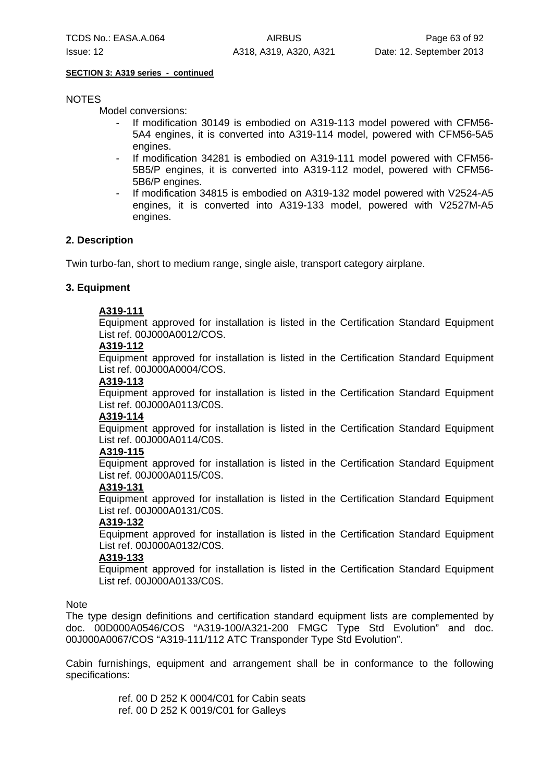#### **NOTES**

Model conversions:

- If modification 30149 is embodied on A319-113 model powered with CFM56-5A4 engines, it is converted into A319-114 model, powered with CFM56-5A5 engines.
- If modification 34281 is embodied on A319-111 model powered with CFM56- 5B5/P engines, it is converted into A319-112 model, powered with CFM56- 5B6/P engines.
- If modification 34815 is embodied on A319-132 model powered with V2524-A5 engines, it is converted into A319-133 model, powered with V2527M-A5 engines.

#### **2. Description**

Twin turbo-fan, short to medium range, single aisle, transport category airplane.

# **3. Equipment**

# **A319-111**

Equipment approved for installation is listed in the Certification Standard Equipment List ref. 00J000A0012/COS.

#### **A319-112**

Equipment approved for installation is listed in the Certification Standard Equipment List ref. 00J000A0004/COS.

## **A319-113**

Equipment approved for installation is listed in the Certification Standard Equipment List ref. 00J000A0113/C0S.

# **A319-114**

Equipment approved for installation is listed in the Certification Standard Equipment List ref. 00J000A0114/C0S.

# **A319-115**

Equipment approved for installation is listed in the Certification Standard Equipment List ref. 00J000A0115/C0S.

#### **A319-131**

Equipment approved for installation is listed in the Certification Standard Equipment List ref. 00J000A0131/C0S.

# **A319-132**

Equipment approved for installation is listed in the Certification Standard Equipment List ref. 00J000A0132/C0S.

#### **A319-133**

Equipment approved for installation is listed in the Certification Standard Equipment List ref. 00J000A0133/C0S.

**Note** 

The type design definitions and certification standard equipment lists are complemented by doc. 00D000A0546/COS "A319-100/A321-200 FMGC Type Std Evolution" and doc. 00J000A0067/COS "A319-111/112 ATC Transponder Type Std Evolution".

Cabin furnishings, equipment and arrangement shall be in conformance to the following specifications:

> ref. 00 D 252 K 0004/C01 for Cabin seats ref. 00 D 252 K 0019/C01 for Galleys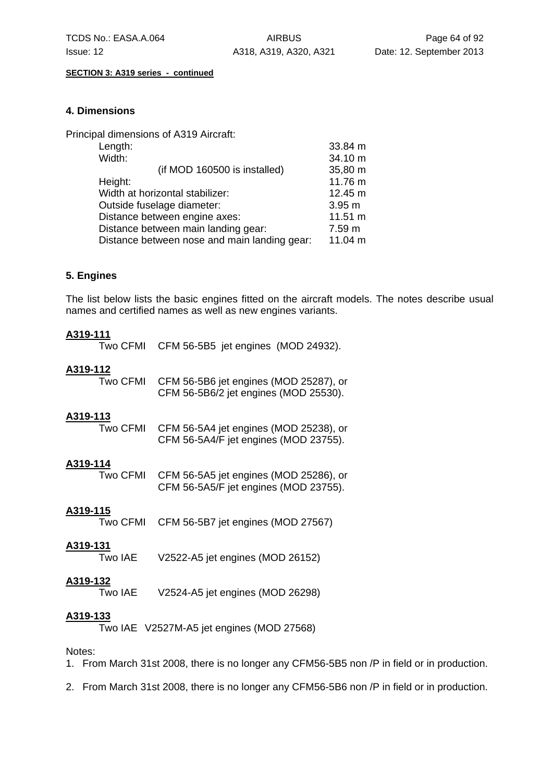# **4. Dimensions**

Principal dimensions of A319 Aircraft:

| Length:                                      | 33.84 m          |
|----------------------------------------------|------------------|
| Width:                                       | 34.10 m          |
| (if MOD 160500 is installed)                 | 35,80 m          |
| Height:                                      | 11.76 m          |
| Width at horizontal stabilizer:              | 12.45 m          |
| Outside fuselage diameter:                   | $3.95 \text{ m}$ |
| Distance between engine axes:                | 11.51 m          |
| Distance between main landing gear:          | 7.59 m           |
| Distance between nose and main landing gear: | 11.04 m          |

#### **5. Engines**

The list below lists the basic engines fitted on the aircraft models. The notes describe usual names and certified names as well as new engines variants.

#### **A319-111**

Two CFMI CFM 56-5B5 jet engines (MOD 24932).

#### **A319-112**

| Two CFMI | CFM 56-5B6 jet engines (MOD 25287), or |
|----------|----------------------------------------|
|          | CFM 56-5B6/2 jet engines (MOD 25530).  |

#### **A319-113**

Two CFMI CFM 56-5A4 jet engines (MOD 25238), or CFM 56-5A4/F jet engines (MOD 23755).

#### **A319-114**

Two CFMI CFM 56-5A5 jet engines (MOD 25286), or CFM 56-5A5/F jet engines (MOD 23755).

#### **A319-115**

Two CFMI CFM 56-5B7 jet engines (MOD 27567)

#### **A319-131**

Two IAE V2522-A5 jet engines (MOD 26152)

## **A319-132**

Two IAE V2524-A5 jet engines (MOD 26298)

#### **A319-133**

Two IAE V2527M-A5 jet engines (MOD 27568)

#### Notes:

- 1. From March 31st 2008, there is no longer any CFM56-5B5 non /P in field or in production.
- 2. From March 31st 2008, there is no longer any CFM56-5B6 non /P in field or in production.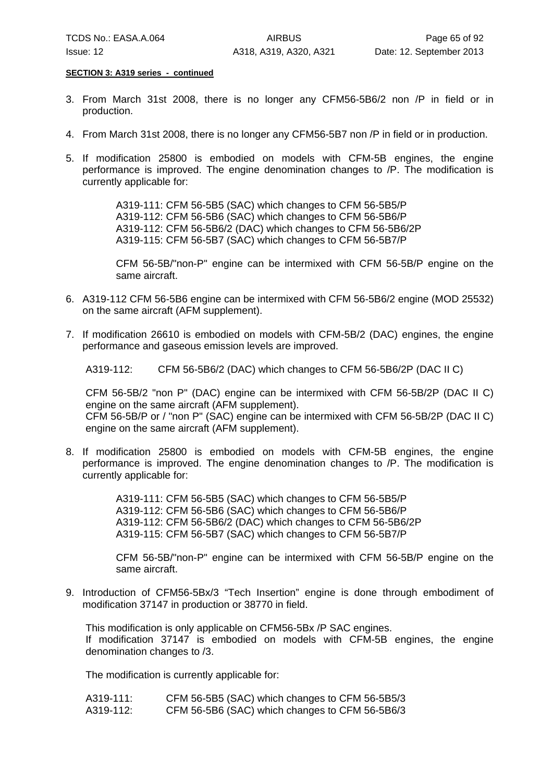- 3. From March 31st 2008, there is no longer any CFM56-5B6/2 non /P in field or in production.
- 4. From March 31st 2008, there is no longer any CFM56-5B7 non /P in field or in production.
- 5. If modification 25800 is embodied on models with CFM-5B engines, the engine performance is improved. The engine denomination changes to /P. The modification is currently applicable for:

A319-111: CFM 56-5B5 (SAC) which changes to CFM 56-5B5/P A319-112: CFM 56-5B6 (SAC) which changes to CFM 56-5B6/P A319-112: CFM 56-5B6/2 (DAC) which changes to CFM 56-5B6/2P A319-115: CFM 56-5B7 (SAC) which changes to CFM 56-5B7/P

CFM 56-5B/"non-P" engine can be intermixed with CFM 56-5B/P engine on the same aircraft.

- 6. A319-112 CFM 56-5B6 engine can be intermixed with CFM 56-5B6/2 engine (MOD 25532) on the same aircraft (AFM supplement).
- 7. If modification 26610 is embodied on models with CFM-5B/2 (DAC) engines, the engine performance and gaseous emission levels are improved.

A319-112: CFM 56-5B6/2 (DAC) which changes to CFM 56-5B6/2P (DAC II C)

CFM 56-5B/2 "non P" (DAC) engine can be intermixed with CFM 56-5B/2P (DAC II C) engine on the same aircraft (AFM supplement). CFM 56-5B/P or / "non P" (SAC) engine can be intermixed with CFM 56-5B/2P (DAC II C) engine on the same aircraft (AFM supplement).

8. If modification 25800 is embodied on models with CFM-5B engines, the engine performance is improved. The engine denomination changes to /P. The modification is currently applicable for:

> A319-111: CFM 56-5B5 (SAC) which changes to CFM 56-5B5/P A319-112: CFM 56-5B6 (SAC) which changes to CFM 56-5B6/P A319-112: CFM 56-5B6/2 (DAC) which changes to CFM 56-5B6/2P A319-115: CFM 56-5B7 (SAC) which changes to CFM 56-5B7/P

CFM 56-5B/"non-P" engine can be intermixed with CFM 56-5B/P engine on the same aircraft.

9. Introduction of CFM56-5Bx/3 "Tech Insertion" engine is done through embodiment of modification 37147 in production or 38770 in field.

This modification is only applicable on CFM56-5Bx /P SAC engines. If modification 37147 is embodied on models with CFM-5B engines, the engine denomination changes to /3.

The modification is currently applicable for:

| A319-111: | CFM 56-5B5 (SAC) which changes to CFM 56-5B5/3 |
|-----------|------------------------------------------------|
| A319-112: | CFM 56-5B6 (SAC) which changes to CFM 56-5B6/3 |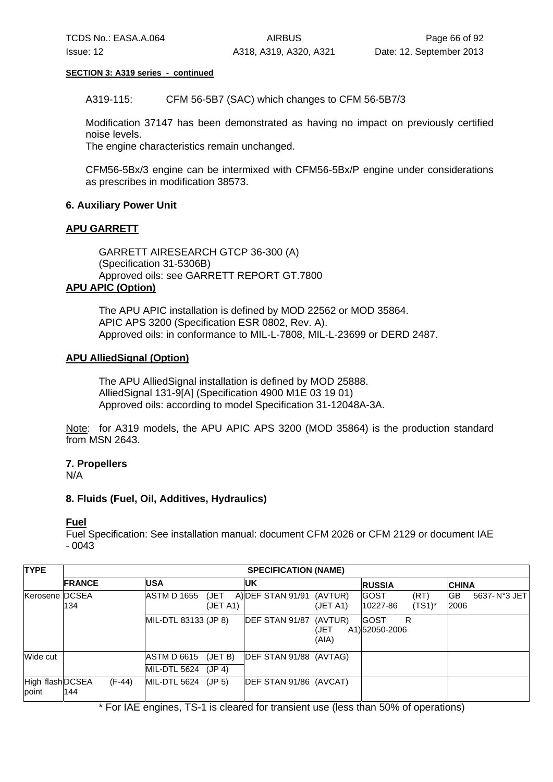A319-115: CFM 56-5B7 (SAC) which changes to CFM 56-5B7/3

Modification 37147 has been demonstrated as having no impact on previously certified noise levels.

The engine characteristics remain unchanged.

CFM56-5Bx/3 engine can be intermixed with CFM56-5Bx/P engine under considerations as prescribes in modification 38573.

#### **6. Auxiliary Power Unit**

# **APU GARRETT**

GARRETT AIRESEARCH GTCP 36-300 (A) (Specification 31-5306B) Approved oils: see GARRETT REPORT GT.7800

# **APU APIC (Option)**

The APU APIC installation is defined by MOD 22562 or MOD 35864. APIC APS 3200 (Specification ESR 0802, Rev. A). Approved oils: in conformance to MIL-L-7808, MIL-L-23699 or DERD 2487.

# **APU AlliedSignal (Option)**

The APU AlliedSignal installation is defined by MOD 25888. AlliedSignal 131-9[A] (Specification 4900 M1E 03 19 01) Approved oils: according to model Specification 31-12048A-3A.

Note: for A319 models, the APU APIC APS 3200 (MOD 35864) is the production standard from MSN 2643.

# **7. Propellers**

N/A

# **8. Fluids (Fuel, Oil, Additives, Hydraulics)**

# **Fuel**

Fuel Specification: See installation manual: document CFM 2026 or CFM 2129 or document IAE - 0043

| <b>TYPE</b>               |                 | <b>SPECIFICATION (NAME)</b>                      |                                            |                                              |                            |  |  |
|---------------------------|-----------------|--------------------------------------------------|--------------------------------------------|----------------------------------------------|----------------------------|--|--|
|                           | <b>FRANCE</b>   | <b>USA</b>                                       | ΙUΚ                                        | <b>RUSSIA</b>                                | <b>CHINA</b>               |  |  |
| Kerosene IDCSEA           | 134             | <b>ASTM D 1655</b><br>(JET<br>JET A1             | A) DEF STAN 91/91<br>(AVTUR)<br>JET A1     | <b>GOST</b><br>(RT)<br>10227-86<br>$(TS1)^*$ | GB<br>5637-N°3 JET<br>2006 |  |  |
|                           |                 | MIL-DTL 83133 (JP 8)                             | DEF STAN 91/87<br>(AVTUR)<br>(JET<br>(AIA) | <b>GOST</b><br>R<br>A1)52050-2006            |                            |  |  |
| Wide cut                  |                 | ASTM D 6615<br>(JET B)<br>MIL-DTL 5624<br>(JP 4) | DEF STAN 91/88 (AVTAG)                     |                                              |                            |  |  |
| High flash DCSEA<br>point | $(F-44)$<br>144 | MIL-DTL 5624<br>(JP <sub>5</sub> )               | DEF STAN 91/86 (AVCAT)                     |                                              |                            |  |  |

\* For IAE engines, TS-1 is cleared for transient use (less than 50% of operations)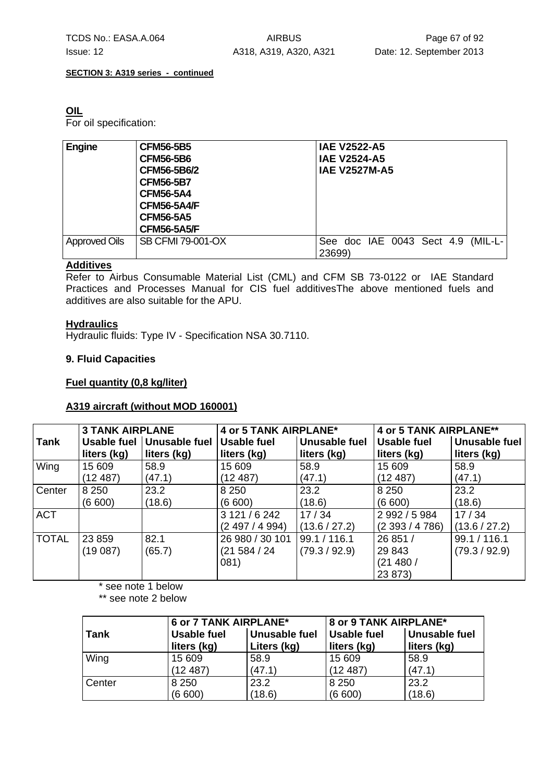# **OIL**

For oil specification:

| Engine               | <b>CFM56-5B5</b>         | <b>IAE V2522-A5</b>               |
|----------------------|--------------------------|-----------------------------------|
|                      | <b>CFM56-5B6</b>         | <b>IAE V2524-A5</b>               |
|                      | <b>CFM56-5B6/2</b>       | <b>IAE V2527M-A5</b>              |
|                      | <b>CFM56-5B7</b>         |                                   |
|                      | <b>CFM56-5A4</b>         |                                   |
|                      | <b>CFM56-5A4/F</b>       |                                   |
|                      | <b>CFM56-5A5</b>         |                                   |
|                      | <b>CFM56-5A5/F</b>       |                                   |
| <b>Approved Oils</b> | <b>SB CFMI 79-001-OX</b> | See doc IAE 0043 Sect 4.9 (MIL-L- |
|                      |                          | 23699)                            |

# **Additives**

Refer to Airbus Consumable Material List (CML) and CFM SB 73-0122 or IAE Standard Practices and Processes Manual for CIS fuel additivesThe above mentioned fuels and additives are also suitable for the APU.

# **Hydraulics**

Hydraulic fluids: Type IV - Specification NSA 30.7110.

# **9. Fluid Capacities**

# **Fuel quantity (0,8 kg/liter)**

# **A319 aircraft (without MOD 160001)**

|              | <b>3 TANK AIRPLANE</b> |                  |                 | 4 or 5 TANK AIRPLANE* |               | 4 or 5 TANK AIRPLANE** |
|--------------|------------------------|------------------|-----------------|-----------------------|---------------|------------------------|
| <b>Tank</b>  | Usable fuel            | ∣Unusable fuel I | Usable fuel     | Unusable fuel         | Usable fuel   | Unusable fuel          |
|              | liters (kg)            | liters (kg)      | liters (kg)     | liters (kg)           | liters (kg)   | liters (kg)            |
| Wing         | 15 609                 | 58.9             | 15 609          | 58.9                  | 15 609        | 58.9                   |
|              | (12 487)               | (47.1)           | (12 487)        | (47.1)                | (12487)       | (47.1)                 |
| Center       | 8 2 5 0                | 23.2             | 8 2 5 0         | 23.2                  | 8 2 5 0       | 23.2                   |
|              | (6600)                 | (18.6)           | (6600)          | (18.6)                | (6600)        | (18.6)                 |
| <b>ACT</b>   |                        |                  | 3 121 / 6 242   | 17/34                 | 2 992 / 5 984 | 17/34                  |
|              |                        |                  | (2 497 / 4 994) | (13.6 / 27.2)         | (2393/4786)   | (13.6 / 27.2)          |
| <b>TOTAL</b> | 23 859                 | 82.1             | 26 980 / 30 101 | 99.1 / 116.1          | 26 851 /      | 99.1 / 116.1           |
|              | (19087)                | (65.7)           | (21 584 / 24    | (79.3 / 92.9)         | 29 843        | (79.3 / 92.9)          |
|              |                        |                  | 081)            |                       | (21480/       |                        |
|              |                        |                  |                 |                       | 23 873)       |                        |

\* see note 1 below

\*\* see note 2 below

|        | 6 or 7 TANK AIRPLANE* |               | 8 or 9 TANK AIRPLANE* |               |  |
|--------|-----------------------|---------------|-----------------------|---------------|--|
| Tank   | <b>Usable fuel</b>    | Unusable fuel | <b>Usable fuel</b>    | Unusable fuel |  |
|        | liters (kg)           | Liters (kg)   | liters (kg)           | liters (kg)   |  |
| Wing   | 15 609                | 58.9          | 15 609                | 58.9          |  |
|        | (12487)               | (47.1)        | (12487)               | (47.1)        |  |
| Center | 8 2 5 0               | 23.2          | 8 2 5 0               | 23.2          |  |
|        | (6600)                | (18.6)        | (6600)                | (18.6)        |  |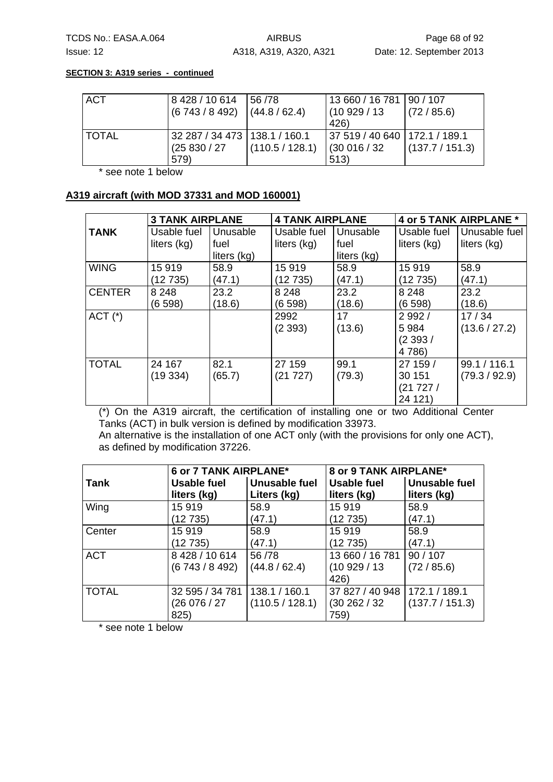| <b>ACT</b>   | 8 428 / 10 614<br>(6743/8492)                         | 156 / 78<br>(44.8/62.4) | 13 660 / 16 781 90 / 107<br>(10 929 / 13<br>426)      | (72/85.6)       |
|--------------|-------------------------------------------------------|-------------------------|-------------------------------------------------------|-----------------|
| <b>TOTAL</b> | 32 287 / 34 473   138.1 / 160.1<br>(25830/27)<br>579) | (110.5 / 128.1)         | 37 519 / 40 640   172.1 / 189.1<br>(30016/32)<br>513) | (137.7 / 151.3) |

\* see note 1 below

# **A319 aircraft (with MOD 37331 and MOD 160001)**

|               | <b>3 TANK AIRPLANE</b> |             | <b>4 TANK AIRPLANE</b> |             |             | 4 or 5 TANK AIRPLANE * |
|---------------|------------------------|-------------|------------------------|-------------|-------------|------------------------|
| <b>TANK</b>   | Usable fuel            | Unusable    | Usable fuel            | Unusable    | Usable fuel | Unusable fuel          |
|               | liters (kg)            | fuel        | liters (kg)            | fuel        | liters (kg) | liters (kg)            |
|               |                        | liters (kg) |                        | liters (kg) |             |                        |
| <b>WING</b>   | 15919                  | 58.9        | 15919                  | 58.9        | 15919       | 58.9                   |
|               | (12735)                | (47.1)      | (12 735)               | (47.1)      | (12 735)    | (47.1)                 |
| <b>CENTER</b> | 8 2 4 8                | 23.2        | 8 2 4 8                | 23.2        | 8 2 4 8     | 23.2                   |
|               | (6598)                 | (18.6)      | (6 598)                | (18.6)      | (6598)      | (18.6)                 |
| $ACT (*)$     |                        |             | 2992                   | 17          | 2 9 9 2 /   | 17/34                  |
|               |                        |             | (2393)                 | (13.6)      | 5984        | (13.6 / 27.2)          |
|               |                        |             |                        |             | (2393/      |                        |
|               |                        |             |                        |             | 4786)       |                        |
| <b>TOTAL</b>  | 24 167                 | 82.1        | 27 159                 | 99.1        | 27 159 /    | 99.1 / 116.1           |
|               | (19334)                | (65.7)      | (21 727)               | (79.3)      | 30 151      | (79.3 / 92.9)          |
|               |                        |             |                        |             | (21727/     |                        |
|               |                        |             |                        |             | 24 121)     |                        |

(\*) On the A319 aircraft, the certification of installing one or two Additional Center Tanks (ACT) in bulk version is defined by modification 33973.

An alternative is the installation of one ACT only (with the provisions for only one ACT), as defined by modification 37226.

|              | <b>6 or 7 TANK AIRPLANE*</b> |                 | 8 or 9 TANK AIRPLANE* |                 |
|--------------|------------------------------|-----------------|-----------------------|-----------------|
| Tank         | Usable fuel                  | Unusable fuel   | <b>Usable fuel</b>    | Unusable fuel   |
|              | liters (kg)                  | Liters (kg)     | liters (kg)           | liters (kg)     |
| Wing         | 15919                        | 58.9            | 15919                 | 58.9            |
|              | (12 735)                     | (47.1)          | (12735)               | (47.1)          |
| Center       | 15919                        | 58.9            | 15919                 | 58.9            |
|              | (12735)                      | (47.1)          | (12735)               | (47.1)          |
| <b>ACT</b>   | 8 428 / 10 614               | 56 / 78         | 13 660 / 16 781       | 90/107          |
|              | (6743/8492)                  | (44.8/62.4)     | (10929/13)            | (72/85.6)       |
|              |                              |                 | 426)                  |                 |
| <b>TOTAL</b> | 32 595 / 34 781              | 138.1 / 160.1   | 37 827 / 40 948       | 172.1 / 189.1   |
|              | (26 076 / 27                 | (110.5 / 128.1) | (30262/32)            | (137.7 / 151.3) |
|              | 825)                         |                 | 759)                  |                 |

\* see note 1 below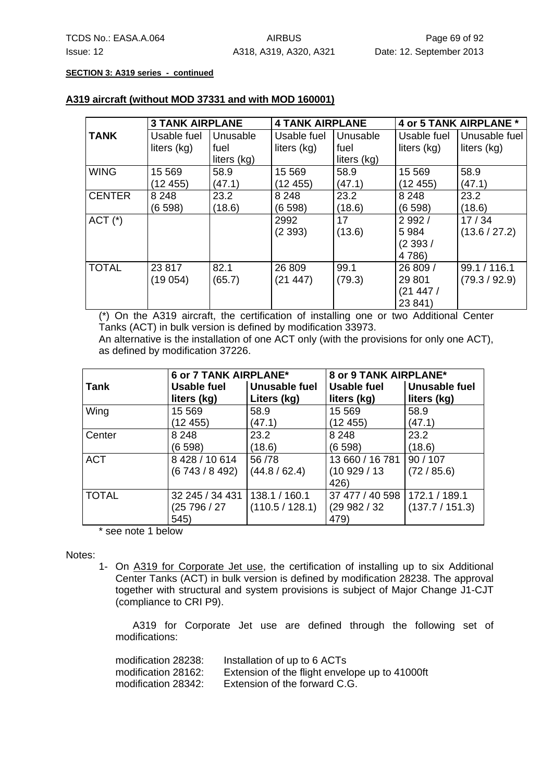|               | <b>3 TANK AIRPLANE</b> |             | <b>4 TANK AIRPLANE</b> |             |             | 4 or 5 TANK AIRPLANE * |
|---------------|------------------------|-------------|------------------------|-------------|-------------|------------------------|
| <b>TANK</b>   | Usable fuel            | Unusable    | Usable fuel            | Unusable    | Usable fuel | Unusable fuel          |
|               | liters (kg)            | fuel        | liters (kg)            | fuel        | liters (kg) | liters (kg)            |
|               |                        | liters (kg) |                        | liters (kg) |             |                        |
| <b>WING</b>   | 15 5 69                | 58.9        | 15 5 69                | 58.9        | 15 5 69     | 58.9                   |
|               | (12 455)               | (47.1)      | (12455)                | (47.1)      | (12 455)    | (47.1)                 |
| <b>CENTER</b> | 8 2 4 8                | 23.2        | 8 2 4 8                | 23.2        | 8 2 4 8     | 23.2                   |
|               | (6598)                 | (18.6)      | (6598)                 | (18.6)      | (6598)      | (18.6)                 |
| $ACT (*)$     |                        |             | 2992                   | 17          | 2 9 9 2 /   | 17/34                  |
|               |                        |             | (2393)                 | (13.6)      | 5 9 8 4     | (13.6 / 27.2)          |
|               |                        |             |                        |             | (2393/      |                        |
|               |                        |             |                        |             | 4 786)      |                        |
| <b>TOTAL</b>  | 23 817                 | 82.1        | 26 809                 | 99.1        | 26 809 /    | 99.1 / 116.1           |
|               | (19054)                | (65.7)      | (21 447)               | (79.3)      | 29 801      | (79.3 / 92.9)          |
|               |                        |             |                        |             | (21447/     |                        |
|               |                        |             |                        |             | 23 841)     |                        |

# **A319 aircraft (without MOD 37331 and with MOD 160001)**

(\*) On the A319 aircraft, the certification of installing one or two Additional Center Tanks (ACT) in bulk version is defined by modification 33973.

An alternative is the installation of one ACT only (with the provisions for only one ACT), as defined by modification 37226.

|              | <b>6 or 7 TANK AIRPLANE*</b> |                 | 8 or 9 TANK AIRPLANE* |                 |
|--------------|------------------------------|-----------------|-----------------------|-----------------|
| Tank         | Usable fuel                  | Unusable fuel   | Usable fuel           | Unusable fuel   |
|              | liters (kg)                  | Liters (kg)     | liters (kg)           | liters (kg)     |
| Wing         | 15 5 69                      | 58.9            | 15 5 69               | 58.9            |
|              | (12 455)                     | (47.1)          | (12455)               | (47.1)          |
| Center       | 8 2 4 8                      | 23.2            | 8 2 4 8               | 23.2            |
|              | (6598)                       | (18.6)          | (6 598)               | (18.6)          |
| <b>ACT</b>   | 8 428 / 10 614               | 56 / 78         | 13 660 / 16 781       | 90/107          |
|              | (6743/8492)                  | (44.8/62.4)     | (10929/13)            | (72/85.6)       |
|              |                              |                 | 426)                  |                 |
| <b>TOTAL</b> | 32 245 / 34 431              | 138.1 / 160.1   | 37 477 / 40 598       | 172.1 / 189.1   |
|              | (25 796 / 27                 | (110.5 / 128.1) | (29982/32)            | (137.7 / 151.3) |
|              | 545)                         |                 | 479)                  |                 |

\* see note 1 below

Notes:

1- On A319 for Corporate Jet use, the certification of installing up to six Additional Center Tanks (ACT) in bulk version is defined by modification 28238. The approval together with structural and system provisions is subject of Major Change J1-CJT (compliance to CRI P9).

 A319 for Corporate Jet use are defined through the following set of modifications:

| modification 28238: | Installation of up to 6 ACTs                   |
|---------------------|------------------------------------------------|
| modification 28162: | Extension of the flight envelope up to 41000ft |
| modification 28342: | Extension of the forward C.G.                  |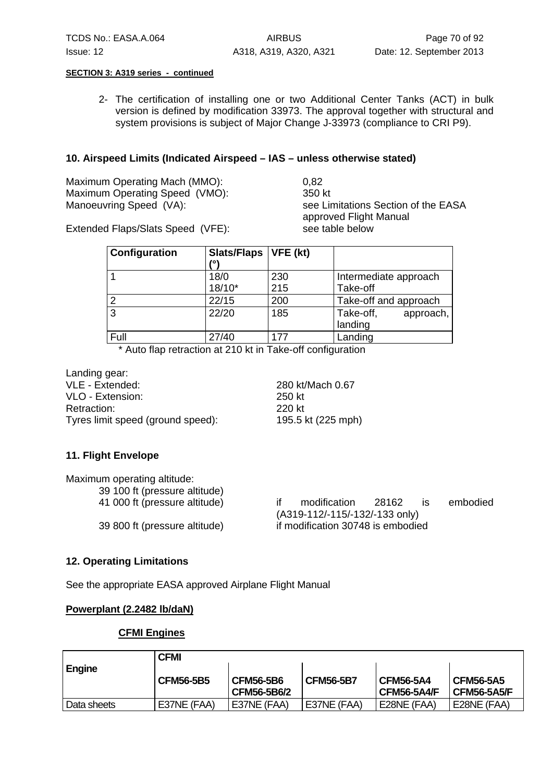2- The certification of installing one or two Additional Center Tanks (ACT) in bulk version is defined by modification 33973. The approval together with structural and system provisions is subject of Major Change J-33973 (compliance to CRI P9).

# **10. Airspeed Limits (Indicated Airspeed – IAS – unless otherwise stated)**

Maximum Operating Mach (MMO): 0,82 Maximum Operating Speed (VMO): 350 kt Manoeuvring Speed (VA): see Limitations Section of the EASA

approved Flight Manual

Extended Flaps/Slats Speed (VFE):

| Configuration | Slats/Flaps   VFE (kt)<br>'٥ |     |                                   |
|---------------|------------------------------|-----|-----------------------------------|
|               | 18/0                         | 230 | Intermediate approach             |
|               | $18/10*$                     | 215 | Take-off                          |
| っ             | 22/15                        | 200 | Take-off and approach             |
| 3             | 22/20                        | 185 | Take-off,<br>approach,<br>landing |
| Full          | 27/40                        | 177 | Landing                           |

\* Auto flap retraction at 210 kt in Take-off configuration

Landing gear: VLE - Extended: 280 kt/Mach 0.67 VLO - Extension: 250 kt Retraction: 220 kt Tyres limit speed (ground speed): 195.5 kt (225 mph)

# **11. Flight Envelope**

Maximum operating altitude: 39 100 ft (pressure altitude) 41 000 ft (pressure altitude) if modification 28162 is embodied (A319-112/-115/-132/-133 only) 39 800 ft (pressure altitude) if modification 30748 is embodied

# **12. Operating Limitations**

See the appropriate EASA approved Airplane Flight Manual

# **Powerplant (2.2482 lb/daN)**

# **CFMI Engines**

|             | <b>CFMI</b>      |                                 |                  |                                        |                                 |  |  |
|-------------|------------------|---------------------------------|------------------|----------------------------------------|---------------------------------|--|--|
| Engine      | <b>CFM56-5B5</b> | <b>CFM56-5B6</b><br>CFM56-5B6/2 | <b>CFM56-5B7</b> | <b>CFM56-5A4</b><br><b>CFM56-5A4/F</b> | CFM56-5A5<br><b>CFM56-5A5/F</b> |  |  |
| Data sheets | E37NE (FAA)      | E37NE (FAA)                     | E37NE (FAA)      | E28NE (FAA)                            | E28NE (FAA)                     |  |  |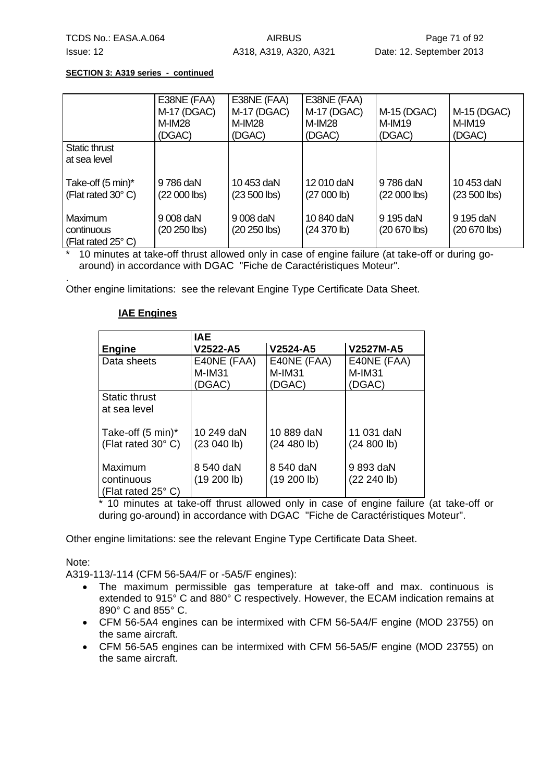|                                                      | E38NE (FAA)<br>M-17 (DGAC)<br><b>M-IM28</b><br>(DGAC) | E38NE (FAA)<br>M-17 (DGAC)<br><b>M-IM28</b><br>(DGAC) | E38NE (FAA)<br>M-17 (DGAC)<br><b>M-IM28</b><br>(DGAC) | <b>M-15 (DGAC)</b><br><b>M-IM19</b><br>(DGAC) | <b>M-15 (DGAC)</b><br><b>M-IM19</b><br>(DGAC) |
|------------------------------------------------------|-------------------------------------------------------|-------------------------------------------------------|-------------------------------------------------------|-----------------------------------------------|-----------------------------------------------|
| Static thrust<br>at sea level                        |                                                       |                                                       |                                                       |                                               |                                               |
| Take-off (5 min)*<br>(Flat rated $30^{\circ}$ C)     | 9786 daN<br>$(22000$ lbs)                             | 10 453 daN<br>$(23 500$ lbs)                          | 12 010 daN<br>$(27000 \, \text{lb})$                  | 9786 daN<br>$(22 000$ lbs)                    | 10453 daN<br>$(23 500$ lbs)                   |
| Maximum<br>continuous<br>(Flat rated $25^{\circ}$ C) | 9 008 daN<br>$(20 250$ lbs)                           | 9 008 daN<br>$(20 250$ lbs)                           | 10 840 daN<br>$(24 370 \, lb)$                        | 9 195 daN<br>$(20670$ lbs)                    | 9 195 daN<br>$(20670$ lbs)                    |

10 minutes at take-off thrust allowed only in case of engine failure (at take-off or during goaround) in accordance with DGAC "Fiche de Caractéristiques Moteur".

. Other engine limitations: see the relevant Engine Type Certificate Data Sheet.

# **IAE Engines**

|                                                      | <b>IAE</b>                         |                                    |                                    |
|------------------------------------------------------|------------------------------------|------------------------------------|------------------------------------|
| <b>Engine</b>                                        | V2522-A5                           | V2524-A5                           | V2527M-A5                          |
| Data sheets                                          | E40NE (FAA)<br>$M$ -IM31<br>(DGAC) | E40NE (FAA)<br>$M$ -IM31<br>(DGAC) | E40NE (FAA)<br>$M$ -IM31<br>(DGAC) |
| <b>Static thrust</b><br>at sea level                 |                                    |                                    |                                    |
| Take-off $(5 \text{ min})^*$<br>(Flat rated 30° C)   | 10 249 daN<br>$(23 040$ lb)        | 10 889 daN<br>(24 480 lb)          | 11 031 daN<br>(24 800 lb)          |
| Maximum<br>continuous<br>(Flat rated $25^{\circ}$ C) | 8 540 daN<br>(19 200 lb)           | 8 540 daN<br>(19 200 lb)           | 9893 daN<br>$(22 240 \, lb)$       |

\* 10 minutes at take-off thrust allowed only in case of engine failure (at take-off or during go-around) in accordance with DGAC "Fiche de Caractéristiques Moteur".

Other engine limitations: see the relevant Engine Type Certificate Data Sheet.

# Note:

A319-113/-114 (CFM 56-5A4/F or -5A5/F engines):

- The maximum permissible gas temperature at take-off and max. continuous is extended to 915° C and 880° C respectively. However, the ECAM indication remains at 890° C and 855° C.
- CFM 56-5A4 engines can be intermixed with CFM 56-5A4/F engine (MOD 23755) on the same aircraft.
- CFM 56-5A5 engines can be intermixed with CFM 56-5A5/F engine (MOD 23755) on the same aircraft.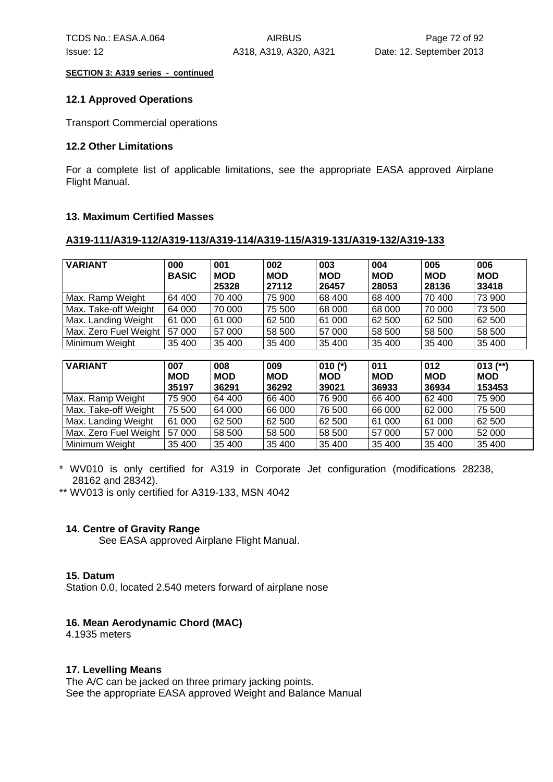#### **12.1 Approved Operations**

Transport Commercial operations

#### **12.2 Other Limitations**

For a complete list of applicable limitations, see the appropriate EASA approved Airplane Flight Manual.

# **13. Maximum Certified Masses**

#### **A319-111/A319-112/A319-113/A319-114/A319-115/A319-131/A319-132/A319-133**

| <b>VARIANT</b>        | 000<br><b>BASIC</b> | 001<br><b>MOD</b><br>25328 | 002<br><b>MOD</b><br>27112 | 003<br><b>MOD</b><br>26457 | 004<br><b>MOD</b><br>28053 | 005<br><b>MOD</b><br>28136 | 006<br><b>MOD</b><br>33418 |
|-----------------------|---------------------|----------------------------|----------------------------|----------------------------|----------------------------|----------------------------|----------------------------|
| Max. Ramp Weight      | 64 400              | 70 400                     | 75 900                     | 68 400                     | 68 400                     | 70 400                     | 73 900                     |
| Max. Take-off Weight  | 64 000              | 70 000                     | 75 500                     | 68 000                     | 68 000                     | 70 000                     | 73 500                     |
| Max. Landing Weight   | 61 000              | 61 000                     | 62 500                     | 61 000                     | 62 500                     | 62 500                     | 62 500                     |
| Max. Zero Fuel Weight | 57 000              | 57 000                     | 58 500                     | 57 000                     | 58 500                     | 58 500                     | 58 500                     |
| Minimum Weight        | 35 400              | 35 400                     | 35 400                     | 35 400                     | 35 400                     | 35 400                     | 35 400                     |

| <b>VARIANT</b>                 | 007<br><b>MOD</b><br>35197 | 008<br><b>MOD</b><br>36291 | 009<br><b>MOD</b><br>36292 | 010 $(*)$<br><b>MOD</b><br>39021 | 011<br><b>MOD</b><br>36933 | 012<br><b>MOD</b><br>36934 | $013$ (**)<br><b>MOD</b><br>153453 |
|--------------------------------|----------------------------|----------------------------|----------------------------|----------------------------------|----------------------------|----------------------------|------------------------------------|
| Max. Ramp Weight               | 75 900                     | 64 400                     | 66 400                     | 76 900                           | 66 400                     | 62 400                     | 75 900                             |
| Max. Take-off Weight           | 75 500                     | 64 000                     | 66 000                     | 76 500                           | 66 000                     | 62 000                     | 75 500                             |
| Max. Landing Weight            | 61 000                     | 62 500                     | 62 500                     | 62 500                           | 61 000                     | 61 000                     | 62 500                             |
| Max. Zero Fuel Weight   57 000 |                            | 58 500                     | 58 500                     | 58 500                           | 57 000                     | 57 000                     | 52 000                             |
| Minimum Weight                 | 35 400                     | 35 400                     | 35 400                     | 35 400                           | 35 400                     | 35 400                     | 35 400                             |

\* WV010 is only certified for A319 in Corporate Jet configuration (modifications 28238, 28162 and 28342).

\*\* WV013 is only certified for A319-133, MSN 4042

#### **14. Centre of Gravity Range**

See EASA approved Airplane Flight Manual.

#### **15. Datum**

Station 0.0, located 2.540 meters forward of airplane nose

# **16. Mean Aerodynamic Chord (MAC)**

4.1935 meters

# **17. Levelling Means**

The A/C can be jacked on three primary jacking points. See the appropriate EASA approved Weight and Balance Manual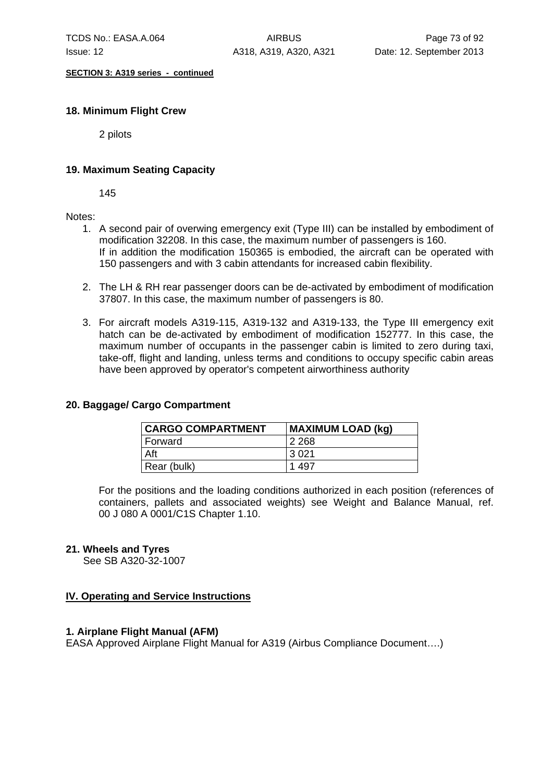## **18. Minimum Flight Crew**

2 pilots

## **19. Maximum Seating Capacity**

145

## Notes:

- 1. A second pair of overwing emergency exit (Type III) can be installed by embodiment of modification 32208. In this case, the maximum number of passengers is 160. If in addition the modification 150365 is embodied, the aircraft can be operated with 150 passengers and with 3 cabin attendants for increased cabin flexibility.
- 2. The LH & RH rear passenger doors can be de-activated by embodiment of modification 37807. In this case, the maximum number of passengers is 80.
- 3. For aircraft models A319-115, A319-132 and A319-133, the Type III emergency exit hatch can be de-activated by embodiment of modification 152777. In this case, the maximum number of occupants in the passenger cabin is limited to zero during taxi, take-off, flight and landing, unless terms and conditions to occupy specific cabin areas have been approved by operator's competent airworthiness authority

## **20. Baggage/ Cargo Compartment**

| <b>CARGO COMPARTMENT</b> | MAXIMUM LOAD (kg) |
|--------------------------|-------------------|
| Forward                  | 2 2 6 8           |
| Aft                      | 3 0 2 1           |
| Rear (bulk)              | 1 497             |

For the positions and the loading conditions authorized in each position (references of containers, pallets and associated weights) see Weight and Balance Manual, ref. 00 J 080 A 0001/C1S Chapter 1.10.

## **21. Wheels and Tyres**

See SB A320-32-1007

## **IV. Operating and Service Instructions**

## **1. Airplane Flight Manual (AFM)**

EASA Approved Airplane Flight Manual for A319 (Airbus Compliance Document….)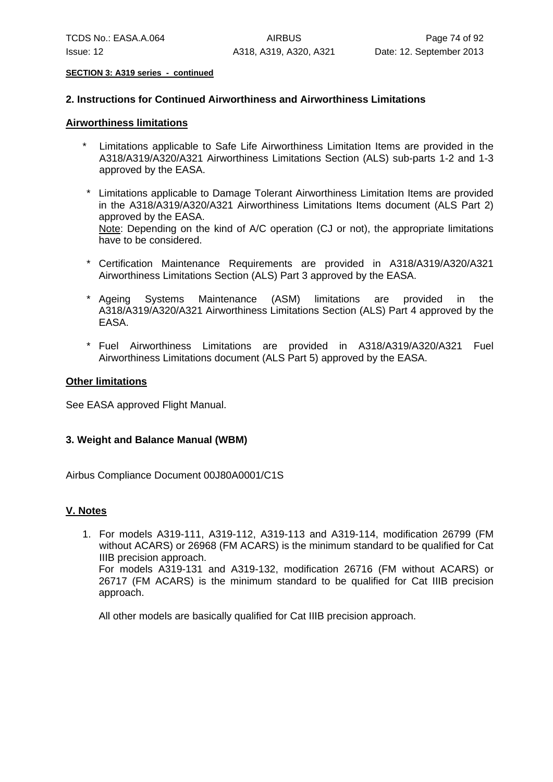## **2. Instructions for Continued Airworthiness and Airworthiness Limitations**

#### **Airworthiness limitations**

- Limitations applicable to Safe Life Airworthiness Limitation Items are provided in the A318/A319/A320/A321 Airworthiness Limitations Section (ALS) sub-parts 1-2 and 1-3 approved by the EASA.
- Limitations applicable to Damage Tolerant Airworthiness Limitation Items are provided in the A318/A319/A320/A321 Airworthiness Limitations Items document (ALS Part 2) approved by the EASA. Note: Depending on the kind of A/C operation (CJ or not), the appropriate limitations have to be considered.
- \* Certification Maintenance Requirements are provided in A318/A319/A320/A321 Airworthiness Limitations Section (ALS) Part 3 approved by the EASA.
- \* Ageing Systems Maintenance (ASM) limitations are provided in the A318/A319/A320/A321 Airworthiness Limitations Section (ALS) Part 4 approved by the EASA.
- \* Fuel Airworthiness Limitations are provided in A318/A319/A320/A321 Fuel Airworthiness Limitations document (ALS Part 5) approved by the EASA.

## **Other limitations**

See EASA approved Flight Manual.

## **3. Weight and Balance Manual (WBM)**

Airbus Compliance Document 00J80A0001/C1S

## **V. Notes**

1. For models A319-111, A319-112, A319-113 and A319-114, modification 26799 (FM without ACARS) or 26968 (FM ACARS) is the minimum standard to be qualified for Cat IIIB precision approach. For models A319-131 and A319-132, modification 26716 (FM without ACARS) or 26717 (FM ACARS) is the minimum standard to be qualified for Cat IIIB precision approach.

All other models are basically qualified for Cat IIIB precision approach.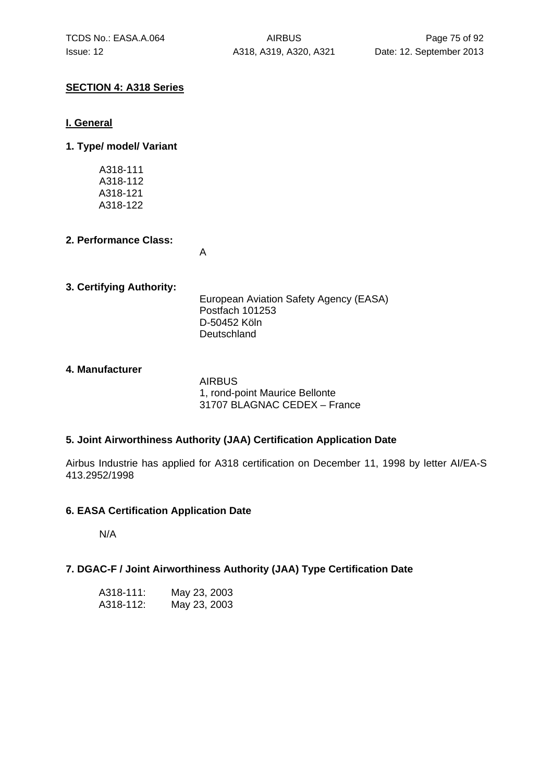## **SECTION 4: A318 Series**

## **I. General**

- **1. Type/ model/ Variant** 
	- A318-111 A318-112 A318-121 A318-122

# **2. Performance Class:**

A

## **3. Certifying Authority:**

 European Aviation Safety Agency (EASA) Postfach 101253 D-50452 Köln **Deutschland** 

**4. Manufacturer** 

AIRBUS 1, rond-point Maurice Bellonte 31707 BLAGNAC CEDEX – France

## **5. Joint Airworthiness Authority (JAA) Certification Application Date**

Airbus Industrie has applied for A318 certification on December 11, 1998 by letter AI/EA-S 413.2952/1998

## **6. EASA Certification Application Date**

N/A

# **7. DGAC-F / Joint Airworthiness Authority (JAA) Type Certification Date**

| A318-111: | May 23, 2003 |
|-----------|--------------|
| A318-112: | May 23, 2003 |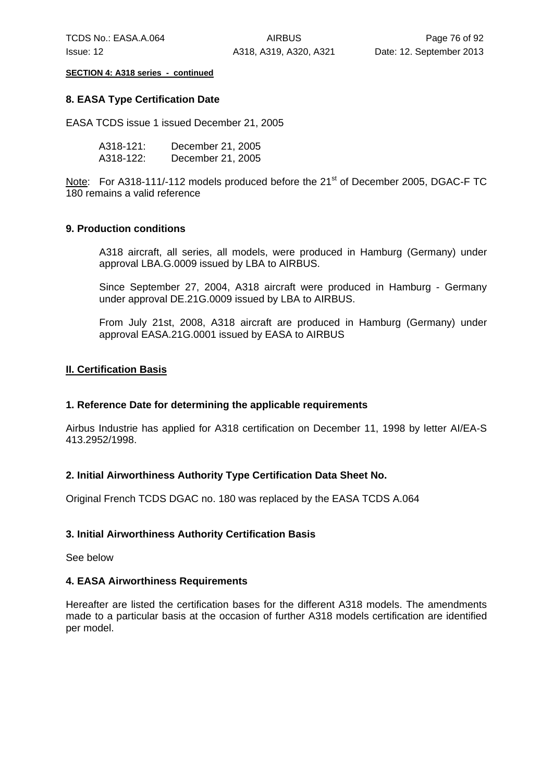## **8. EASA Type Certification Date**

EASA TCDS issue 1 issued December 21, 2005

| A318-121: | December 21, 2005 |
|-----------|-------------------|
| A318-122: | December 21, 2005 |

Note: For A318-111/-112 models produced before the 21<sup>st</sup> of December 2005, DGAC-F TC 180 remains a valid reference

## **9. Production conditions**

A318 aircraft, all series, all models, were produced in Hamburg (Germany) under approval LBA.G.0009 issued by LBA to AIRBUS.

Since September 27, 2004, A318 aircraft were produced in Hamburg - Germany under approval DE.21G.0009 issued by LBA to AIRBUS.

From July 21st, 2008, A318 aircraft are produced in Hamburg (Germany) under approval EASA.21G.0001 issued by EASA to AIRBUS

#### **II. Certification Basis**

## **1. Reference Date for determining the applicable requirements**

Airbus Industrie has applied for A318 certification on December 11, 1998 by letter AI/EA-S 413.2952/1998.

## **2. Initial Airworthiness Authority Type Certification Data Sheet No.**

Original French TCDS DGAC no. 180 was replaced by the EASA TCDS A.064

#### **3. Initial Airworthiness Authority Certification Basis**

See below

#### **4. EASA Airworthiness Requirements**

Hereafter are listed the certification bases for the different A318 models. The amendments made to a particular basis at the occasion of further A318 models certification are identified per model.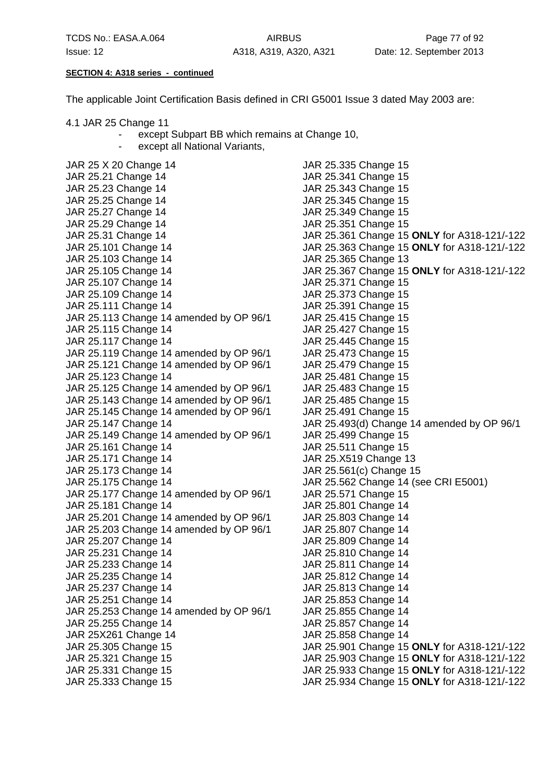The applicable Joint Certification Basis defined in CRI G5001 Issue 3 dated May 2003 are:

4.1 JAR 25 Change 11

- except Subpart BB which remains at Change 10,
- except all National Variants,

JAR 25 X 20 Change 14 JAR 25.335 Change 15 JAR 25.21 Change 14 JAR 25.341 Change 15 JAR 25.23 Change 14 JAR 25.343 Change 15 JAR 25.25 Change 14 JAR 25.345 Change 15 JAR 25.27 Change 14 JAR 25.349 Change 15 JAR 25.29 Change 14 JAR 25.351 Change 15 JAR 25.103 Change 14 JAR 25.365 Change 13 JAR 25.107 Change 14 JAR 25.371 Change 15 JAR 25.109 Change 14 JAR 25.373 Change 15 JAR 25.111 Change 14 JAR 25.391 Change 15 JAR 25.113 Change 14 amended by OP 96/1 JAR 25.415 Change 15 JAR 25.115 Change 14 JAR 25.427 Change 15 JAR 25.117 Change 14 JAR 25.445 Change 15 JAR 25.119 Change 14 amended by OP 96/1 JAR 25.473 Change 15 JAR 25.121 Change 14 amended by OP 96/1 JAR 25.479 Change 15 JAR 25.123 Change 14 JAR 25.481 Change 15 JAR 25.125 Change 14 amended by OP 96/1 JAR 25.483 Change 15 JAR 25.143 Change 14 amended by OP 96/1 JAR 25.485 Change 15 JAR 25.145 Change 14 amended by OP 96/1 JAR 25.491 Change 15 JAR 25.149 Change 14 amended by OP 96/1 JAR 25.499 Change 15 JAR 25.161 Change 14 JAR 25.511 Change 15 JAR 25.171 Change 14 JAR 25.X519 Change 13 JAR 25.173 Change 14 JAR 25.561(c) Change 15 JAR 25.175 Change 14 JAR 25.562 Change 14 (see CRI E5001) JAR 25.177 Change 14 amended by OP 96/1 JAR 25.571 Change 15 JAR 25.181 Change 14 JAR 25.801 Change 14 JAR 25.201 Change 14 amended by OP 96/1 JAR 25.803 Change 14 JAR 25.203 Change 14 amended by OP 96/1 JAR 25.807 Change 14 JAR 25.207 Change 14 JAR 25.809 Change 14 JAR 25.231 Change 14 JAR 25.810 Change 14 JAR 25.233 Change 14 JAR 25.811 Change 14 JAR 25.235 Change 14 JAR 25.812 Change 14 JAR 25.237 Change 14 JAR 25.813 Change 14 JAR 25.251 Change 14 JAR 25.853 Change 14 JAR 25.253 Change 14 amended by OP 96/1 JAR 25.855 Change 14 JAR 25.255 Change 14 JAR 25.857 Change 14 JAR 25X261 Change 14 JAR 25.858 Change 14 JAR 25.333 Change 15 JAR 25.934 Change 15 **ONLY** for A318-121/-122

JAR 25.31 Change 14 JAR 25.361 Change 15 **ONLY** for A318-121/-122 JAR 25.101 Change 14 JAR 25.363 Change 15 **ONLY** for A318-121/-122 JAR 25.105 Change 14 JAR 25.367 Change 15 **ONLY** for A318-121/-122 JAR 25.147 Change 14 JAR 25.493(d) Change 14 amended by OP 96/1 JAR 25.305 Change 15 JAR 25.901 Change 15 **ONLY** for A318-121/-122 JAR 25.321 Change 15 JAR 25.903 Change 15 **ONLY** for A318-121/-122 JAR 25.331 Change 15 JAR 25.933 Change 15 **ONLY** for A318-121/-122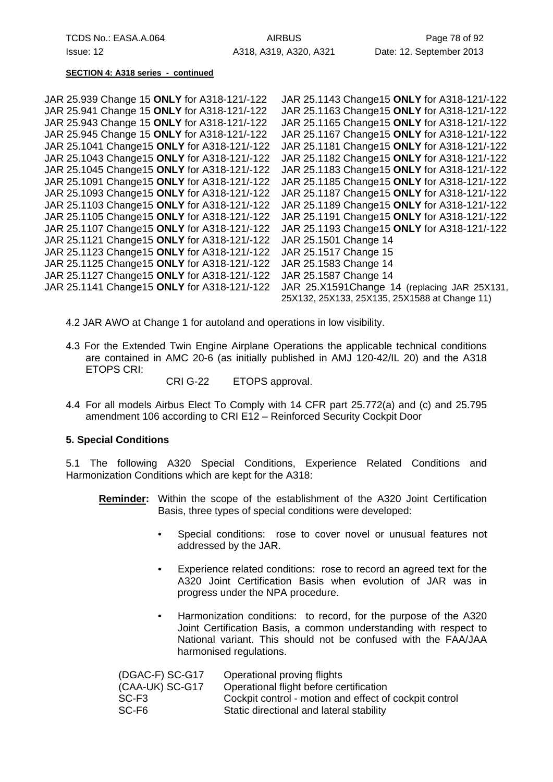JAR 25.939 Change 15 **ONLY** for A318-121/-122 JAR 25.1143 Change15 **ONLY** for A318-121/-122 JAR 25.941 Change 15 **ONLY** for A318-121/-122 JAR 25.1163 Change15 **ONLY** for A318-121/-122 JAR 25.943 Change 15 **ONLY** for A318-121/-122 JAR 25.1165 Change15 **ONLY** for A318-121/-122 JAR 25.945 Change 15 **ONLY** for A318-121/-122 JAR 25.1167 Change15 **ONLY** for A318-121/-122 JAR 25.1041 Change15 **ONLY** for A318-121/-122 JAR 25.1181 Change15 **ONLY** for A318-121/-122 JAR 25.1043 Change15 **ONLY** for A318-121/-122 JAR 25.1182 Change15 **ONLY** for A318-121/-122 JAR 25.1045 Change15 **ONLY** for A318-121/-122 JAR 25.1183 Change15 **ONLY** for A318-121/-122 JAR 25.1091 Change15 **ONLY** for A318-121/-122 JAR 25.1185 Change15 **ONLY** for A318-121/-122 JAR 25.1093 Change15 **ONLY** for A318-121/-122 JAR 25.1187 Change15 **ONLY** for A318-121/-122 JAR 25.1103 Change15 **ONLY** for A318-121/-122 JAR 25.1189 Change15 **ONLY** for A318-121/-122 JAR 25.1105 Change15 **ONLY** for A318-121/-122 JAR 25.1191 Change15 **ONLY** for A318-121/-122 JAR 25.1107 Change15 **ONLY** for A318-121/-122 JAR 25.1193 Change15 **ONLY** for A318-121/-122 JAR 25.1121 Change15 **ONLY** for A318-121/-122 JAR 25.1501 Change 14 JAR 25.1123 Change15 **ONLY** for A318-121/-122 JAR 25.1517 Change 15 JAR 25.1125 Change15 **ONLY** for A318-121/-122 JAR 25.1583 Change 14 JAR 25.1127 Change15 **ONLY** for A318-121/-122 JAR 25.1587 Change 14 JAR 25.1141 Change15 **ONLY** for A318-121/-122 JAR 25.X1591Change 14 (replacing JAR 25X131, 25X132, 25X133, 25X135, 25X1588 at Change 11)

4.2 JAR AWO at Change 1 for autoland and operations in low visibility.

4.3 For the Extended Twin Engine Airplane Operations the applicable technical conditions are contained in AMC 20-6 (as initially published in AMJ 120-42/IL 20) and the A318 ETOPS CRI:

CRI G-22 ETOPS approval.

4.4 For all models Airbus Elect To Comply with 14 CFR part 25.772(a) and (c) and 25.795 amendment 106 according to CRI E12 – Reinforced Security Cockpit Door

## **5. Special Conditions**

5.1 The following A320 Special Conditions, Experience Related Conditions and Harmonization Conditions which are kept for the A318:

- **Reminder:** Within the scope of the establishment of the A320 Joint Certification Basis, three types of special conditions were developed:
	- Special conditions: rose to cover novel or unusual features not addressed by the JAR.
	- Experience related conditions: rose to record an agreed text for the A320 Joint Certification Basis when evolution of JAR was in progress under the NPA procedure.
	- Harmonization conditions: to record, for the purpose of the A320 Joint Certification Basis, a common understanding with respect to National variant. This should not be confused with the FAA/JAA harmonised regulations.

| $(DGAC-F)$ SC-G17 | Operational proving flights                            |
|-------------------|--------------------------------------------------------|
| (CAA-UK) SC-G17   | Operational flight before certification                |
| SC-F3             | Cockpit control - motion and effect of cockpit control |
| SC-F6             | Static directional and lateral stability               |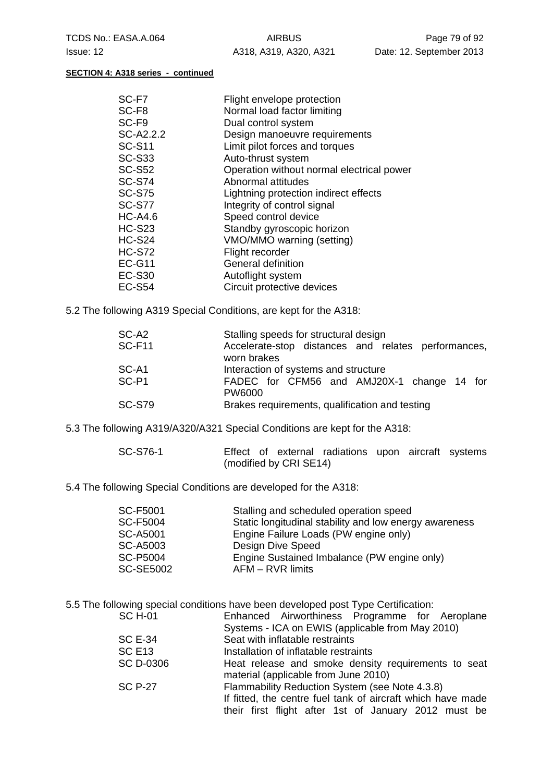| SC-F7             | Flight envelope protection                |
|-------------------|-------------------------------------------|
| SC-F <sub>8</sub> | Normal load factor limiting               |
| SC-F9             | Dual control system                       |
| SC-A2.2.2         | Design manoeuvre requirements             |
| <b>SC-S11</b>     | Limit pilot forces and torques            |
| <b>SC-S33</b>     | Auto-thrust system                        |
| <b>SC-S52</b>     | Operation without normal electrical power |
| <b>SC-S74</b>     | Abnormal attitudes                        |
| <b>SC-S75</b>     | Lightning protection indirect effects     |
| <b>SC-S77</b>     | Integrity of control signal               |
| $HC-A4.6$         | Speed control device                      |
| <b>HC-S23</b>     | Standby gyroscopic horizon                |
| <b>HC-S24</b>     | VMO/MMO warning (setting)                 |
| <b>HC-S72</b>     | Flight recorder                           |
| <b>EC-G11</b>     | General definition                        |
| <b>EC-S30</b>     | Autoflight system                         |
| <b>EC-S54</b>     | Circuit protective devices                |

5.2 The following A319 Special Conditions, are kept for the A318:

| SC-A2         | Stalling speeds for structural design                              |
|---------------|--------------------------------------------------------------------|
| <b>SC-F11</b> | Accelerate-stop distances and relates performances,<br>worn brakes |
| SC-A1         | Interaction of systems and structure                               |
| SC-P1         | FADEC for CFM56 and AMJ20X-1 change 14 for<br>PW6000               |
| <b>SC-S79</b> | Brakes requirements, qualification and testing                     |

5.3 The following A319/A320/A321 Special Conditions are kept for the A318:

| SC-S76-1 |  |                        | Effect of external radiations upon aircraft systems |  |  |
|----------|--|------------------------|-----------------------------------------------------|--|--|
|          |  | (modified by CRI SE14) |                                                     |  |  |

5.4 The following Special Conditions are developed for the A318:

| SC-F5001         | Stalling and scheduled operation speed                 |
|------------------|--------------------------------------------------------|
| <b>SC-F5004</b>  | Static longitudinal stability and low energy awareness |
| SC-A5001         | Engine Failure Loads (PW engine only)                  |
| SC-A5003         | Design Dive Speed                                      |
| SC-P5004         | Engine Sustained Imbalance (PW engine only)            |
| <b>SC-SE5002</b> | AFM - RVR limits                                       |

5.5 The following special conditions have been developed post Type Certification:

| <b>SC H-01</b>   | Enhanced Airworthiness Programme for Aeroplane              |
|------------------|-------------------------------------------------------------|
|                  | Systems - ICA on EWIS (applicable from May 2010)            |
| <b>SC E-34</b>   | Seat with inflatable restraints                             |
| <b>SC E13</b>    | Installation of inflatable restraints                       |
| <b>SC D-0306</b> | Heat release and smoke density requirements to seat         |
|                  | material (applicable from June 2010)                        |
| <b>SC P-27</b>   | Flammability Reduction System (see Note 4.3.8)              |
|                  | If fitted, the centre fuel tank of aircraft which have made |
|                  | their first flight after 1st of January 2012 must be        |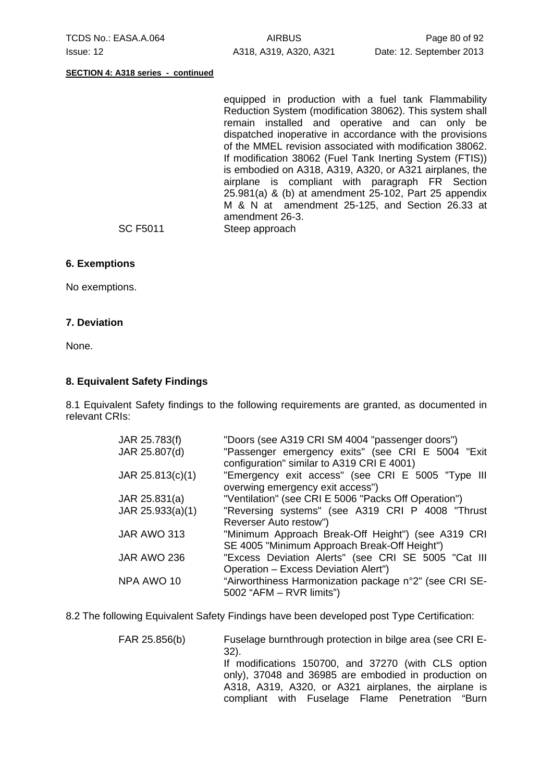equipped in production with a fuel tank Flammability Reduction System (modification 38062). This system shall remain installed and operative and can only be dispatched inoperative in accordance with the provisions of the MMEL revision associated with modification 38062. If modification 38062 (Fuel Tank Inerting System (FTIS)) is embodied on A318, A319, A320, or A321 airplanes, the airplane is compliant with paragraph FR Section 25.981(a) & (b) at amendment 25-102, Part 25 appendix M & N at amendment 25-125, and Section 26.33 at amendment 26-3. SC F5011 Steep approach

## **6. Exemptions**

No exemptions.

## **7. Deviation**

None.

## **8. Equivalent Safety Findings**

8.1 Equivalent Safety findings to the following requirements are granted, as documented in relevant CRIs:

| JAR 25.783(f)    | "Doors (see A319 CRI SM 4004 "passenger doors")        |
|------------------|--------------------------------------------------------|
| JAR 25.807(d)    | "Passenger emergency exits" (see CRI E 5004 "Exit      |
|                  | configuration" similar to A319 CRI E 4001)             |
| JAR 25.813(c)(1) | "Emergency exit access" (see CRI E 5005 "Type III      |
|                  | overwing emergency exit access")                       |
| JAR 25.831(a)    | "Ventilation" (see CRI E 5006 "Packs Off Operation")   |
| JAR 25.933(a)(1) | "Reversing systems" (see A319 CRI P 4008 "Thrust       |
|                  | Reverser Auto restow")                                 |
| JAR AWO 313      | "Minimum Approach Break-Off Height") (see A319 CRI     |
|                  | SE 4005 "Minimum Approach Break-Off Height")           |
| JAR AWO 236      | "Excess Deviation Alerts" (see CRI SE 5005 "Cat III    |
|                  | Operation - Excess Deviation Alert")                   |
| NPA AWO 10       | "Airworthiness Harmonization package n°2" (see CRI SE- |
|                  | 5002 "AFM - RVR limits")                               |

8.2 The following Equivalent Safety Findings have been developed post Type Certification:

| FAR 25.856(b) | Fuselage burnthrough protection in bilge area (see CRI E-<br>$32$ ).                                        |
|---------------|-------------------------------------------------------------------------------------------------------------|
|               | If modifications 150700, and 37270 (with CLS option<br>only), 37048 and 36985 are embodied in production on |
|               | A318, A319, A320, or A321 airplanes, the airplane is                                                        |
|               | compliant with Fuselage Flame Penetration "Burn                                                             |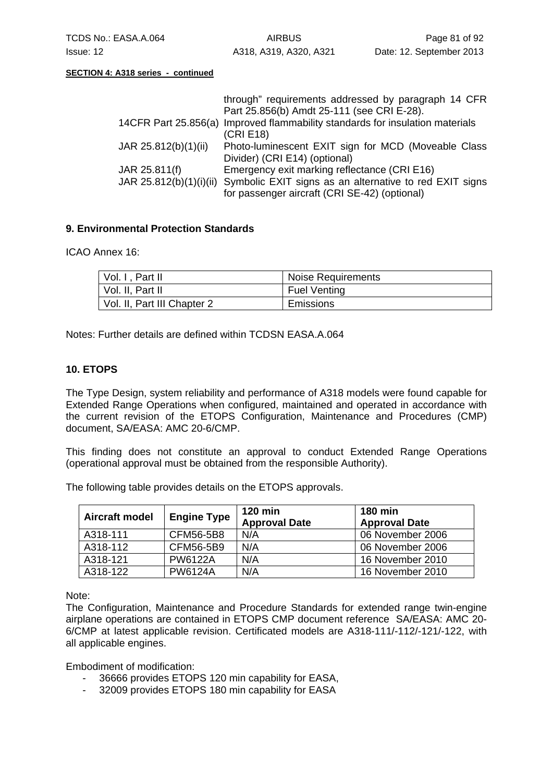|                      | through" requirements addressed by paragraph 14 CFR                             |
|----------------------|---------------------------------------------------------------------------------|
|                      | Part 25.856(b) Amdt 25-111 (see CRI E-28).                                      |
|                      | 14CFR Part 25.856(a) Improved flammability standards for insulation materials   |
|                      | (CRI E18)                                                                       |
| JAR 25.812(b)(1)(ii) | Photo-luminescent EXIT sign for MCD (Moveable Class                             |
|                      | Divider) (CRI E14) (optional)                                                   |
| JAR 25.811(f)        | Emergency exit marking reflectance (CRI E16)                                    |
|                      | JAR 25.812(b)(1)(i)(ii) Symbolic EXIT signs as an alternative to red EXIT signs |
|                      | for passenger aircraft (CRI SE-42) (optional)                                   |

## **9. Environmental Protection Standards**

ICAO Annex 16:

| Vol. I, Part II             | Noise Requirements  |
|-----------------------------|---------------------|
| Vol. II, Part II            | <b>Fuel Venting</b> |
| Vol. II, Part III Chapter 2 | Emissions           |

Notes: Further details are defined within TCDSN EASA.A.064

## **10. ETOPS**

The Type Design, system reliability and performance of A318 models were found capable for Extended Range Operations when configured, maintained and operated in accordance with the current revision of the ETOPS Configuration, Maintenance and Procedures (CMP) document, SA/EASA: AMC 20-6/CMP.

This finding does not constitute an approval to conduct Extended Range Operations (operational approval must be obtained from the responsible Authority).

The following table provides details on the ETOPS approvals.

| Aircraft model | <b>Engine Type</b> | <b>120 min</b><br><b>Approval Date</b> | <b>180 min</b><br><b>Approval Date</b> |
|----------------|--------------------|----------------------------------------|----------------------------------------|
| A318-111       | CFM56-5B8          | N/A                                    | 06 November 2006                       |
| A318-112       | CFM56-5B9          | N/A                                    | 06 November 2006                       |
| A318-121       | PW6122A            | N/A                                    | 16 November 2010                       |
| A318-122       | <b>PW6124A</b>     | N/A                                    | 16 November 2010                       |

Note:

The Configuration, Maintenance and Procedure Standards for extended range twin-engine airplane operations are contained in ETOPS CMP document reference SA/EASA: AMC 20- 6/CMP at latest applicable revision. Certificated models are A318-111/-112/-121/-122, with all applicable engines.

Embodiment of modification:

- 36666 provides ETOPS 120 min capability for EASA,
- 32009 provides ETOPS 180 min capability for EASA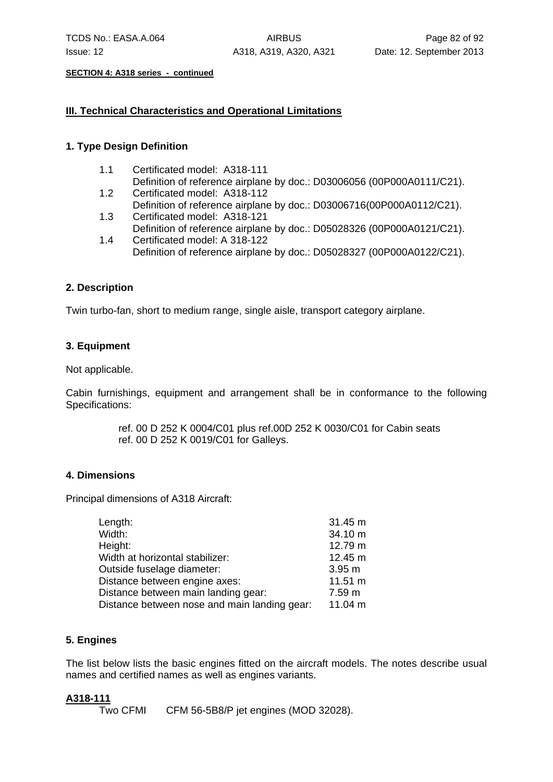## **III. Technical Characteristics and Operational Limitations**

## **1. Type Design Definition**

- 1.1 Certificated model: A318-111 Definition of reference airplane by doc.: D03006056 (00P000A0111/C21). 1.2 Certificated model: A318-112
- Definition of reference airplane by doc.: D03006716(00P000A0112/C21).
- 1.3 Certificated model: A318-121 Definition of reference airplane by doc.: D05028326 (00P000A0121/C21).
- 1.4 Certificated model: A 318-122 Definition of reference airplane by doc.: D05028327 (00P000A0122/C21).

#### **2. Description**

Twin turbo-fan, short to medium range, single aisle, transport category airplane.

#### **3. Equipment**

Not applicable.

Cabin furnishings, equipment and arrangement shall be in conformance to the following Specifications:

> ref. 00 D 252 K 0004/C01 plus ref.00D 252 K 0030/C01 for Cabin seats ref. 00 D 252 K 0019/C01 for Galleys.

## **4. Dimensions**

Principal dimensions of A318 Aircraft:

| Length:                                      | 31.45 m |
|----------------------------------------------|---------|
| Width:                                       | 34.10 m |
| Height:                                      | 12.79 m |
| Width at horizontal stabilizer:              | 12.45 m |
| Outside fuselage diameter:                   | 3.95 m  |
| Distance between engine axes:                | 11.51 m |
| Distance between main landing gear:          | 7.59 m  |
| Distance between nose and main landing gear: | 11.04 m |
|                                              |         |

## **5. Engines**

The list below lists the basic engines fitted on the aircraft models. The notes describe usual names and certified names as well as engines variants.

#### **A318-111**

Two CFMI CFM 56-5B8/P jet engines (MOD 32028).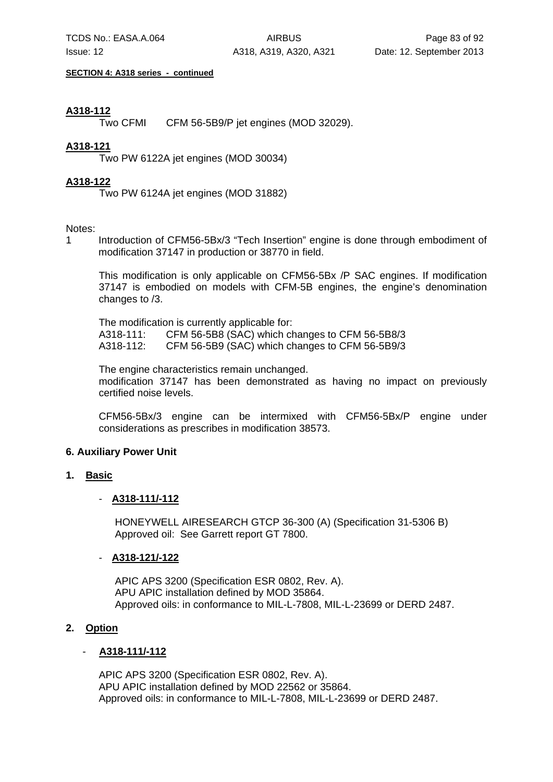# **A318-112**

Two CFMI CFM 56-5B9/P jet engines (MOD 32029).

# **A318-121**

Two PW 6122A jet engines (MOD 30034)

## **A318-122**

Two PW 6124A jet engines (MOD 31882)

## Notes:

1 Introduction of CFM56-5Bx/3 "Tech Insertion" engine is done through embodiment of modification 37147 in production or 38770 in field.

This modification is only applicable on CFM56-5Bx /P SAC engines. If modification 37147 is embodied on models with CFM-5B engines, the engine's denomination changes to /3.

The modification is currently applicable for: A318-111: CFM 56-5B8 (SAC) which changes to CFM 56-5B8/3 A318-112: CFM 56-5B9 (SAC) which changes to CFM 56-5B9/3

The engine characteristics remain unchanged. modification 37147 has been demonstrated as having no impact on previously certified noise levels.

CFM56-5Bx/3 engine can be intermixed with CFM56-5Bx/P engine under considerations as prescribes in modification 38573.

## **6. Auxiliary Power Unit**

## **1. Basic**

## - **A318-111/-112**

HONEYWELL AIRESEARCH GTCP 36-300 (A) (Specification 31-5306 B) Approved oil: See Garrett report GT 7800.

## - **A318-121/-122**

APIC APS 3200 (Specification ESR 0802, Rev. A). APU APIC installation defined by MOD 35864. Approved oils: in conformance to MIL-L-7808, MIL-L-23699 or DERD 2487.

## **2. Option**

## - **A318-111/-112**

APIC APS 3200 (Specification ESR 0802, Rev. A). APU APIC installation defined by MOD 22562 or 35864. Approved oils: in conformance to MIL-L-7808, MIL-L-23699 or DERD 2487.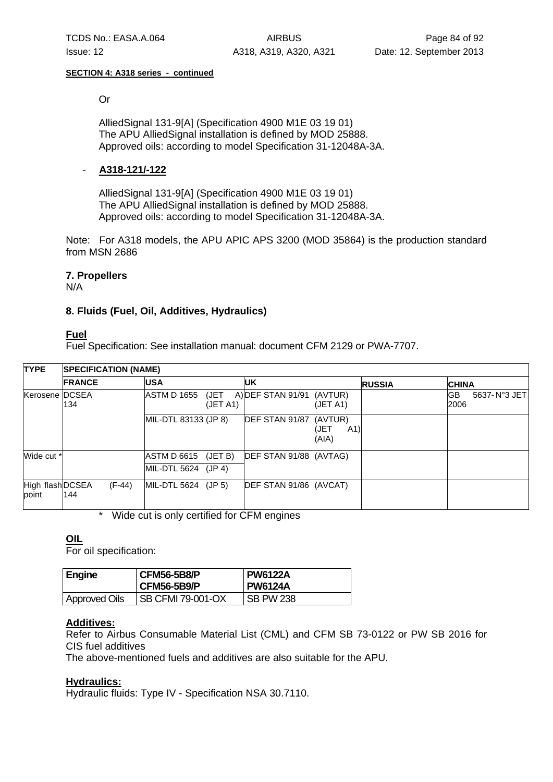## Or

AlliedSignal 131-9[A] (Specification 4900 M1E 03 19 01) The APU AlliedSignal installation is defined by MOD 25888. Approved oils: according to model Specification 31-12048A-3A.

## - **A318-121/-122**

AlliedSignal 131-9[A] (Specification 4900 M1E 03 19 01) The APU AlliedSignal installation is defined by MOD 25888. Approved oils: according to model Specification 31-12048A-3A.

Note: For A318 models, the APU APIC APS 3200 (MOD 35864) is the production standard from MSN 2686

## **7. Propellers**

N/A

## **8. Fluids (Fuel, Oil, Additives, Hydraulics)**

## **Fuel**

Fuel Specification: See installation manual: document CFM 2129 or PWA-7707.

| <b>TYPE</b>               | <b>SPECIFICATION (NAME)</b> |          |                                              |                |                        |                      |               |                             |
|---------------------------|-----------------------------|----------|----------------------------------------------|----------------|------------------------|----------------------|---------------|-----------------------------|
|                           | <b>FRANCE</b>               |          | <b>USA</b>                                   |                | <b>UK</b>              |                      | <b>RUSSIA</b> | <b>CHINA</b>                |
| Kerosene DCSEA            | 134                         |          | ASTM D 1655                                  | (JET<br>JET A1 | A) DEF STAN 91/91      | (AVTUR)<br>(JET A1)  |               | GB.<br>5637-N°3 JET<br>2006 |
|                           |                             |          | MIL-DTL 83133 (JP 8)                         |                | DEF STAN 91/87 (AVTUR) | A1)<br>(JET<br>(AIA) |               |                             |
| Wide cut *                |                             |          | $ASTM D 6615$ (JET B)<br>MIL-DTL 5624 (JP 4) |                | DEF STAN 91/88 (AVTAG) |                      |               |                             |
| High flash DCSEA<br>point | 144                         | $(F-44)$ | MIL-DTL 5624 (JP 5)                          |                | DEF STAN 91/86 (AVCAT) |                      |               |                             |

\* Wide cut is only certified for CFM engines

# **OIL**

For oil specification:

| Engine        | CFM56-5B8/P<br><b>CFM56-5B9/P</b> | <b>PW6122A</b><br>  PW6124A |
|---------------|-----------------------------------|-----------------------------|
| Approved Oils | I SB CFMI 79-001-OX               | <b>SB PW 238</b>            |

## **Additives:**

Refer to Airbus Consumable Material List (CML) and CFM SB 73-0122 or PW SB 2016 for CIS fuel additives

The above-mentioned fuels and additives are also suitable for the APU.

## **Hydraulics:**

Hydraulic fluids: Type IV - Specification NSA 30.7110.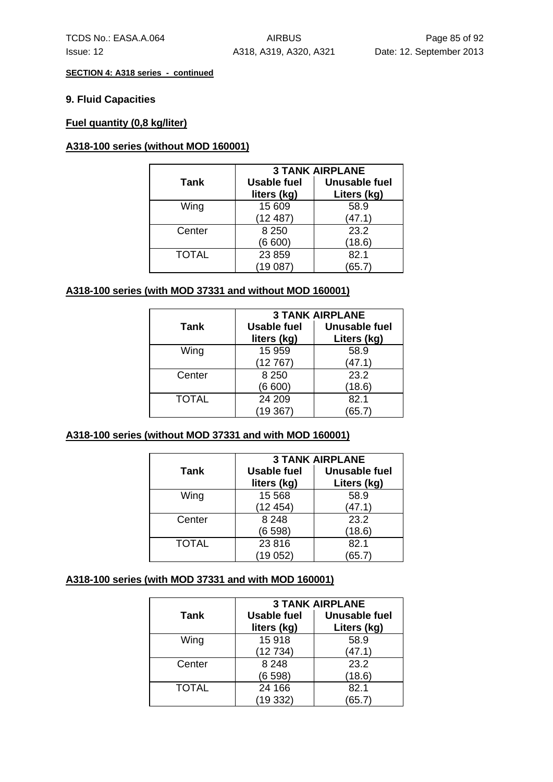## **9. Fluid Capacities**

## **Fuel quantity (0,8 kg/liter)**

## **A318-100 series (without MOD 160001)**

|              | <b>3 TANK AIRPLANE</b>            |                                     |  |  |
|--------------|-----------------------------------|-------------------------------------|--|--|
| Tank         | <b>Usable fuel</b><br>liters (kg) | <b>Unusable fuel</b><br>Liters (kg) |  |  |
| Wing         | 15 609<br>(12487)                 | 58.9<br>(47.1)                      |  |  |
| Center       | 8 2 5 0<br>(6600)                 | 23.2<br>(18.6)                      |  |  |
| <b>TOTAL</b> | 23 859<br>(19087)                 | 82.1<br>(65.7)                      |  |  |

## **A318-100 series (with MOD 37331 and without MOD 160001)**

|              | <b>3 TANK AIRPLANE</b>     |                              |  |  |
|--------------|----------------------------|------------------------------|--|--|
| Tank         | Usable fuel<br>liters (kg) | Unusable fuel<br>Liters (kg) |  |  |
| Wing         | 15 959<br>(12 767)         | 58.9<br>(47.1)               |  |  |
| Center       | 8 2 5 0<br>(6600)          | 23.2<br>(18.6)               |  |  |
| <b>TOTAL</b> | 24 209<br>(19367)          | 82.1<br>(65.7)               |  |  |

## **A318-100 series (without MOD 37331 and with MOD 160001)**

|              | <b>3 TANK AIRPLANE</b>            |                                     |  |  |
|--------------|-----------------------------------|-------------------------------------|--|--|
| Tank         | <b>Usable fuel</b><br>liters (kg) | <b>Unusable fuel</b><br>Liters (kg) |  |  |
| Wing         | 15 5 68<br>(12454)                | 58.9<br>(47.1)                      |  |  |
| Center       | 8 2 4 8<br>(6598)                 | 23.2<br>(18.6)                      |  |  |
| <b>TOTAL</b> | 23816<br>(19052)                  | 82.1<br>(65.7)                      |  |  |

## **A318-100 series (with MOD 37331 and with MOD 160001)**

|              | <b>3 TANK AIRPLANE</b>            |                                     |  |  |
|--------------|-----------------------------------|-------------------------------------|--|--|
| Tank         | <b>Usable fuel</b><br>liters (kg) | <b>Unusable fuel</b><br>Liters (kg) |  |  |
| Wing         | 15918<br>(12734)                  | 58.9<br>(47.1)                      |  |  |
| Center       | 8 2 4 8<br>(6598)                 | 23.2<br>(18.6)                      |  |  |
| <b>TOTAL</b> | 24 166<br>(19332)                 | 82.1<br>(65.7)                      |  |  |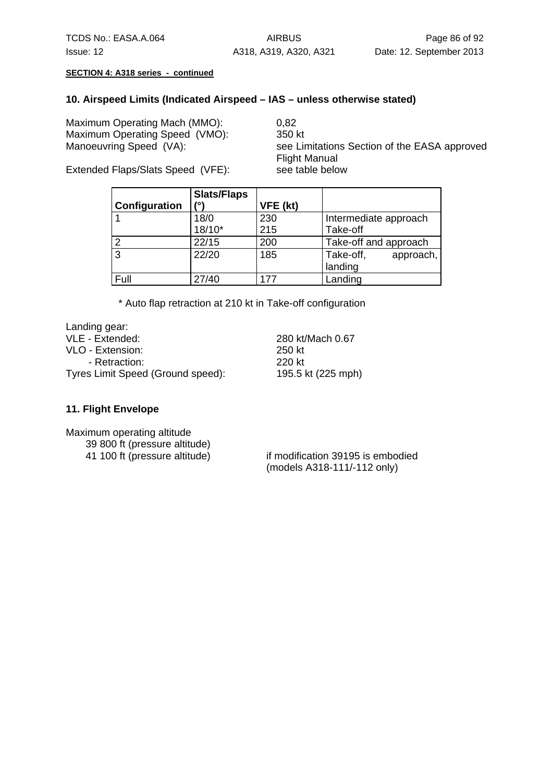## **10. Airspeed Limits (Indicated Airspeed – IAS – unless otherwise stated)**

Maximum Operating Mach (MMO): 0,82 Maximum Operating Speed (VMO): 350 kt

Manoeuvring Speed (VA): see Limitations Section of the EASA approved Flight Manual

Extended Flaps/Slats Speed (VFE): see table below

|               | <b>Slats/Flaps</b> |          |                        |
|---------------|--------------------|----------|------------------------|
| Configuration | /۰۱                | VFE (kt) |                        |
|               | 18/0               | 230      | Intermediate approach  |
|               | $18/10*$           | 215      | Take-off               |
| っ             | 22/15              | 200      | Take-off and approach  |
| 3             | 22/20              | 185      | Take-off,<br>approach, |
|               |                    |          | landing                |
| Full          | 27/40              | 177      | Landing                |

\* Auto flap retraction at 210 kt in Take-off configuration

Landing gear: VLE - Extended: 280 kt/Mach 0.67 VLO - Extension: 250 kt - Retraction: 220 kt Tyres Limit Speed (Ground speed): 195.5 kt (225 mph)

# **11. Flight Envelope**

Maximum operating altitude 39 800 ft (pressure altitude)

41 100 ft (pressure altitude) if modification 39195 is embodied (models A318-111/-112 only)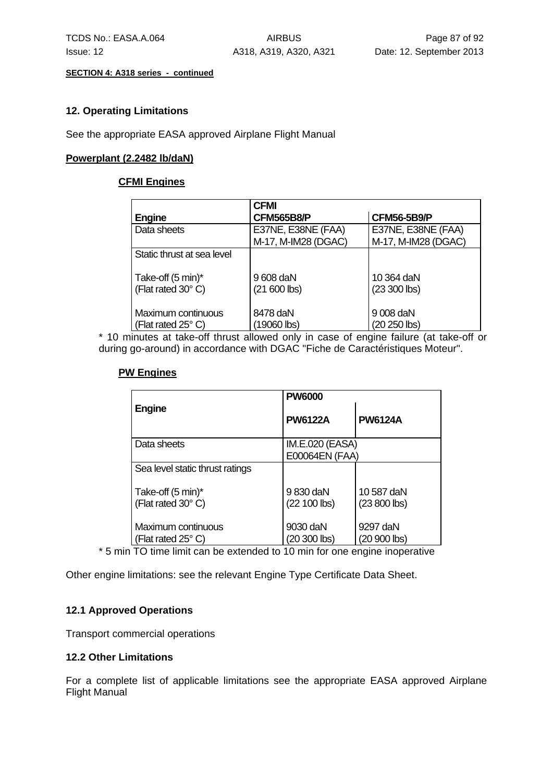## **12. Operating Limitations**

See the appropriate EASA approved Airplane Flight Manual

## **Powerplant (2.2482 lb/daN)**

## **CFMI Engines**

|                                         | <b>CFMI</b>         |                     |
|-----------------------------------------|---------------------|---------------------|
| Engine                                  | <b>CFM565B8/P</b>   | <b>CFM56-5B9/P</b>  |
| Data sheets                             | E37NE, E38NE (FAA)  | E37NE, E38NE (FAA)  |
|                                         | M-17, M-IM28 (DGAC) | M-17, M-IM28 (DGAC) |
| Static thrust at sea level              |                     |                     |
| Take-off (5 min)*                       | 9608 daN            | 10 364 daN          |
| (Flat rated 30°C)                       | (21 600 lbs)        | $(23 300$ lbs)      |
| Maximum continuous                      | 8478 daN            | 9 008 daN           |
| $\sqrt{\frac{3}{2}}$ (Flat rated 25° C) | $19060$ lbs)        | (20 250 lbs)        |

\* 10 minutes at take-off thrust allowed only in case of engine failure (at take-off or during go-around) in accordance with DGAC "Fiche de Caractéristiques Moteur".

## **PW Engines**

|                                 | <b>PW6000</b>                     |                |  |  |
|---------------------------------|-----------------------------------|----------------|--|--|
| Engine                          | <b>PW6122A</b>                    | <b>PW6124A</b> |  |  |
| Data sheets                     | IM.E.020 (EASA)<br>E00064EN (FAA) |                |  |  |
| Sea level static thrust ratings |                                   |                |  |  |
| Take-off $(5 \text{ min})^*$    | 9830 daN                          | 10 587 daN     |  |  |
| (Flat rated 30°C)               | (22 100 lbs)                      | $(23 800$ lbs) |  |  |
| Maximum continuous              | 9030 daN                          | 9297 daN       |  |  |
| (Flat rated $25^{\circ}$ C)     | (20 300 lbs)                      | (20 900 lbs)   |  |  |

\* 5 min TO time limit can be extended to 10 min for one engine inoperative

Other engine limitations: see the relevant Engine Type Certificate Data Sheet.

## **12.1 Approved Operations**

Transport commercial operations

## **12.2 Other Limitations**

For a complete list of applicable limitations see the appropriate EASA approved Airplane Flight Manual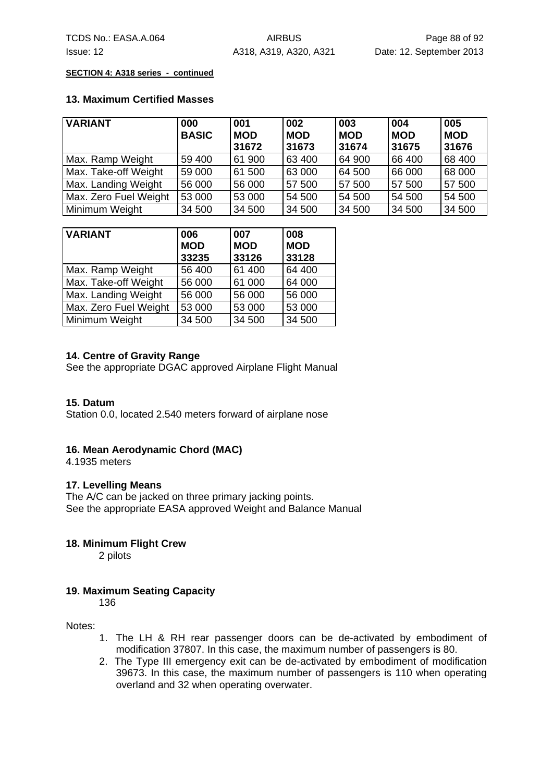## **13. Maximum Certified Masses**

| <b>VARIANT</b>        | 000<br><b>BASIC</b> | 001<br><b>MOD</b><br>31672 | 002<br><b>MOD</b><br>31673 | 003<br><b>MOD</b><br>31674 | 004<br><b>MOD</b><br>31675 | 005<br><b>MOD</b><br>31676 |
|-----------------------|---------------------|----------------------------|----------------------------|----------------------------|----------------------------|----------------------------|
| Max. Ramp Weight      | 59 400              | 61 900                     | 63 400                     | 64 900                     | 66 400                     | 68 400                     |
| Max. Take-off Weight  | 59 000              | 61 500                     | 63 000                     | 64 500                     | 66 000                     | 68 000                     |
| Max. Landing Weight   | 56 000              | 56 000                     | 57 500                     | 57 500                     | 57 500                     | 57 500                     |
| Max. Zero Fuel Weight | 53 000              | 53 000                     | 54 500                     | 54 500                     | 54 500                     | 54 500                     |
| Minimum Weight        | 34 500              | 34 500                     | 34 500                     | 34 500                     | 34 500                     | 34 500                     |

| <b>VARIANT</b>        | 006<br><b>MOD</b><br>33235 | 007<br><b>MOD</b><br>33126 | 008<br><b>MOD</b><br>33128 |
|-----------------------|----------------------------|----------------------------|----------------------------|
| Max. Ramp Weight      | 56 400                     | 61 400                     | 64 400                     |
| Max. Take-off Weight  | 56 000                     | 61 000                     | 64 000                     |
| Max. Landing Weight   | 56 000                     | 56 000                     | 56 000                     |
| Max. Zero Fuel Weight | 53 000                     | 53 000                     | 53 000                     |
| Minimum Weight        | 34 500                     | 34 500                     | 34 500                     |

## **14. Centre of Gravity Range**

See the appropriate DGAC approved Airplane Flight Manual

#### **15. Datum**

Station 0.0, located 2.540 meters forward of airplane nose

#### **16. Mean Aerodynamic Chord (MAC)**

4.1935 meters

## **17. Levelling Means**

The A/C can be jacked on three primary jacking points. See the appropriate EASA approved Weight and Balance Manual

## **18. Minimum Flight Crew**

2 pilots

## **19. Maximum Seating Capacity**

136

Notes:

- 1. The LH & RH rear passenger doors can be de-activated by embodiment of modification 37807. In this case, the maximum number of passengers is 80.
- 2. The Type III emergency exit can be de-activated by embodiment of modification 39673. In this case, the maximum number of passengers is 110 when operating overland and 32 when operating overwater.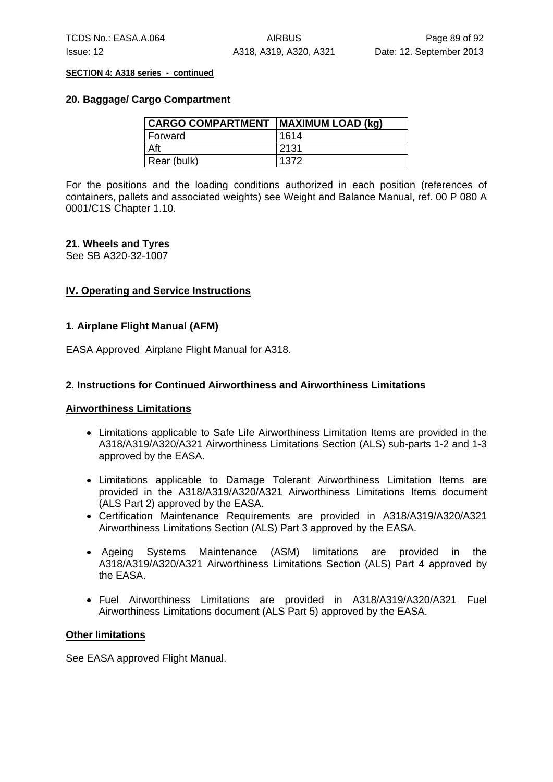#### **20. Baggage/ Cargo Compartment**

| <b>CARGO COMPARTMENT</b> | MAXIMUM LOAD (kg) |
|--------------------------|-------------------|
| Forward                  | 1614              |
| Aft                      | 2131              |
| Rear (bulk)              | 1372              |

For the positions and the loading conditions authorized in each position (references of containers, pallets and associated weights) see Weight and Balance Manual, ref. 00 P 080 A 0001/C1S Chapter 1.10.

#### **21. Wheels and Tyres**

See SB A320-32-1007

## **IV. Operating and Service Instructions**

## **1. Airplane Flight Manual (AFM)**

EASA Approved Airplane Flight Manual for A318.

## **2. Instructions for Continued Airworthiness and Airworthiness Limitations**

## **Airworthiness Limitations**

- Limitations applicable to Safe Life Airworthiness Limitation Items are provided in the A318/A319/A320/A321 Airworthiness Limitations Section (ALS) sub-parts 1-2 and 1-3 approved by the EASA.
- Limitations applicable to Damage Tolerant Airworthiness Limitation Items are provided in the A318/A319/A320/A321 Airworthiness Limitations Items document (ALS Part 2) approved by the EASA.
- Certification Maintenance Requirements are provided in A318/A319/A320/A321 Airworthiness Limitations Section (ALS) Part 3 approved by the EASA.
- Ageing Systems Maintenance (ASM) limitations are provided in the A318/A319/A320/A321 Airworthiness Limitations Section (ALS) Part 4 approved by the EASA.
- Fuel Airworthiness Limitations are provided in A318/A319/A320/A321 Fuel Airworthiness Limitations document (ALS Part 5) approved by the EASA.

## **Other limitations**

See EASA approved Flight Manual.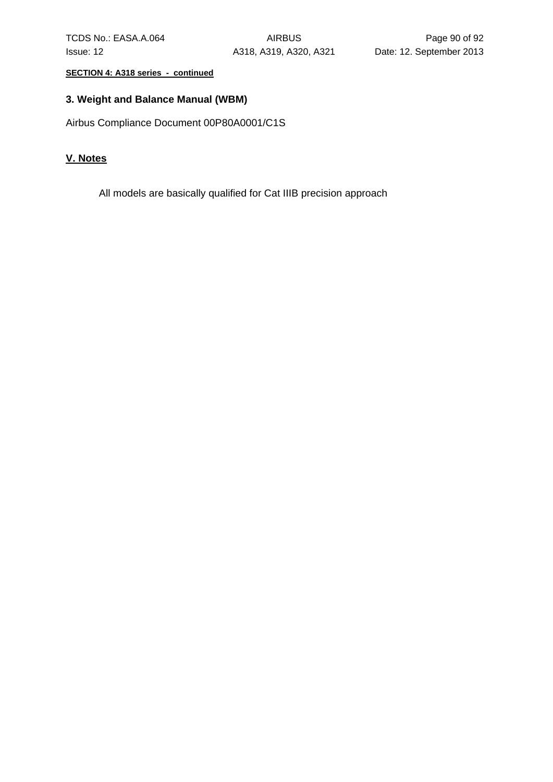## **3. Weight and Balance Manual (WBM)**

Airbus Compliance Document 00P80A0001/C1S

# **V. Notes**

All models are basically qualified for Cat IIIB precision approach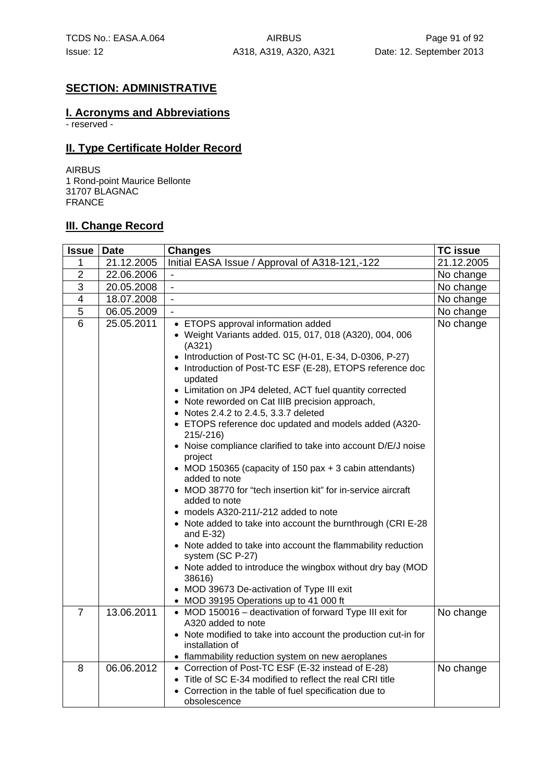# **SECTION: ADMINISTRATIVE**

## **I. Acronyms and Abbreviations**

- reserved -

# **II. Type Certificate Holder Record**

AIRBUS 1 Rond-point Maurice Bellonte 31707 BLAGNAC FRANCE

# **III. Change Record**

| <b>Issue</b>   | <b>Date</b> | <b>Changes</b>                                                                                                                                                                                                                                                                                                                                                                                                                                                                                                                                                                                                                                                                                                                                                                                                                                                                                                                                                                                                                                                                             | <b>TC issue</b> |
|----------------|-------------|--------------------------------------------------------------------------------------------------------------------------------------------------------------------------------------------------------------------------------------------------------------------------------------------------------------------------------------------------------------------------------------------------------------------------------------------------------------------------------------------------------------------------------------------------------------------------------------------------------------------------------------------------------------------------------------------------------------------------------------------------------------------------------------------------------------------------------------------------------------------------------------------------------------------------------------------------------------------------------------------------------------------------------------------------------------------------------------------|-----------------|
| 1              | 21.12.2005  | Initial EASA Issue / Approval of A318-121,-122                                                                                                                                                                                                                                                                                                                                                                                                                                                                                                                                                                                                                                                                                                                                                                                                                                                                                                                                                                                                                                             | 21.12.2005      |
| $\overline{2}$ | 22.06.2006  |                                                                                                                                                                                                                                                                                                                                                                                                                                                                                                                                                                                                                                                                                                                                                                                                                                                                                                                                                                                                                                                                                            | No change       |
| 3              | 20.05.2008  | $\blacksquare$                                                                                                                                                                                                                                                                                                                                                                                                                                                                                                                                                                                                                                                                                                                                                                                                                                                                                                                                                                                                                                                                             | No change       |
| $\overline{4}$ | 18.07.2008  | $\blacksquare$                                                                                                                                                                                                                                                                                                                                                                                                                                                                                                                                                                                                                                                                                                                                                                                                                                                                                                                                                                                                                                                                             | No change       |
| 5              | 06.05.2009  | $\blacksquare$                                                                                                                                                                                                                                                                                                                                                                                                                                                                                                                                                                                                                                                                                                                                                                                                                                                                                                                                                                                                                                                                             | No change       |
| $\overline{6}$ | 25.05.2011  | • ETOPS approval information added<br>· Weight Variants added. 015, 017, 018 (A320), 004, 006<br>(A321)<br>• Introduction of Post-TC SC (H-01, E-34, D-0306, P-27)<br>• Introduction of Post-TC ESF (E-28), ETOPS reference doc<br>updated<br>• Limitation on JP4 deleted, ACT fuel quantity corrected<br>• Note reworded on Cat IIIB precision approach,<br>• Notes 2.4.2 to 2.4.5, 3.3.7 deleted<br>• ETOPS reference doc updated and models added (A320-<br>$215/-216$<br>• Noise compliance clarified to take into account D/E/J noise<br>project<br>• MOD 150365 (capacity of 150 pax + 3 cabin attendants)<br>added to note<br>• MOD 38770 for "tech insertion kit" for in-service aircraft<br>added to note<br>• models A320-211/-212 added to note<br>• Note added to take into account the burnthrough (CRI E-28<br>and E-32)<br>• Note added to take into account the flammability reduction<br>system (SC P-27)<br>• Note added to introduce the wingbox without dry bay (MOD<br>38616)<br>• MOD 39673 De-activation of Type III exit<br>• MOD 39195 Operations up to 41 000 ft | No change       |
| $\overline{7}$ | 13.06.2011  | • MOD 150016 - deactivation of forward Type III exit for<br>A320 added to note<br>• Note modified to take into account the production cut-in for<br>installation of<br>• flammability reduction system on new aeroplanes                                                                                                                                                                                                                                                                                                                                                                                                                                                                                                                                                                                                                                                                                                                                                                                                                                                                   | No change       |
| 8              | 06.06.2012  | • Correction of Post-TC ESF (E-32 instead of E-28)<br>• Title of SC E-34 modified to reflect the real CRI title<br>• Correction in the table of fuel specification due to<br>obsolescence                                                                                                                                                                                                                                                                                                                                                                                                                                                                                                                                                                                                                                                                                                                                                                                                                                                                                                  | No change       |